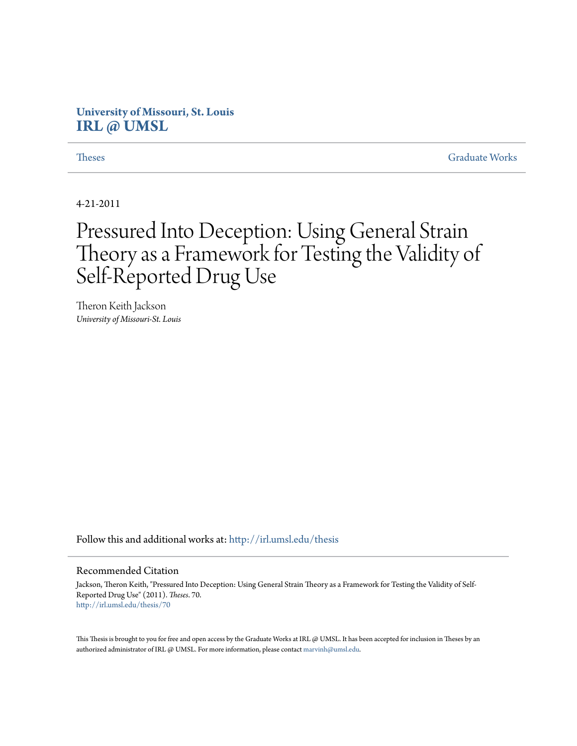# **University of Missouri, St. Louis [IRL @ UMSL](http://irl.umsl.edu?utm_source=irl.umsl.edu%2Fthesis%2F70&utm_medium=PDF&utm_campaign=PDFCoverPages)**

**[Theses](http://irl.umsl.edu/thesis?utm_source=irl.umsl.edu%2Fthesis%2F70&utm_medium=PDF&utm_campaign=PDFCoverPages)** [Graduate Works](http://irl.umsl.edu/grad?utm_source=irl.umsl.edu%2Fthesis%2F70&utm_medium=PDF&utm_campaign=PDFCoverPages) **Graduate Works** 

4-21-2011

# Pressured Into Deception: Using General Strain Theory as a Framework for Testing the Validity of Self-Reported Drug Use

Theron Keith Jackson *University of Missouri-St. Louis*

Follow this and additional works at: [http://irl.umsl.edu/thesis](http://irl.umsl.edu/thesis?utm_source=irl.umsl.edu%2Fthesis%2F70&utm_medium=PDF&utm_campaign=PDFCoverPages)

#### Recommended Citation

Jackson, Theron Keith, "Pressured Into Deception: Using General Strain Theory as a Framework for Testing the Validity of Self-Reported Drug Use" (2011). *Theses*. 70. [http://irl.umsl.edu/thesis/70](http://irl.umsl.edu/thesis/70?utm_source=irl.umsl.edu%2Fthesis%2F70&utm_medium=PDF&utm_campaign=PDFCoverPages)

This Thesis is brought to you for free and open access by the Graduate Works at IRL @ UMSL. It has been accepted for inclusion in Theses by an authorized administrator of IRL @ UMSL. For more information, please contact [marvinh@umsl.edu](mailto:marvinh@umsl.edu).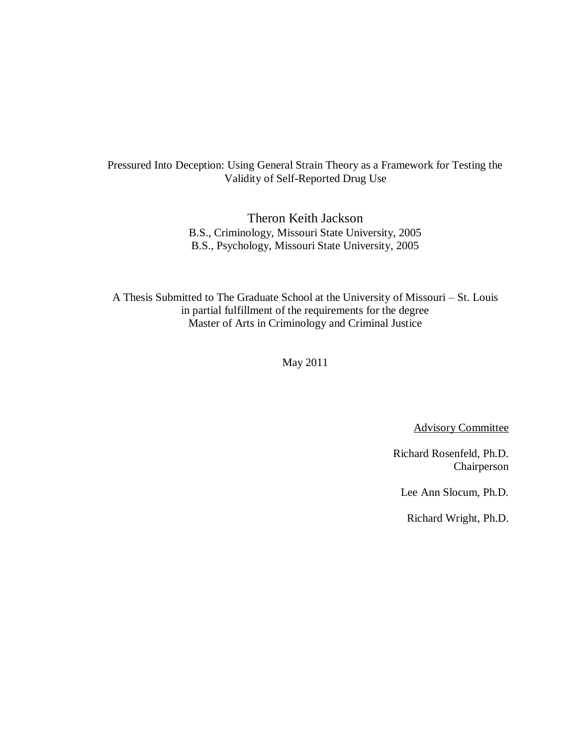## Pressured Into Deception: Using General Strain Theory as a Framework for Testing the Validity of Self-Reported Drug Use

Theron Keith Jackson B.S., Criminology, Missouri State University, 2005 B.S., Psychology, Missouri State University, 2005

A Thesis Submitted to The Graduate School at the University of Missouri – St. Louis in partial fulfillment of the requirements for the degree Master of Arts in Criminology and Criminal Justice

May 2011

Advisory Committee

Richard Rosenfeld, Ph.D. Chairperson

Lee Ann Slocum, Ph.D.

Richard Wright, Ph.D.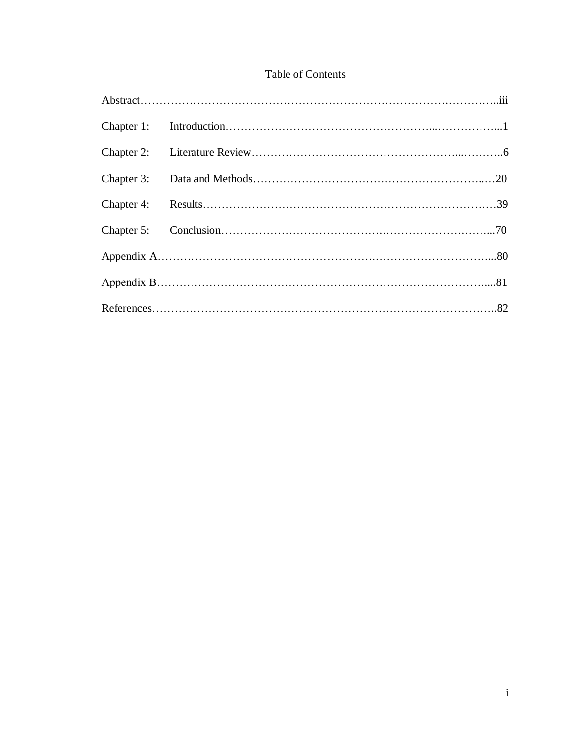# Table of Contents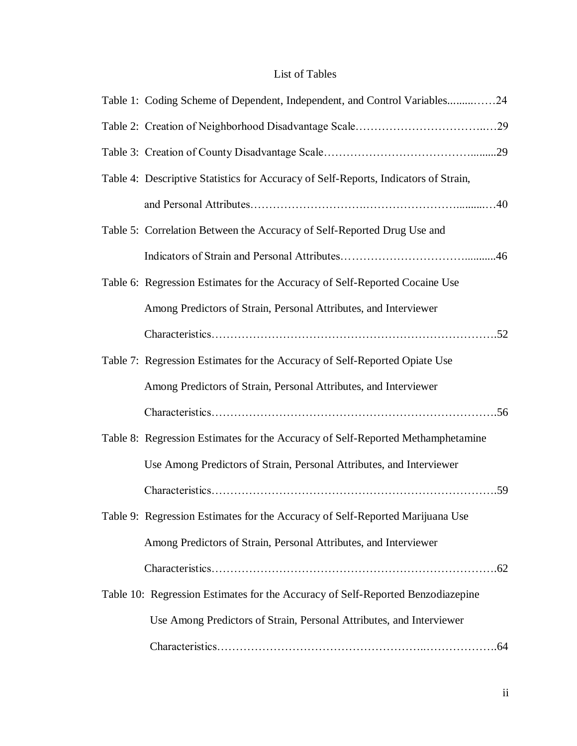# List of Tables

| Table 1: Coding Scheme of Dependent, Independent, and Control Variables24           |  |
|-------------------------------------------------------------------------------------|--|
|                                                                                     |  |
|                                                                                     |  |
| Table 4: Descriptive Statistics for Accuracy of Self-Reports, Indicators of Strain, |  |
|                                                                                     |  |
| Table 5: Correlation Between the Accuracy of Self-Reported Drug Use and             |  |
|                                                                                     |  |
| Table 6: Regression Estimates for the Accuracy of Self-Reported Cocaine Use         |  |
| Among Predictors of Strain, Personal Attributes, and Interviewer                    |  |
|                                                                                     |  |
| Table 7: Regression Estimates for the Accuracy of Self-Reported Opiate Use          |  |
| Among Predictors of Strain, Personal Attributes, and Interviewer                    |  |
|                                                                                     |  |
| Table 8: Regression Estimates for the Accuracy of Self-Reported Methamphetamine     |  |
| Use Among Predictors of Strain, Personal Attributes, and Interviewer                |  |
|                                                                                     |  |
| Table 9: Regression Estimates for the Accuracy of Self-Reported Marijuana Use       |  |
| Among Predictors of Strain, Personal Attributes, and Interviewer                    |  |
|                                                                                     |  |
| Table 10: Regression Estimates for the Accuracy of Self-Reported Benzodiazepine     |  |
| Use Among Predictors of Strain, Personal Attributes, and Interviewer                |  |
|                                                                                     |  |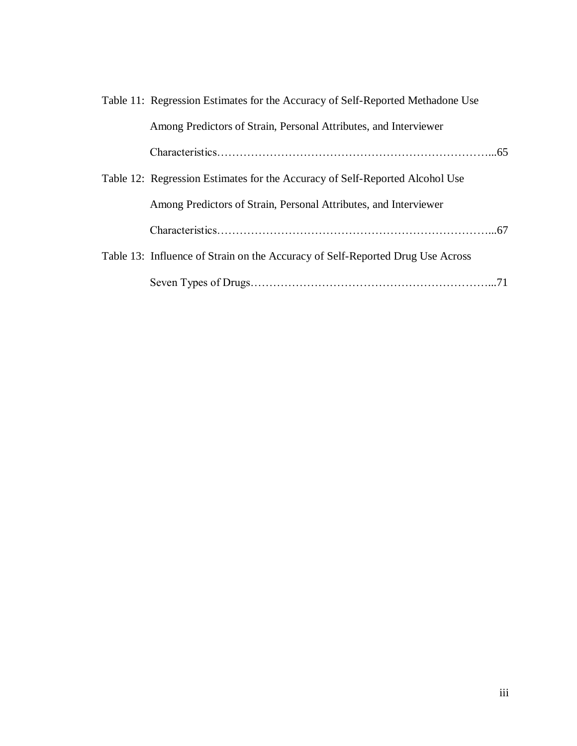| Table 11: Regression Estimates for the Accuracy of Self-Reported Methadone Use |  |
|--------------------------------------------------------------------------------|--|
| Among Predictors of Strain, Personal Attributes, and Interviewer               |  |
|                                                                                |  |
| Table 12: Regression Estimates for the Accuracy of Self-Reported Alcohol Use   |  |
| Among Predictors of Strain, Personal Attributes, and Interviewer               |  |
|                                                                                |  |
| Table 13: Influence of Strain on the Accuracy of Self-Reported Drug Use Across |  |
|                                                                                |  |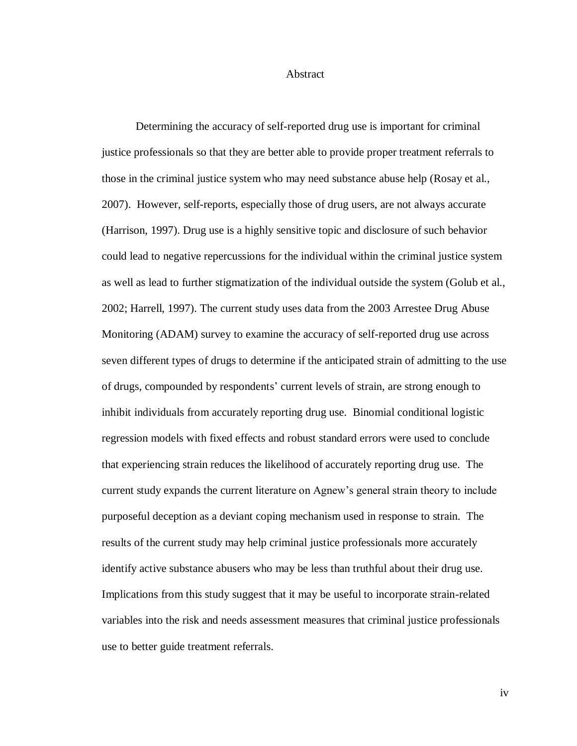#### Abstract

Determining the accuracy of self-reported drug use is important for criminal justice professionals so that they are better able to provide proper treatment referrals to those in the criminal justice system who may need substance abuse help (Rosay et al., 2007). However, self-reports, especially those of drug users, are not always accurate (Harrison, 1997). Drug use is a highly sensitive topic and disclosure of such behavior could lead to negative repercussions for the individual within the criminal justice system as well as lead to further stigmatization of the individual outside the system (Golub et al., 2002; Harrell, 1997). The current study uses data from the 2003 Arrestee Drug Abuse Monitoring (ADAM) survey to examine the accuracy of self-reported drug use across seven different types of drugs to determine if the anticipated strain of admitting to the use of drugs, compounded by respondents' current levels of strain, are strong enough to inhibit individuals from accurately reporting drug use. Binomial conditional logistic regression models with fixed effects and robust standard errors were used to conclude that experiencing strain reduces the likelihood of accurately reporting drug use. The current study expands the current literature on Agnew's general strain theory to include purposeful deception as a deviant coping mechanism used in response to strain. The results of the current study may help criminal justice professionals more accurately identify active substance abusers who may be less than truthful about their drug use. Implications from this study suggest that it may be useful to incorporate strain-related variables into the risk and needs assessment measures that criminal justice professionals use to better guide treatment referrals.

iv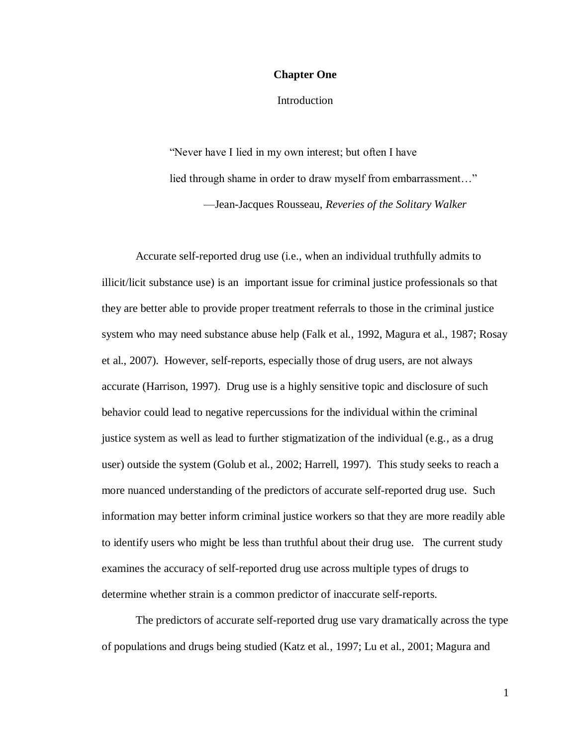#### **Chapter One**

**Introduction** 

"Never have I lied in my own interest; but often I have lied through shame in order to draw myself from embarrassment..." —Jean-Jacques Rousseau, *Reveries of the Solitary Walker*

Accurate self-reported drug use (i.e., when an individual truthfully admits to illicit/licit substance use) is an important issue for criminal justice professionals so that they are better able to provide proper treatment referrals to those in the criminal justice system who may need substance abuse help (Falk et al., 1992, Magura et al., 1987; Rosay et al., 2007). However, self-reports, especially those of drug users, are not always accurate (Harrison, 1997). Drug use is a highly sensitive topic and disclosure of such behavior could lead to negative repercussions for the individual within the criminal justice system as well as lead to further stigmatization of the individual (e.g., as a drug user) outside the system (Golub et al., 2002; Harrell, 1997). This study seeks to reach a more nuanced understanding of the predictors of accurate self-reported drug use. Such information may better inform criminal justice workers so that they are more readily able to identify users who might be less than truthful about their drug use. The current study examines the accuracy of self-reported drug use across multiple types of drugs to determine whether strain is a common predictor of inaccurate self-reports.

The predictors of accurate self-reported drug use vary dramatically across the type of populations and drugs being studied (Katz et al., 1997; Lu et al., 2001; Magura and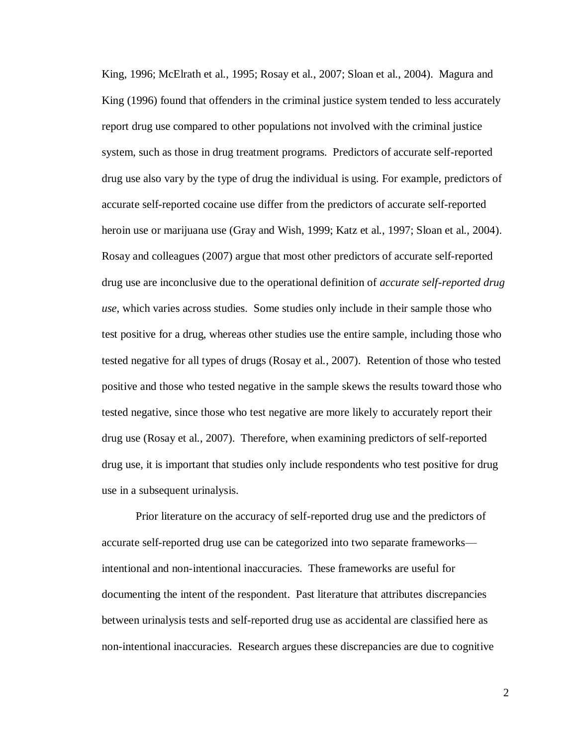King, 1996; McElrath et al., 1995; Rosay et al., 2007; Sloan et al., 2004). Magura and King (1996) found that offenders in the criminal justice system tended to less accurately report drug use compared to other populations not involved with the criminal justice system, such as those in drug treatment programs. Predictors of accurate self-reported drug use also vary by the type of drug the individual is using. For example, predictors of accurate self-reported cocaine use differ from the predictors of accurate self-reported heroin use or marijuana use (Gray and Wish, 1999; Katz et al., 1997; Sloan et al., 2004). Rosay and colleagues (2007) argue that most other predictors of accurate self-reported drug use are inconclusive due to the operational definition of *accurate self-reported drug use*, which varies across studies. Some studies only include in their sample those who test positive for a drug, whereas other studies use the entire sample, including those who tested negative for all types of drugs (Rosay et al., 2007). Retention of those who tested positive and those who tested negative in the sample skews the results toward those who tested negative, since those who test negative are more likely to accurately report their drug use (Rosay et al., 2007). Therefore, when examining predictors of self-reported drug use, it is important that studies only include respondents who test positive for drug use in a subsequent urinalysis.

Prior literature on the accuracy of self-reported drug use and the predictors of accurate self-reported drug use can be categorized into two separate frameworks intentional and non-intentional inaccuracies. These frameworks are useful for documenting the intent of the respondent. Past literature that attributes discrepancies between urinalysis tests and self-reported drug use as accidental are classified here as non-intentional inaccuracies. Research argues these discrepancies are due to cognitive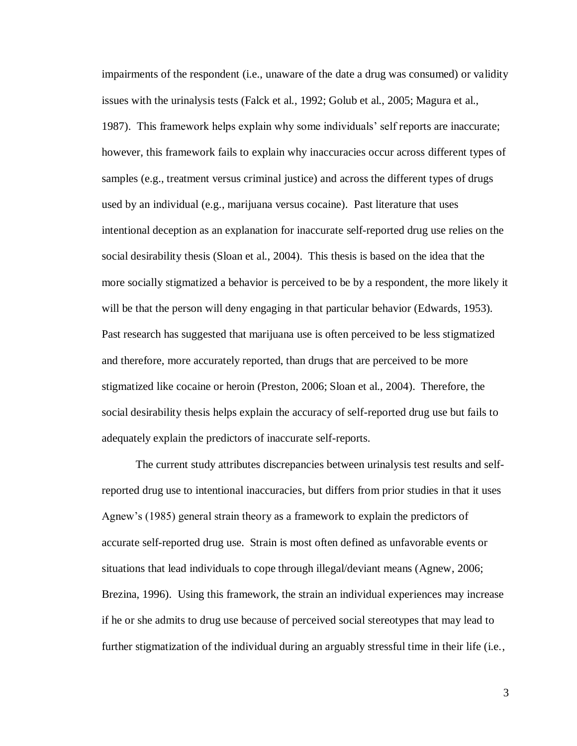impairments of the respondent (i.e., unaware of the date a drug was consumed) or validity issues with the urinalysis tests (Falck et al., 1992; Golub et al., 2005; Magura et al., 1987). This framework helps explain why some individuals' self reports are inaccurate; however, this framework fails to explain why inaccuracies occur across different types of samples (e.g., treatment versus criminal justice) and across the different types of drugs used by an individual (e.g., marijuana versus cocaine). Past literature that uses intentional deception as an explanation for inaccurate self-reported drug use relies on the social desirability thesis (Sloan et al., 2004). This thesis is based on the idea that the more socially stigmatized a behavior is perceived to be by a respondent, the more likely it will be that the person will deny engaging in that particular behavior (Edwards, 1953). Past research has suggested that marijuana use is often perceived to be less stigmatized and therefore, more accurately reported, than drugs that are perceived to be more stigmatized like cocaine or heroin (Preston, 2006; Sloan et al., 2004). Therefore, the social desirability thesis helps explain the accuracy of self-reported drug use but fails to adequately explain the predictors of inaccurate self-reports.

The current study attributes discrepancies between urinalysis test results and selfreported drug use to intentional inaccuracies, but differs from prior studies in that it uses Agnew's (1985) general strain theory as a framework to explain the predictors of accurate self-reported drug use. Strain is most often defined as unfavorable events or situations that lead individuals to cope through illegal/deviant means (Agnew, 2006; Brezina, 1996). Using this framework, the strain an individual experiences may increase if he or she admits to drug use because of perceived social stereotypes that may lead to further stigmatization of the individual during an arguably stressful time in their life (i.e.,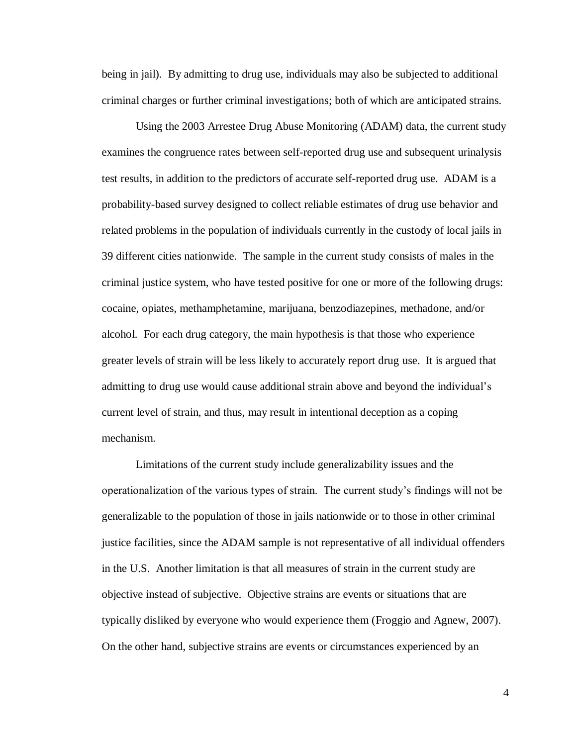being in jail). By admitting to drug use, individuals may also be subjected to additional criminal charges or further criminal investigations; both of which are anticipated strains.

Using the 2003 Arrestee Drug Abuse Monitoring (ADAM) data, the current study examines the congruence rates between self-reported drug use and subsequent urinalysis test results, in addition to the predictors of accurate self-reported drug use. ADAM is a probability-based survey designed to collect reliable estimates of drug use behavior and related problems in the population of individuals currently in the custody of local jails in 39 different cities nationwide. The sample in the current study consists of males in the criminal justice system, who have tested positive for one or more of the following drugs: cocaine, opiates, methamphetamine, marijuana, benzodiazepines, methadone, and/or alcohol. For each drug category, the main hypothesis is that those who experience greater levels of strain will be less likely to accurately report drug use. It is argued that admitting to drug use would cause additional strain above and beyond the individual's current level of strain, and thus, may result in intentional deception as a coping mechanism.

Limitations of the current study include generalizability issues and the operationalization of the various types of strain. The current study's findings will not be generalizable to the population of those in jails nationwide or to those in other criminal justice facilities, since the ADAM sample is not representative of all individual offenders in the U.S. Another limitation is that all measures of strain in the current study are objective instead of subjective. Objective strains are events or situations that are typically disliked by everyone who would experience them (Froggio and Agnew, 2007). On the other hand, subjective strains are events or circumstances experienced by an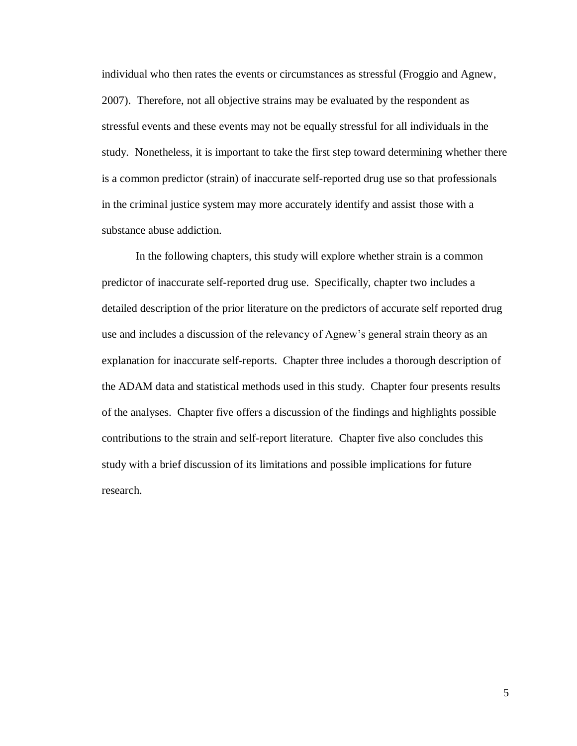individual who then rates the events or circumstances as stressful (Froggio and Agnew, 2007). Therefore, not all objective strains may be evaluated by the respondent as stressful events and these events may not be equally stressful for all individuals in the study. Nonetheless, it is important to take the first step toward determining whether there is a common predictor (strain) of inaccurate self-reported drug use so that professionals in the criminal justice system may more accurately identify and assist those with a substance abuse addiction.

In the following chapters, this study will explore whether strain is a common predictor of inaccurate self-reported drug use. Specifically, chapter two includes a detailed description of the prior literature on the predictors of accurate self reported drug use and includes a discussion of the relevancy of Agnew's general strain theory as an explanation for inaccurate self-reports. Chapter three includes a thorough description of the ADAM data and statistical methods used in this study. Chapter four presents results of the analyses. Chapter five offers a discussion of the findings and highlights possible contributions to the strain and self-report literature. Chapter five also concludes this study with a brief discussion of its limitations and possible implications for future research.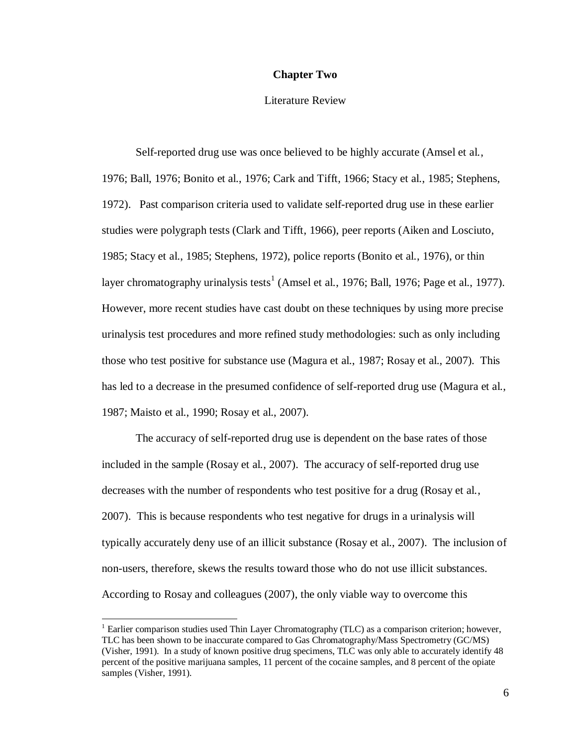#### **Chapter Two**

#### Literature Review

Self-reported drug use was once believed to be highly accurate (Amsel et al., 1976; Ball, 1976; Bonito et al., 1976; Cark and Tifft, 1966; Stacy et al., 1985; Stephens, 1972). Past comparison criteria used to validate self-reported drug use in these earlier studies were polygraph tests (Clark and Tifft, 1966), peer reports (Aiken and Losciuto, 1985; Stacy et al., 1985; Stephens, 1972), police reports (Bonito et al., 1976), or thin layer chromatography urinalysis tests<sup>1</sup> (Amsel et al., 1976; Ball, 1976; Page et al., 1977). However, more recent studies have cast doubt on these techniques by using more precise urinalysis test procedures and more refined study methodologies: such as only including those who test positive for substance use (Magura et al., 1987; Rosay et al., 2007). This has led to a decrease in the presumed confidence of self-reported drug use (Magura et al., 1987; Maisto et al., 1990; Rosay et al., 2007).

The accuracy of self-reported drug use is dependent on the base rates of those included in the sample (Rosay et al., 2007). The accuracy of self-reported drug use decreases with the number of respondents who test positive for a drug (Rosay et al., 2007). This is because respondents who test negative for drugs in a urinalysis will typically accurately deny use of an illicit substance (Rosay et al., 2007). The inclusion of non-users, therefore, skews the results toward those who do not use illicit substances. According to Rosay and colleagues (2007), the only viable way to overcome this

 $\overline{a}$ 

 $1$  Earlier comparison studies used Thin Layer Chromatography (TLC) as a comparison criterion; however, TLC has been shown to be inaccurate compared to Gas Chromatography/Mass Spectrometry (GC/MS) (Visher, 1991). In a study of known positive drug specimens, TLC was only able to accurately identify 48 percent of the positive marijuana samples, 11 percent of the cocaine samples, and 8 percent of the opiate samples (Visher, 1991).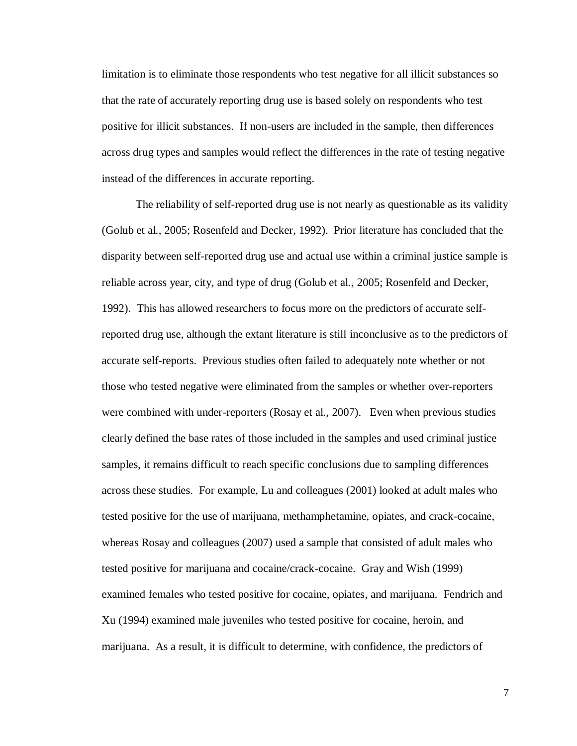limitation is to eliminate those respondents who test negative for all illicit substances so that the rate of accurately reporting drug use is based solely on respondents who test positive for illicit substances. If non-users are included in the sample, then differences across drug types and samples would reflect the differences in the rate of testing negative instead of the differences in accurate reporting.

The reliability of self-reported drug use is not nearly as questionable as its validity (Golub et al., 2005; Rosenfeld and Decker, 1992). Prior literature has concluded that the disparity between self-reported drug use and actual use within a criminal justice sample is reliable across year, city, and type of drug (Golub et al., 2005; Rosenfeld and Decker, 1992). This has allowed researchers to focus more on the predictors of accurate selfreported drug use, although the extant literature is still inconclusive as to the predictors of accurate self-reports. Previous studies often failed to adequately note whether or not those who tested negative were eliminated from the samples or whether over-reporters were combined with under-reporters (Rosay et al., 2007). Even when previous studies clearly defined the base rates of those included in the samples and used criminal justice samples, it remains difficult to reach specific conclusions due to sampling differences across these studies. For example, Lu and colleagues (2001) looked at adult males who tested positive for the use of marijuana, methamphetamine, opiates, and crack-cocaine, whereas Rosay and colleagues (2007) used a sample that consisted of adult males who tested positive for marijuana and cocaine/crack-cocaine. Gray and Wish (1999) examined females who tested positive for cocaine, opiates, and marijuana. Fendrich and Xu (1994) examined male juveniles who tested positive for cocaine, heroin, and marijuana. As a result, it is difficult to determine, with confidence, the predictors of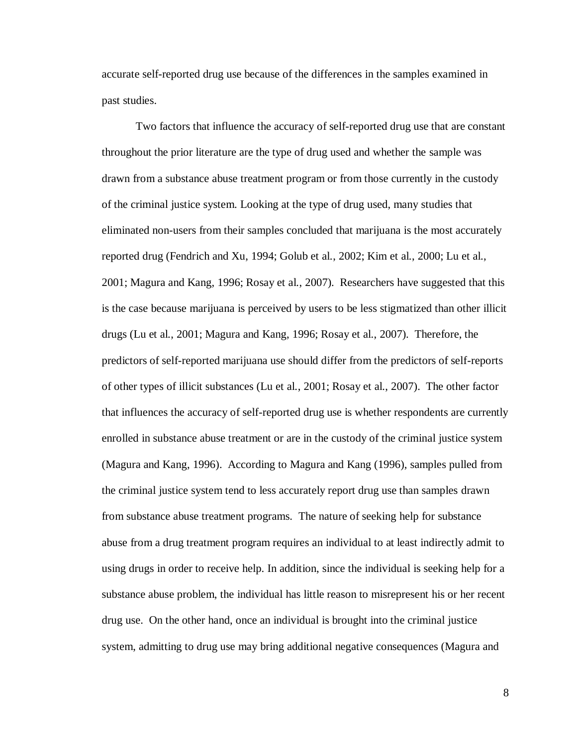accurate self-reported drug use because of the differences in the samples examined in past studies.

Two factors that influence the accuracy of self-reported drug use that are constant throughout the prior literature are the type of drug used and whether the sample was drawn from a substance abuse treatment program or from those currently in the custody of the criminal justice system. Looking at the type of drug used, many studies that eliminated non-users from their samples concluded that marijuana is the most accurately reported drug (Fendrich and Xu, 1994; Golub et al., 2002; Kim et al., 2000; Lu et al., 2001; Magura and Kang, 1996; Rosay et al., 2007). Researchers have suggested that this is the case because marijuana is perceived by users to be less stigmatized than other illicit drugs (Lu et al., 2001; Magura and Kang, 1996; Rosay et al., 2007). Therefore, the predictors of self-reported marijuana use should differ from the predictors of self-reports of other types of illicit substances (Lu et al., 2001; Rosay et al., 2007). The other factor that influences the accuracy of self-reported drug use is whether respondents are currently enrolled in substance abuse treatment or are in the custody of the criminal justice system (Magura and Kang, 1996). According to Magura and Kang (1996), samples pulled from the criminal justice system tend to less accurately report drug use than samples drawn from substance abuse treatment programs. The nature of seeking help for substance abuse from a drug treatment program requires an individual to at least indirectly admit to using drugs in order to receive help. In addition, since the individual is seeking help for a substance abuse problem, the individual has little reason to misrepresent his or her recent drug use. On the other hand, once an individual is brought into the criminal justice system, admitting to drug use may bring additional negative consequences (Magura and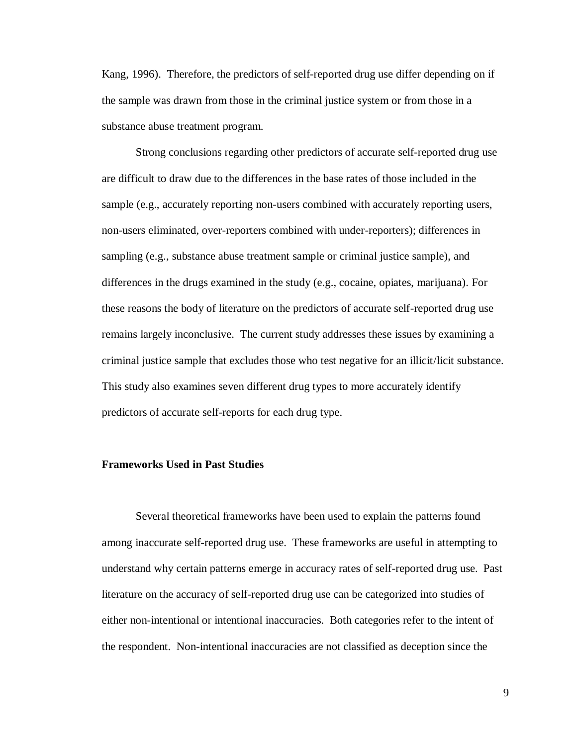Kang, 1996). Therefore, the predictors of self-reported drug use differ depending on if the sample was drawn from those in the criminal justice system or from those in a substance abuse treatment program.

Strong conclusions regarding other predictors of accurate self-reported drug use are difficult to draw due to the differences in the base rates of those included in the sample (e.g., accurately reporting non-users combined with accurately reporting users, non-users eliminated, over-reporters combined with under-reporters); differences in sampling (e.g., substance abuse treatment sample or criminal justice sample), and differences in the drugs examined in the study (e.g., cocaine, opiates, marijuana). For these reasons the body of literature on the predictors of accurate self-reported drug use remains largely inconclusive. The current study addresses these issues by examining a criminal justice sample that excludes those who test negative for an illicit/licit substance. This study also examines seven different drug types to more accurately identify predictors of accurate self-reports for each drug type.

#### **Frameworks Used in Past Studies**

Several theoretical frameworks have been used to explain the patterns found among inaccurate self-reported drug use. These frameworks are useful in attempting to understand why certain patterns emerge in accuracy rates of self-reported drug use. Past literature on the accuracy of self-reported drug use can be categorized into studies of either non-intentional or intentional inaccuracies. Both categories refer to the intent of the respondent. Non-intentional inaccuracies are not classified as deception since the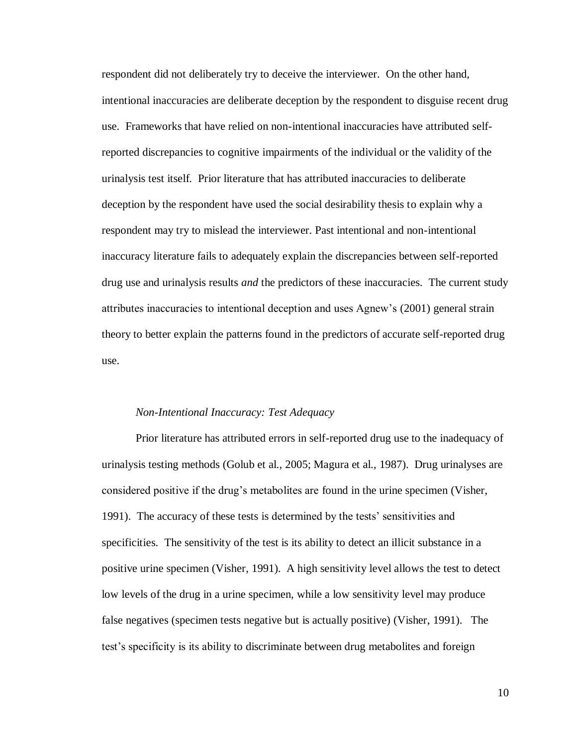respondent did not deliberately try to deceive the interviewer. On the other hand, intentional inaccuracies are deliberate deception by the respondent to disguise recent drug use. Frameworks that have relied on non-intentional inaccuracies have attributed selfreported discrepancies to cognitive impairments of the individual or the validity of the urinalysis test itself. Prior literature that has attributed inaccuracies to deliberate deception by the respondent have used the social desirability thesis to explain why a respondent may try to mislead the interviewer. Past intentional and non-intentional inaccuracy literature fails to adequately explain the discrepancies between self-reported drug use and urinalysis results *and* the predictors of these inaccuracies. The current study attributes inaccuracies to intentional deception and uses Agnew's (2001) general strain theory to better explain the patterns found in the predictors of accurate self-reported drug use.

#### *Non-Intentional Inaccuracy: Test Adequacy*

Prior literature has attributed errors in self-reported drug use to the inadequacy of urinalysis testing methods (Golub et al., 2005; Magura et al., 1987). Drug urinalyses are considered positive if the drug's metabolites are found in the urine specimen (Visher, 1991). The accuracy of these tests is determined by the tests' sensitivities and specificities. The sensitivity of the test is its ability to detect an illicit substance in a positive urine specimen (Visher, 1991). A high sensitivity level allows the test to detect low levels of the drug in a urine specimen, while a low sensitivity level may produce false negatives (specimen tests negative but is actually positive) (Visher, 1991). The test's specificity is its ability to discriminate between drug metabolites and foreign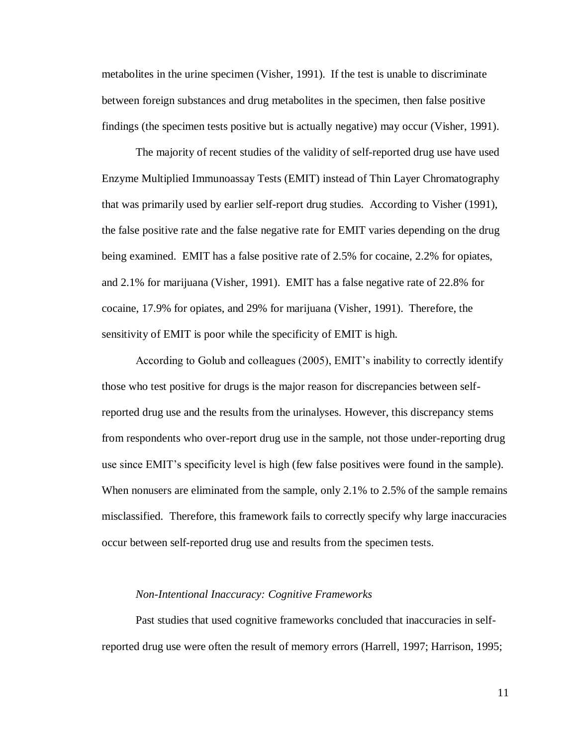metabolites in the urine specimen (Visher, 1991). If the test is unable to discriminate between foreign substances and drug metabolites in the specimen, then false positive findings (the specimen tests positive but is actually negative) may occur (Visher, 1991).

The majority of recent studies of the validity of self-reported drug use have used Enzyme Multiplied Immunoassay Tests (EMIT) instead of Thin Layer Chromatography that was primarily used by earlier self-report drug studies. According to Visher (1991), the false positive rate and the false negative rate for EMIT varies depending on the drug being examined. EMIT has a false positive rate of 2.5% for cocaine, 2.2% for opiates, and 2.1% for marijuana (Visher, 1991). EMIT has a false negative rate of 22.8% for cocaine, 17.9% for opiates, and 29% for marijuana (Visher, 1991). Therefore, the sensitivity of EMIT is poor while the specificity of EMIT is high.

According to Golub and colleagues (2005), EMIT's inability to correctly identify those who test positive for drugs is the major reason for discrepancies between selfreported drug use and the results from the urinalyses. However, this discrepancy stems from respondents who over-report drug use in the sample, not those under-reporting drug use since EMIT's specificity level is high (few false positives were found in the sample). When nonusers are eliminated from the sample, only 2.1% to 2.5% of the sample remains misclassified. Therefore, this framework fails to correctly specify why large inaccuracies occur between self-reported drug use and results from the specimen tests.

#### *Non-Intentional Inaccuracy: Cognitive Frameworks*

Past studies that used cognitive frameworks concluded that inaccuracies in selfreported drug use were often the result of memory errors (Harrell, 1997; Harrison, 1995;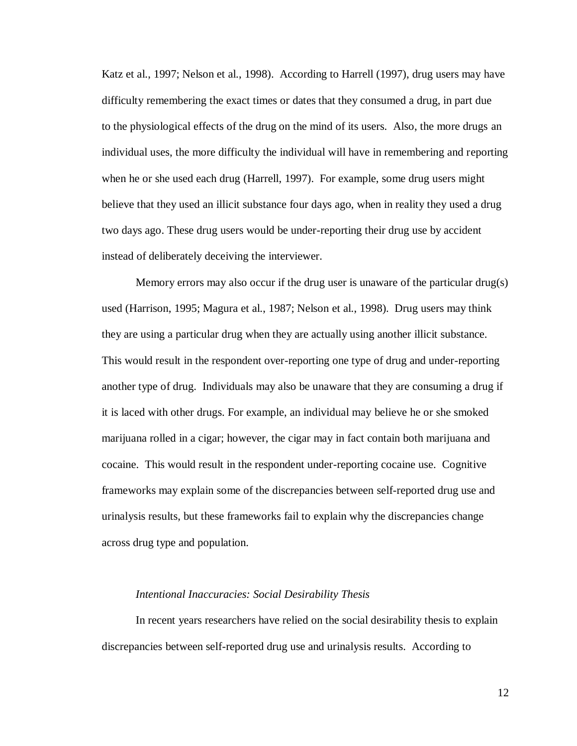Katz et al., 1997; Nelson et al., 1998). According to Harrell (1997), drug users may have difficulty remembering the exact times or dates that they consumed a drug, in part due to the physiological effects of the drug on the mind of its users. Also, the more drugs an individual uses, the more difficulty the individual will have in remembering and reporting when he or she used each drug (Harrell, 1997). For example, some drug users might believe that they used an illicit substance four days ago, when in reality they used a drug two days ago. These drug users would be under-reporting their drug use by accident instead of deliberately deceiving the interviewer.

Memory errors may also occur if the drug user is unaware of the particular drug(s) used (Harrison, 1995; Magura et al., 1987; Nelson et al., 1998). Drug users may think they are using a particular drug when they are actually using another illicit substance. This would result in the respondent over-reporting one type of drug and under-reporting another type of drug. Individuals may also be unaware that they are consuming a drug if it is laced with other drugs. For example, an individual may believe he or she smoked marijuana rolled in a cigar; however, the cigar may in fact contain both marijuana and cocaine. This would result in the respondent under-reporting cocaine use. Cognitive frameworks may explain some of the discrepancies between self-reported drug use and urinalysis results, but these frameworks fail to explain why the discrepancies change across drug type and population.

#### *Intentional Inaccuracies: Social Desirability Thesis*

In recent years researchers have relied on the social desirability thesis to explain discrepancies between self-reported drug use and urinalysis results. According to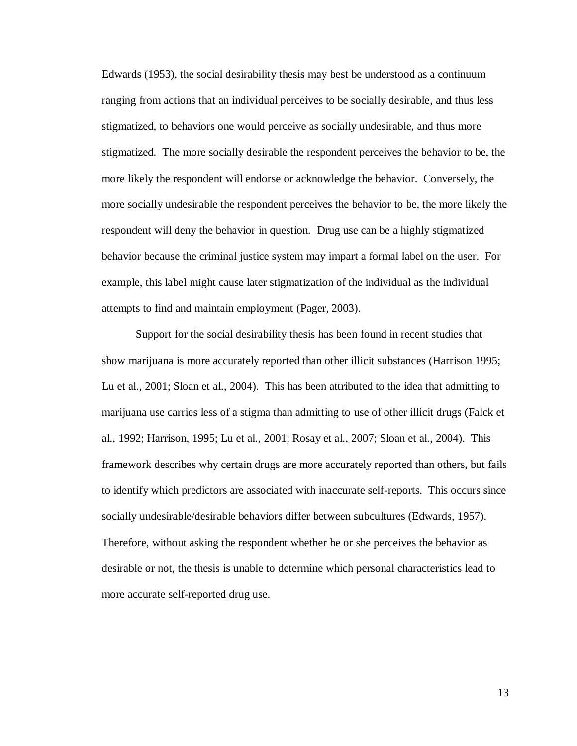Edwards (1953), the social desirability thesis may best be understood as a continuum ranging from actions that an individual perceives to be socially desirable, and thus less stigmatized, to behaviors one would perceive as socially undesirable, and thus more stigmatized. The more socially desirable the respondent perceives the behavior to be, the more likely the respondent will endorse or acknowledge the behavior. Conversely, the more socially undesirable the respondent perceives the behavior to be, the more likely the respondent will deny the behavior in question. Drug use can be a highly stigmatized behavior because the criminal justice system may impart a formal label on the user. For example, this label might cause later stigmatization of the individual as the individual attempts to find and maintain employment (Pager, 2003).

Support for the social desirability thesis has been found in recent studies that show marijuana is more accurately reported than other illicit substances (Harrison 1995; Lu et al., 2001; Sloan et al., 2004). This has been attributed to the idea that admitting to marijuana use carries less of a stigma than admitting to use of other illicit drugs (Falck et al., 1992; Harrison, 1995; Lu et al., 2001; Rosay et al., 2007; Sloan et al., 2004). This framework describes why certain drugs are more accurately reported than others, but fails to identify which predictors are associated with inaccurate self-reports. This occurs since socially undesirable/desirable behaviors differ between subcultures (Edwards, 1957). Therefore, without asking the respondent whether he or she perceives the behavior as desirable or not, the thesis is unable to determine which personal characteristics lead to more accurate self-reported drug use.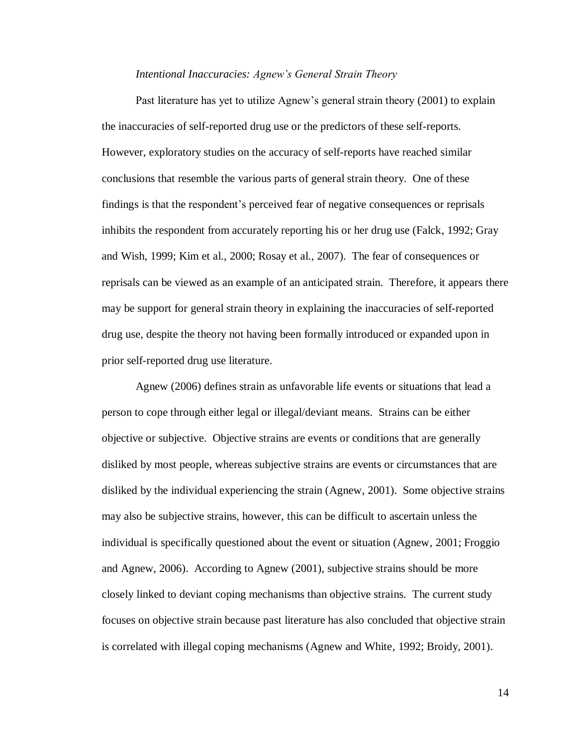#### *Intentional Inaccuracies: Agnew's General Strain Theory*

Past literature has yet to utilize Agnew's general strain theory (2001) to explain the inaccuracies of self-reported drug use or the predictors of these self-reports. However, exploratory studies on the accuracy of self-reports have reached similar conclusions that resemble the various parts of general strain theory. One of these findings is that the respondent's perceived fear of negative consequences or reprisals inhibits the respondent from accurately reporting his or her drug use (Falck, 1992; Gray and Wish, 1999; Kim et al., 2000; Rosay et al., 2007). The fear of consequences or reprisals can be viewed as an example of an anticipated strain. Therefore, it appears there may be support for general strain theory in explaining the inaccuracies of self-reported drug use, despite the theory not having been formally introduced or expanded upon in prior self-reported drug use literature.

Agnew (2006) defines strain as unfavorable life events or situations that lead a person to cope through either legal or illegal/deviant means. Strains can be either objective or subjective. Objective strains are events or conditions that are generally disliked by most people, whereas subjective strains are events or circumstances that are disliked by the individual experiencing the strain (Agnew, 2001). Some objective strains may also be subjective strains, however, this can be difficult to ascertain unless the individual is specifically questioned about the event or situation (Agnew, 2001; Froggio and Agnew, 2006). According to Agnew (2001), subjective strains should be more closely linked to deviant coping mechanisms than objective strains. The current study focuses on objective strain because past literature has also concluded that objective strain is correlated with illegal coping mechanisms (Agnew and White, 1992; Broidy, 2001).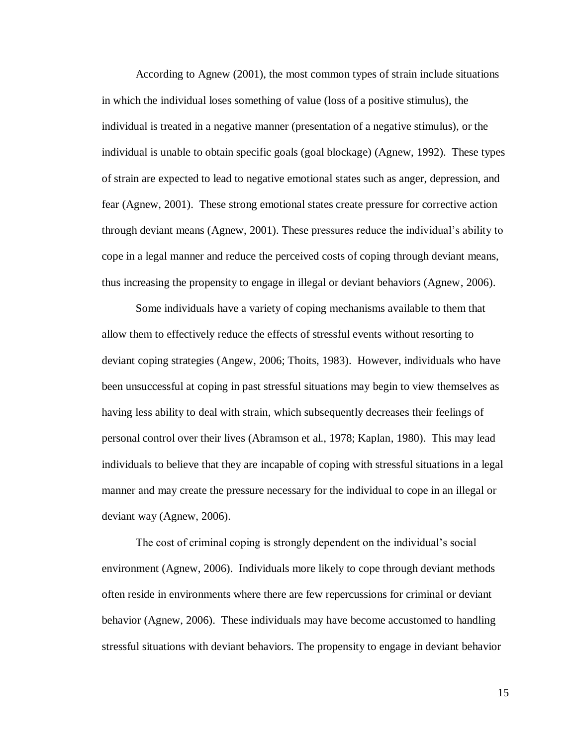According to Agnew (2001), the most common types of strain include situations in which the individual loses something of value (loss of a positive stimulus), the individual is treated in a negative manner (presentation of a negative stimulus), or the individual is unable to obtain specific goals (goal blockage) (Agnew, 1992). These types of strain are expected to lead to negative emotional states such as anger, depression, and fear (Agnew, 2001). These strong emotional states create pressure for corrective action through deviant means (Agnew, 2001). These pressures reduce the individual's ability to cope in a legal manner and reduce the perceived costs of coping through deviant means, thus increasing the propensity to engage in illegal or deviant behaviors (Agnew, 2006).

Some individuals have a variety of coping mechanisms available to them that allow them to effectively reduce the effects of stressful events without resorting to deviant coping strategies (Angew, 2006; Thoits, 1983). However, individuals who have been unsuccessful at coping in past stressful situations may begin to view themselves as having less ability to deal with strain, which subsequently decreases their feelings of personal control over their lives (Abramson et al., 1978; Kaplan, 1980). This may lead individuals to believe that they are incapable of coping with stressful situations in a legal manner and may create the pressure necessary for the individual to cope in an illegal or deviant way (Agnew, 2006).

The cost of criminal coping is strongly dependent on the individual's social environment (Agnew, 2006). Individuals more likely to cope through deviant methods often reside in environments where there are few repercussions for criminal or deviant behavior (Agnew, 2006). These individuals may have become accustomed to handling stressful situations with deviant behaviors. The propensity to engage in deviant behavior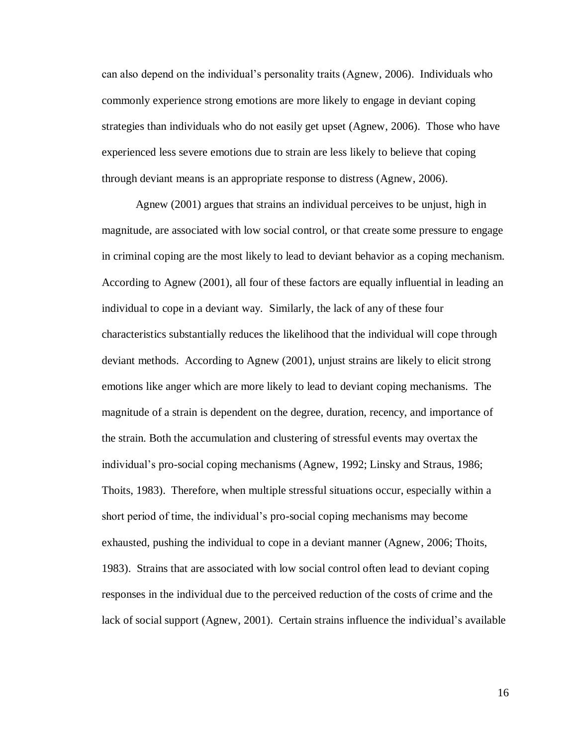can also depend on the individual's personality traits (Agnew, 2006). Individuals who commonly experience strong emotions are more likely to engage in deviant coping strategies than individuals who do not easily get upset (Agnew, 2006). Those who have experienced less severe emotions due to strain are less likely to believe that coping through deviant means is an appropriate response to distress (Agnew, 2006).

Agnew (2001) argues that strains an individual perceives to be unjust, high in magnitude, are associated with low social control, or that create some pressure to engage in criminal coping are the most likely to lead to deviant behavior as a coping mechanism. According to Agnew (2001), all four of these factors are equally influential in leading an individual to cope in a deviant way. Similarly, the lack of any of these four characteristics substantially reduces the likelihood that the individual will cope through deviant methods. According to Agnew (2001), unjust strains are likely to elicit strong emotions like anger which are more likely to lead to deviant coping mechanisms. The magnitude of a strain is dependent on the degree, duration, recency, and importance of the strain. Both the accumulation and clustering of stressful events may overtax the individual's pro-social coping mechanisms (Agnew, 1992; Linsky and Straus, 1986; Thoits, 1983). Therefore, when multiple stressful situations occur, especially within a short period of time, the individual's pro-social coping mechanisms may become exhausted, pushing the individual to cope in a deviant manner (Agnew, 2006; Thoits, 1983). Strains that are associated with low social control often lead to deviant coping responses in the individual due to the perceived reduction of the costs of crime and the lack of social support (Agnew, 2001). Certain strains influence the individual's available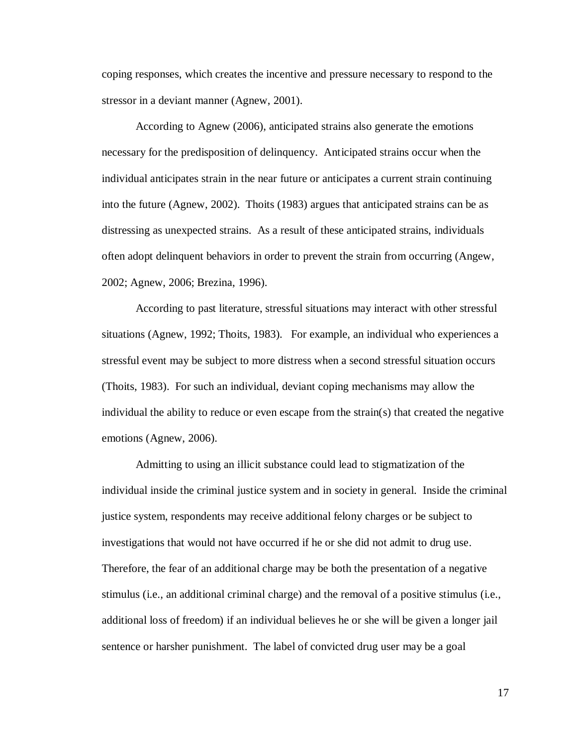coping responses, which creates the incentive and pressure necessary to respond to the stressor in a deviant manner (Agnew, 2001).

According to Agnew (2006), anticipated strains also generate the emotions necessary for the predisposition of delinquency. Anticipated strains occur when the individual anticipates strain in the near future or anticipates a current strain continuing into the future (Agnew, 2002). Thoits (1983) argues that anticipated strains can be as distressing as unexpected strains. As a result of these anticipated strains, individuals often adopt delinquent behaviors in order to prevent the strain from occurring (Angew, 2002; Agnew, 2006; Brezina, 1996).

According to past literature, stressful situations may interact with other stressful situations (Agnew, 1992; Thoits, 1983). For example, an individual who experiences a stressful event may be subject to more distress when a second stressful situation occurs (Thoits, 1983). For such an individual, deviant coping mechanisms may allow the individual the ability to reduce or even escape from the strain(s) that created the negative emotions (Agnew, 2006).

Admitting to using an illicit substance could lead to stigmatization of the individual inside the criminal justice system and in society in general. Inside the criminal justice system, respondents may receive additional felony charges or be subject to investigations that would not have occurred if he or she did not admit to drug use. Therefore, the fear of an additional charge may be both the presentation of a negative stimulus (i.e., an additional criminal charge) and the removal of a positive stimulus (i.e., additional loss of freedom) if an individual believes he or she will be given a longer jail sentence or harsher punishment. The label of convicted drug user may be a goal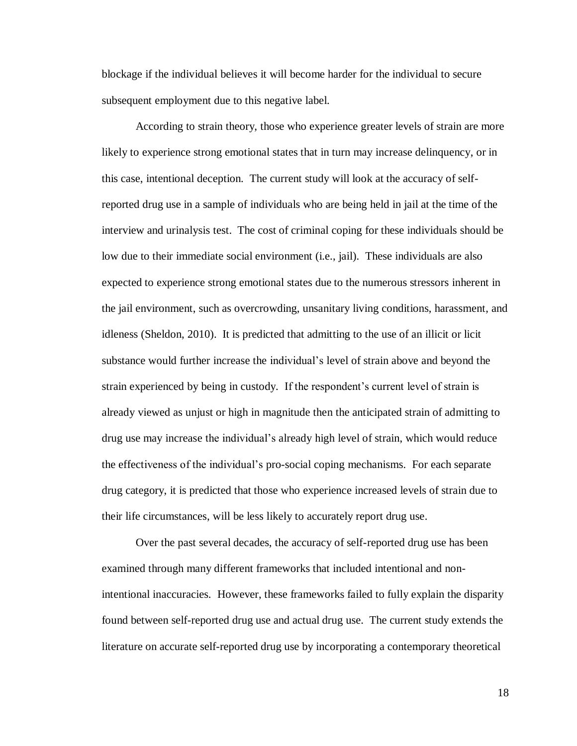blockage if the individual believes it will become harder for the individual to secure subsequent employment due to this negative label.

According to strain theory, those who experience greater levels of strain are more likely to experience strong emotional states that in turn may increase delinquency, or in this case, intentional deception. The current study will look at the accuracy of selfreported drug use in a sample of individuals who are being held in jail at the time of the interview and urinalysis test. The cost of criminal coping for these individuals should be low due to their immediate social environment (i.e., jail). These individuals are also expected to experience strong emotional states due to the numerous stressors inherent in the jail environment, such as overcrowding, unsanitary living conditions, harassment, and idleness (Sheldon, 2010). It is predicted that admitting to the use of an illicit or licit substance would further increase the individual's level of strain above and beyond the strain experienced by being in custody. If the respondent's current level of strain is already viewed as unjust or high in magnitude then the anticipated strain of admitting to drug use may increase the individual's already high level of strain, which would reduce the effectiveness of the individual's pro-social coping mechanisms. For each separate drug category, it is predicted that those who experience increased levels of strain due to their life circumstances, will be less likely to accurately report drug use.

Over the past several decades, the accuracy of self-reported drug use has been examined through many different frameworks that included intentional and nonintentional inaccuracies. However, these frameworks failed to fully explain the disparity found between self-reported drug use and actual drug use. The current study extends the literature on accurate self-reported drug use by incorporating a contemporary theoretical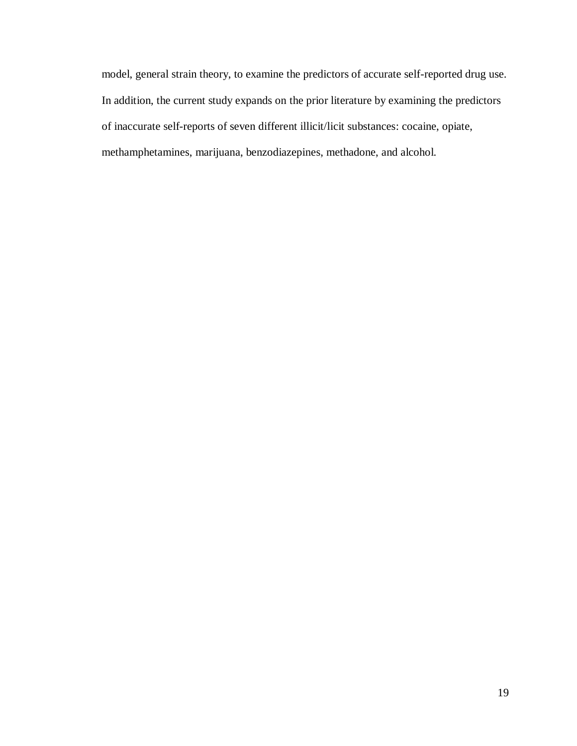model, general strain theory, to examine the predictors of accurate self-reported drug use. In addition, the current study expands on the prior literature by examining the predictors of inaccurate self-reports of seven different illicit/licit substances: cocaine, opiate, methamphetamines, marijuana, benzodiazepines, methadone, and alcohol.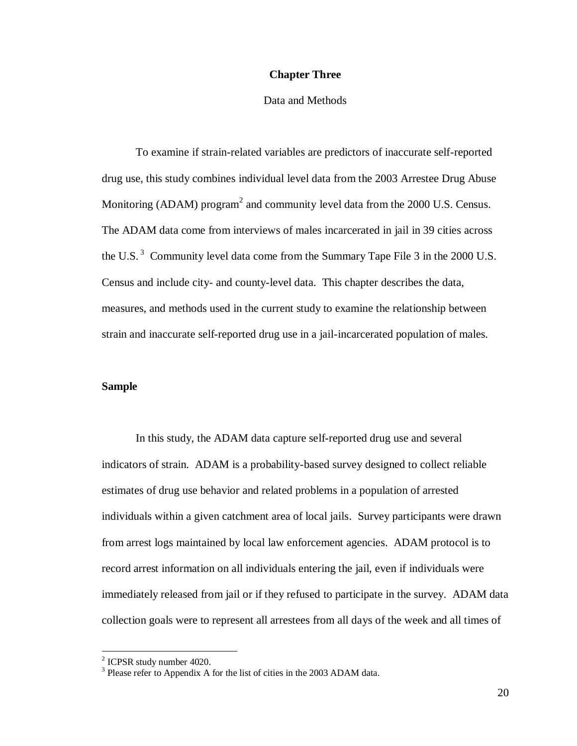#### **Chapter Three**

#### Data and Methods

To examine if strain-related variables are predictors of inaccurate self-reported drug use, this study combines individual level data from the 2003 Arrestee Drug Abuse Monitoring (ADAM) program<sup>2</sup> and community level data from the  $2000$  U.S. Census. The ADAM data come from interviews of males incarcerated in jail in 39 cities across the U.S.<sup>3</sup> Community level data come from the Summary Tape File 3 in the 2000 U.S. Census and include city- and county-level data. This chapter describes the data, measures, and methods used in the current study to examine the relationship between strain and inaccurate self-reported drug use in a jail-incarcerated population of males.

### **Sample**

In this study, the ADAM data capture self-reported drug use and several indicators of strain. ADAM is a probability-based survey designed to collect reliable estimates of drug use behavior and related problems in a population of arrested individuals within a given catchment area of local jails. Survey participants were drawn from arrest logs maintained by local law enforcement agencies. ADAM protocol is to record arrest information on all individuals entering the jail, even if individuals were immediately released from jail or if they refused to participate in the survey. ADAM data collection goals were to represent all arrestees from all days of the week and all times of

<sup>&</sup>lt;sup>2</sup> ICPSR study number 4020.

<sup>&</sup>lt;sup>3</sup> Please refer to Appendix A for the list of cities in the 2003 ADAM data.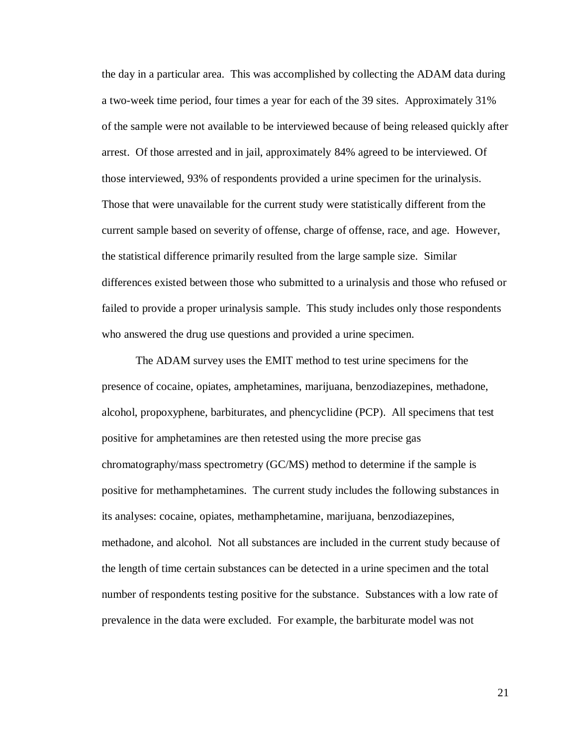the day in a particular area. This was accomplished by collecting the ADAM data during a two-week time period, four times a year for each of the 39 sites. Approximately 31% of the sample were not available to be interviewed because of being released quickly after arrest. Of those arrested and in jail, approximately 84% agreed to be interviewed. Of those interviewed, 93% of respondents provided a urine specimen for the urinalysis. Those that were unavailable for the current study were statistically different from the current sample based on severity of offense, charge of offense, race, and age. However, the statistical difference primarily resulted from the large sample size. Similar differences existed between those who submitted to a urinalysis and those who refused or failed to provide a proper urinalysis sample. This study includes only those respondents who answered the drug use questions and provided a urine specimen.

The ADAM survey uses the EMIT method to test urine specimens for the presence of cocaine, opiates, amphetamines, marijuana, benzodiazepines, methadone, alcohol, propoxyphene, barbiturates, and phencyclidine (PCP). All specimens that test positive for amphetamines are then retested using the more precise gas chromatography/mass spectrometry (GC/MS) method to determine if the sample is positive for methamphetamines. The current study includes the following substances in its analyses: cocaine, opiates, methamphetamine, marijuana, benzodiazepines, methadone, and alcohol. Not all substances are included in the current study because of the length of time certain substances can be detected in a urine specimen and the total number of respondents testing positive for the substance. Substances with a low rate of prevalence in the data were excluded. For example, the barbiturate model was not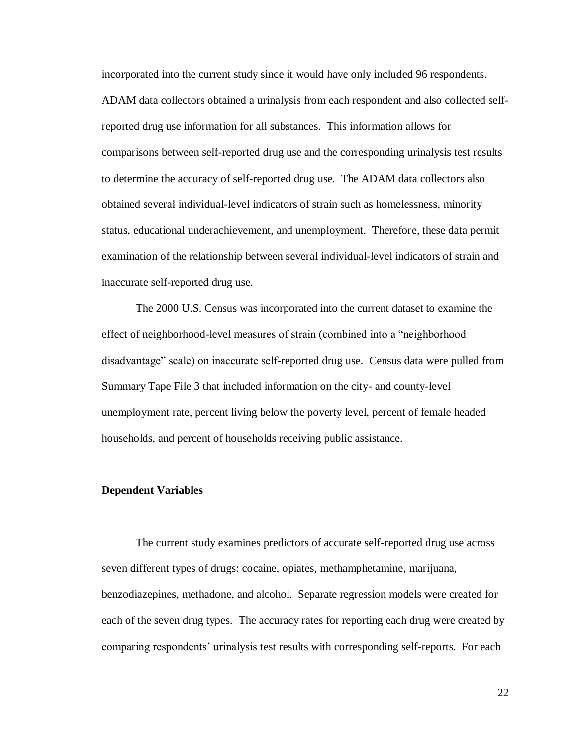incorporated into the current study since it would have only included 96 respondents. ADAM data collectors obtained a urinalysis from each respondent and also collected selfreported drug use information for all substances. This information allows for comparisons between self-reported drug use and the corresponding urinalysis test results to determine the accuracy of self-reported drug use. The ADAM data collectors also obtained several individual-level indicators of strain such as homelessness, minority status, educational underachievement, and unemployment. Therefore, these data permit examination of the relationship between several individual-level indicators of strain and inaccurate self-reported drug use.

The 2000 U.S. Census was incorporated into the current dataset to examine the effect of neighborhood-level measures of strain (combined into a "neighborhood disadvantage" scale) on inaccurate self-reported drug use. Census data were pulled from Summary Tape File 3 that included information on the city- and county-level unemployment rate, percent living below the poverty level, percent of female headed households, and percent of households receiving public assistance.

#### **Dependent Variables**

The current study examines predictors of accurate self-reported drug use across seven different types of drugs: cocaine, opiates, methamphetamine, marijuana, benzodiazepines, methadone, and alcohol. Separate regression models were created for each of the seven drug types. The accuracy rates for reporting each drug were created by comparing respondents' urinalysis test results with corresponding self-reports. For each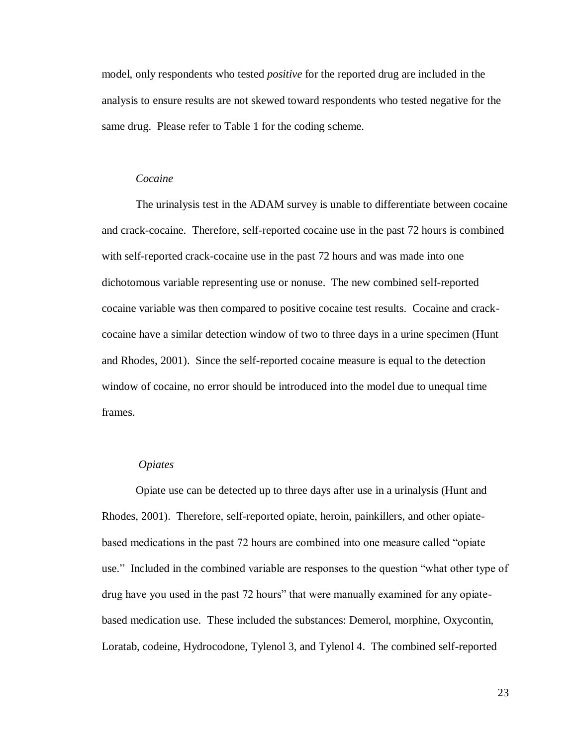model, only respondents who tested *positive* for the reported drug are included in the analysis to ensure results are not skewed toward respondents who tested negative for the same drug. Please refer to Table 1 for the coding scheme.

#### *Cocaine*

The urinalysis test in the ADAM survey is unable to differentiate between cocaine and crack-cocaine. Therefore, self-reported cocaine use in the past 72 hours is combined with self-reported crack-cocaine use in the past 72 hours and was made into one dichotomous variable representing use or nonuse. The new combined self-reported cocaine variable was then compared to positive cocaine test results. Cocaine and crackcocaine have a similar detection window of two to three days in a urine specimen (Hunt and Rhodes, 2001). Since the self-reported cocaine measure is equal to the detection window of cocaine, no error should be introduced into the model due to unequal time frames.

#### *Opiates*

Opiate use can be detected up to three days after use in a urinalysis (Hunt and Rhodes, 2001). Therefore, self-reported opiate, heroin, painkillers, and other opiatebased medications in the past 72 hours are combined into one measure called "opiate" use." Included in the combined variable are responses to the question "what other type of drug have you used in the past 72 hours" that were manually examined for any opiatebased medication use. These included the substances: Demerol, morphine, Oxycontin, Loratab, codeine, Hydrocodone, Tylenol 3, and Tylenol 4. The combined self-reported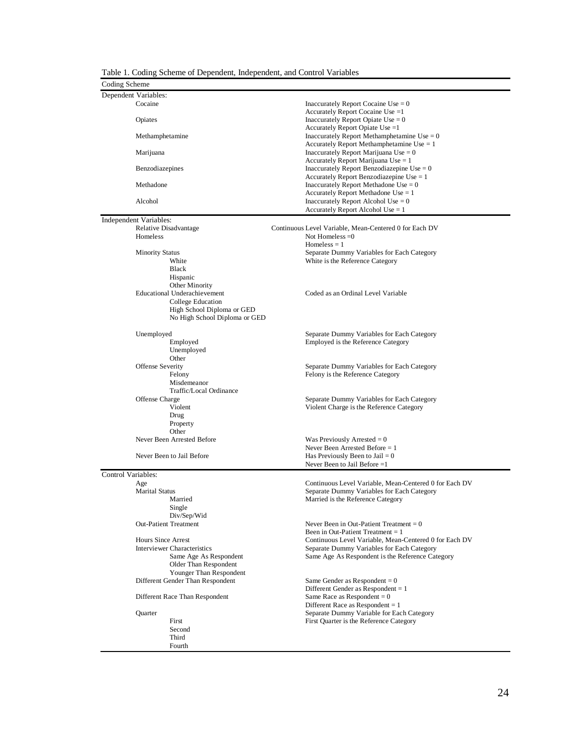|  |  | Table 1. Coding Scheme of Dependent, Independent, and Control Variables |  |
|--|--|-------------------------------------------------------------------------|--|
|  |  |                                                                         |  |

Fourth

| Table 1. Coding Scheme of Dependent, Independent, and Control Variables<br>Coding Scheme |                                                                                       |
|------------------------------------------------------------------------------------------|---------------------------------------------------------------------------------------|
| Dependent Variables:                                                                     |                                                                                       |
| Cocaine                                                                                  | Inaccurately Report Cocaine Use $= 0$                                                 |
|                                                                                          | Accurately Report Cocaine Use =1                                                      |
| Opiates                                                                                  | Inaccurately Report Opiate Use $= 0$                                                  |
|                                                                                          | Accurately Report Opiate Use =1                                                       |
| Methamphetamine                                                                          | Inaccurately Report Methamphetamine Use $= 0$                                         |
|                                                                                          | Accurately Report Methamphetamine Use $= 1$                                           |
| Marijuana                                                                                | Inaccurately Report Marijuana Use $= 0$                                               |
| Benzodiazepines                                                                          | Accurately Report Marijuana Use $= 1$<br>Inaccurately Report Benzodiazepine Use = $0$ |
|                                                                                          | Accurately Report Benzodiazepine Use $= 1$                                            |
| Methadone                                                                                | Inaccurately Report Methadone Use $= 0$                                               |
|                                                                                          | Accurately Report Methadone Use $= 1$                                                 |
| Alcohol                                                                                  | Inaccurately Report Alcohol Use $= 0$                                                 |
|                                                                                          | Accurately Report Alcohol Use $= 1$                                                   |
| Independent Variables:                                                                   |                                                                                       |
| Relative Disadvantage                                                                    | Continuous Level Variable, Mean-Centered 0 for Each DV                                |
| Homeless                                                                                 | Not Homeless $=0$                                                                     |
|                                                                                          | Homeless $= 1$                                                                        |
| <b>Minority Status</b>                                                                   | Separate Dummy Variables for Each Category                                            |
| White                                                                                    | White is the Reference Category                                                       |
| Black                                                                                    |                                                                                       |
| Hispanic                                                                                 |                                                                                       |
| Other Minority<br>Educational Underachievement                                           | Coded as an Ordinal Level Variable                                                    |
| College Education                                                                        |                                                                                       |
| High School Diploma or GED                                                               |                                                                                       |
| No High School Diploma or GED                                                            |                                                                                       |
|                                                                                          |                                                                                       |
| Unemployed                                                                               | Separate Dummy Variables for Each Category                                            |
| Employed                                                                                 | Employed is the Reference Category                                                    |
| Unemployed                                                                               |                                                                                       |
| Other                                                                                    |                                                                                       |
| Offense Severity                                                                         | Separate Dummy Variables for Each Category                                            |
| Felony                                                                                   | Felony is the Reference Category                                                      |
| Misdemeanor<br>Traffic/Local Ordinance                                                   |                                                                                       |
| Offense Charge                                                                           | Separate Dummy Variables for Each Category                                            |
| Violent                                                                                  | Violent Charge is the Reference Category                                              |
| Drug                                                                                     |                                                                                       |
| Property                                                                                 |                                                                                       |
| Other                                                                                    |                                                                                       |
| Never Been Arrested Before                                                               | Was Previously Arrested $= 0$                                                         |
|                                                                                          | Never Been Arrested Before $= 1$                                                      |
| Never Been to Jail Before                                                                | Has Previously Been to Jail $= 0$                                                     |
|                                                                                          | Never Been to Jail Before $=1$                                                        |
| Control Variables:                                                                       |                                                                                       |
| Age                                                                                      | Continuous Level Variable, Mean-Centered 0 for Each DV                                |
| <b>Marital Status</b>                                                                    | Separate Dummy Variables for Each Category                                            |
| Married                                                                                  | Married is the Reference Category                                                     |
| Single                                                                                   |                                                                                       |
| Div/Sep/Wid                                                                              |                                                                                       |
| <b>Out-Patient Treatment</b>                                                             | Never Been in Out-Patient Treatment $= 0$<br>Been in Out-Patient Treatment $= 1$      |
| <b>Hours Since Arrest</b>                                                                | Continuous Level Variable, Mean-Centered 0 for Each DV                                |
| <b>Interviewer Characteristics</b>                                                       | Separate Dummy Variables for Each Category                                            |
| Same Age As Respondent                                                                   | Same Age As Respondent is the Reference Category                                      |
| Older Than Respondent                                                                    |                                                                                       |
| Younger Than Respondent                                                                  |                                                                                       |
| Different Gender Than Respondent                                                         | Same Gender as Respondent $= 0$                                                       |
|                                                                                          | Different Gender as Respondent $= 1$                                                  |
| Different Race Than Respondent                                                           | Same Race as Respondent = $0$                                                         |
|                                                                                          | Different Race as Respondent $= 1$                                                    |
| Quarter                                                                                  | Separate Dummy Variable for Each Category                                             |
| First                                                                                    | First Quarter is the Reference Category                                               |
| Second                                                                                   |                                                                                       |
| Third                                                                                    |                                                                                       |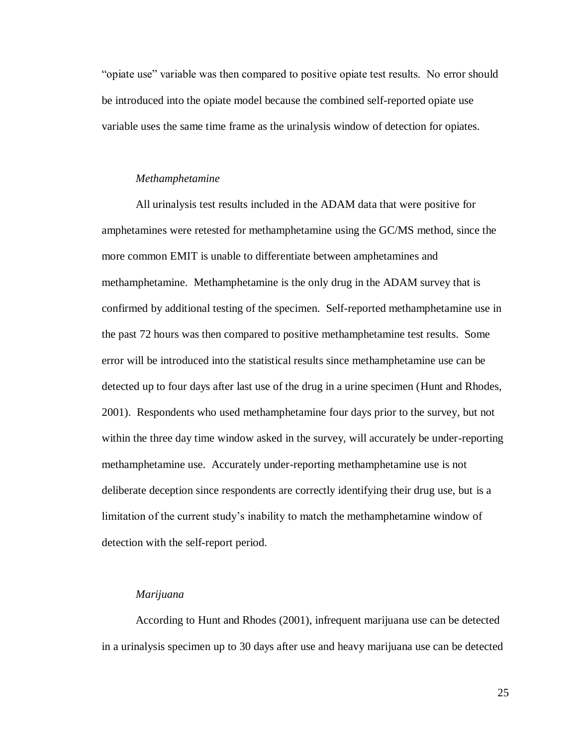"opiate use" variable was then compared to positive opiate test results. No error should be introduced into the opiate model because the combined self-reported opiate use variable uses the same time frame as the urinalysis window of detection for opiates.

#### *Methamphetamine*

All urinalysis test results included in the ADAM data that were positive for amphetamines were retested for methamphetamine using the GC/MS method, since the more common EMIT is unable to differentiate between amphetamines and methamphetamine. Methamphetamine is the only drug in the ADAM survey that is confirmed by additional testing of the specimen. Self-reported methamphetamine use in the past 72 hours was then compared to positive methamphetamine test results. Some error will be introduced into the statistical results since methamphetamine use can be detected up to four days after last use of the drug in a urine specimen (Hunt and Rhodes, 2001). Respondents who used methamphetamine four days prior to the survey, but not within the three day time window asked in the survey, will accurately be under-reporting methamphetamine use. Accurately under-reporting methamphetamine use is not deliberate deception since respondents are correctly identifying their drug use, but is a limitation of the current study's inability to match the methamphetamine window of detection with the self-report period.

#### *Marijuana*

According to Hunt and Rhodes (2001), infrequent marijuana use can be detected in a urinalysis specimen up to 30 days after use and heavy marijuana use can be detected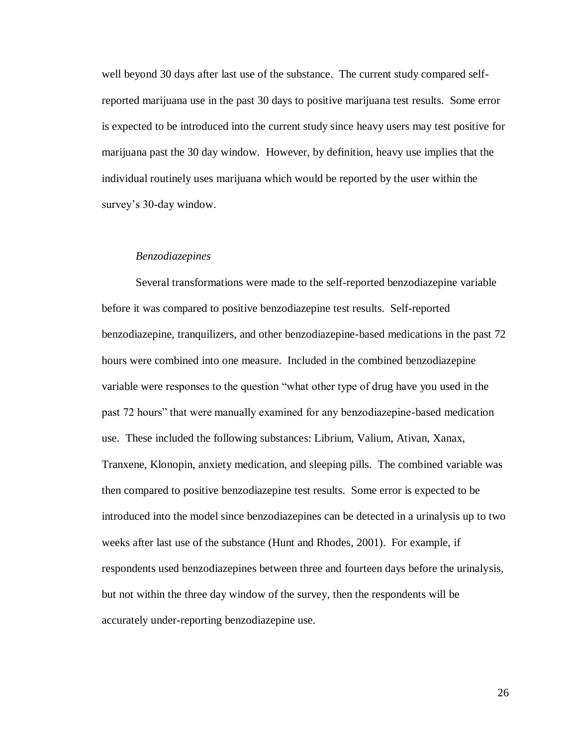well beyond 30 days after last use of the substance. The current study compared selfreported marijuana use in the past 30 days to positive marijuana test results. Some error is expected to be introduced into the current study since heavy users may test positive for marijuana past the 30 day window. However, by definition, heavy use implies that the individual routinely uses marijuana which would be reported by the user within the survey's 30-day window.

#### *Benzodiazepines*

Several transformations were made to the self-reported benzodiazepine variable before it was compared to positive benzodiazepine test results. Self-reported benzodiazepine, tranquilizers, and other benzodiazepine-based medications in the past 72 hours were combined into one measure. Included in the combined benzodiazepine variable were responses to the question "what other type of drug have you used in the past 72 hours" that were manually examined for any benzodiazepine-based medication use. These included the following substances: Librium, Valium, Ativan, Xanax, Tranxene, Klonopin, anxiety medication, and sleeping pills. The combined variable was then compared to positive benzodiazepine test results. Some error is expected to be introduced into the model since benzodiazepines can be detected in a urinalysis up to two weeks after last use of the substance (Hunt and Rhodes, 2001). For example, if respondents used benzodiazepines between three and fourteen days before the urinalysis, but not within the three day window of the survey, then the respondents will be accurately under-reporting benzodiazepine use.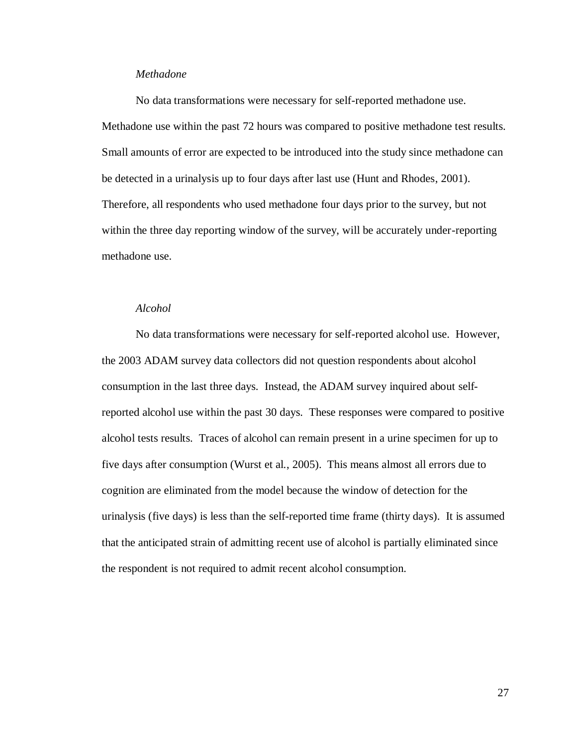#### *Methadone*

No data transformations were necessary for self-reported methadone use. Methadone use within the past 72 hours was compared to positive methadone test results. Small amounts of error are expected to be introduced into the study since methadone can be detected in a urinalysis up to four days after last use (Hunt and Rhodes, 2001). Therefore, all respondents who used methadone four days prior to the survey, but not within the three day reporting window of the survey, will be accurately under-reporting methadone use.

#### *Alcohol*

No data transformations were necessary for self-reported alcohol use. However, the 2003 ADAM survey data collectors did not question respondents about alcohol consumption in the last three days. Instead, the ADAM survey inquired about selfreported alcohol use within the past 30 days. These responses were compared to positive alcohol tests results. Traces of alcohol can remain present in a urine specimen for up to five days after consumption (Wurst et al., 2005). This means almost all errors due to cognition are eliminated from the model because the window of detection for the urinalysis (five days) is less than the self-reported time frame (thirty days). It is assumed that the anticipated strain of admitting recent use of alcohol is partially eliminated since the respondent is not required to admit recent alcohol consumption.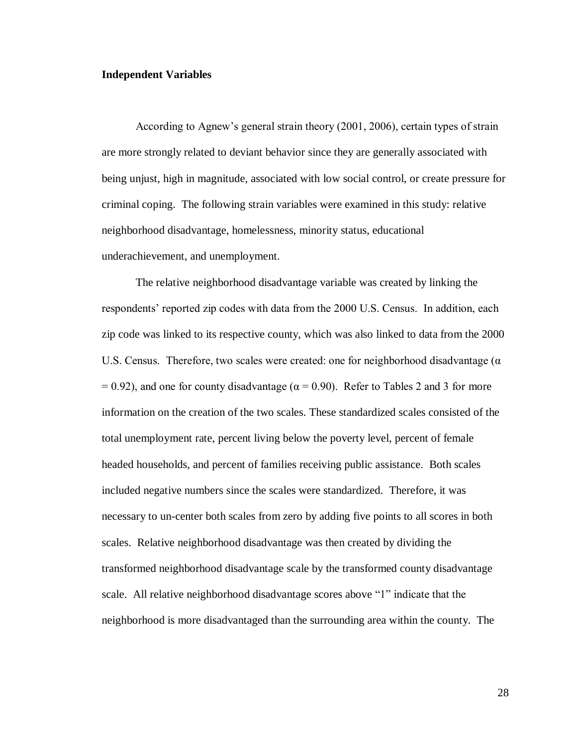#### **Independent Variables**

According to Agnew's general strain theory (2001, 2006), certain types of strain are more strongly related to deviant behavior since they are generally associated with being unjust, high in magnitude, associated with low social control, or create pressure for criminal coping. The following strain variables were examined in this study: relative neighborhood disadvantage, homelessness, minority status, educational underachievement, and unemployment.

The relative neighborhood disadvantage variable was created by linking the respondents' reported zip codes with data from the 2000 U.S. Census. In addition, each zip code was linked to its respective county, which was also linked to data from the 2000 U.S. Census. Therefore, two scales were created: one for neighborhood disadvantage ( $\alpha$ )  $= 0.92$ ), and one for county disadvantage ( $\alpha = 0.90$ ). Refer to Tables 2 and 3 for more information on the creation of the two scales. These standardized scales consisted of the total unemployment rate, percent living below the poverty level, percent of female headed households, and percent of families receiving public assistance. Both scales included negative numbers since the scales were standardized. Therefore, it was necessary to un-center both scales from zero by adding five points to all scores in both scales. Relative neighborhood disadvantage was then created by dividing the transformed neighborhood disadvantage scale by the transformed county disadvantage scale. All relative neighborhood disadvantage scores above "1" indicate that the neighborhood is more disadvantaged than the surrounding area within the county. The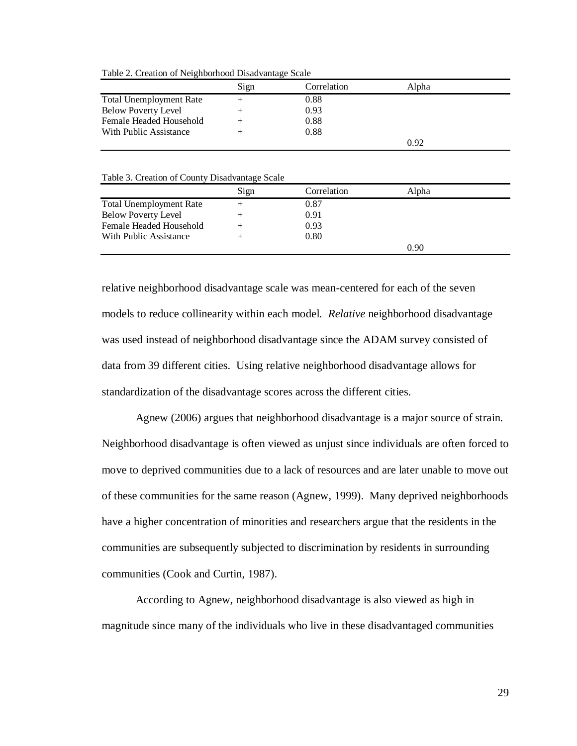Table 2. Creation of Neighborhood Disadvantage Scale

|                                | Sign | Correlation | Alpha |
|--------------------------------|------|-------------|-------|
| <b>Total Unemployment Rate</b> |      | 0.88        |       |
| <b>Below Poverty Level</b>     |      | 0.93        |       |
| Female Headed Household        |      | 0.88        |       |
| With Public Assistance         |      | 0.88        |       |
|                                |      |             | 0.92  |

Table 3. Creation of County Disadvantage Scale

|                                | Sign | Correlation | Alpha |  |
|--------------------------------|------|-------------|-------|--|
| <b>Total Unemployment Rate</b> |      | 0.87        |       |  |
| <b>Below Poverty Level</b>     |      | 0.91        |       |  |
| Female Headed Household        |      | 0.93        |       |  |
| With Public Assistance         |      | 0.80        |       |  |
|                                |      |             | 0.90  |  |

relative neighborhood disadvantage scale was mean-centered for each of the seven models to reduce collinearity within each model. *Relative* neighborhood disadvantage was used instead of neighborhood disadvantage since the ADAM survey consisted of data from 39 different cities. Using relative neighborhood disadvantage allows for standardization of the disadvantage scores across the different cities.

Agnew (2006) argues that neighborhood disadvantage is a major source of strain. Neighborhood disadvantage is often viewed as unjust since individuals are often forced to move to deprived communities due to a lack of resources and are later unable to move out of these communities for the same reason (Agnew, 1999). Many deprived neighborhoods have a higher concentration of minorities and researchers argue that the residents in the communities are subsequently subjected to discrimination by residents in surrounding communities (Cook and Curtin, 1987).

According to Agnew, neighborhood disadvantage is also viewed as high in magnitude since many of the individuals who live in these disadvantaged communities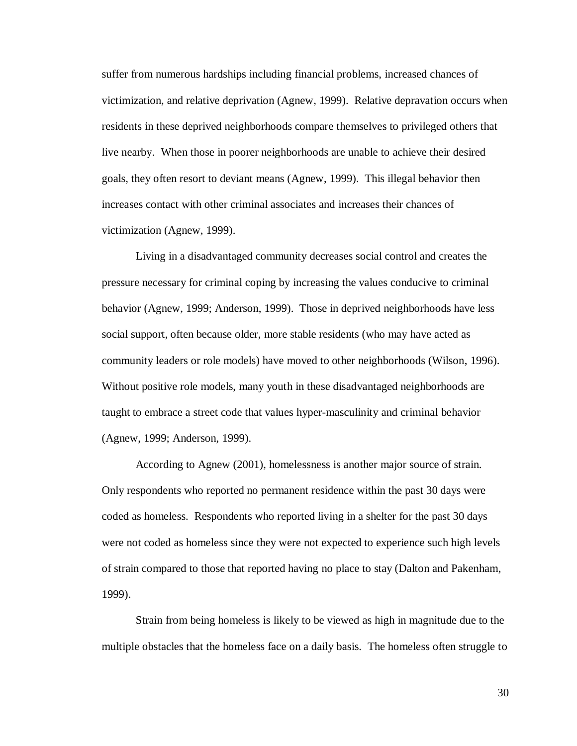suffer from numerous hardships including financial problems, increased chances of victimization, and relative deprivation (Agnew, 1999). Relative depravation occurs when residents in these deprived neighborhoods compare themselves to privileged others that live nearby. When those in poorer neighborhoods are unable to achieve their desired goals, they often resort to deviant means (Agnew, 1999). This illegal behavior then increases contact with other criminal associates and increases their chances of victimization (Agnew, 1999).

Living in a disadvantaged community decreases social control and creates the pressure necessary for criminal coping by increasing the values conducive to criminal behavior (Agnew, 1999; Anderson, 1999). Those in deprived neighborhoods have less social support, often because older, more stable residents (who may have acted as community leaders or role models) have moved to other neighborhoods (Wilson, 1996). Without positive role models, many youth in these disadvantaged neighborhoods are taught to embrace a street code that values hyper-masculinity and criminal behavior (Agnew, 1999; Anderson, 1999).

According to Agnew (2001), homelessness is another major source of strain. Only respondents who reported no permanent residence within the past 30 days were coded as homeless. Respondents who reported living in a shelter for the past 30 days were not coded as homeless since they were not expected to experience such high levels of strain compared to those that reported having no place to stay (Dalton and Pakenham, 1999).

Strain from being homeless is likely to be viewed as high in magnitude due to the multiple obstacles that the homeless face on a daily basis. The homeless often struggle to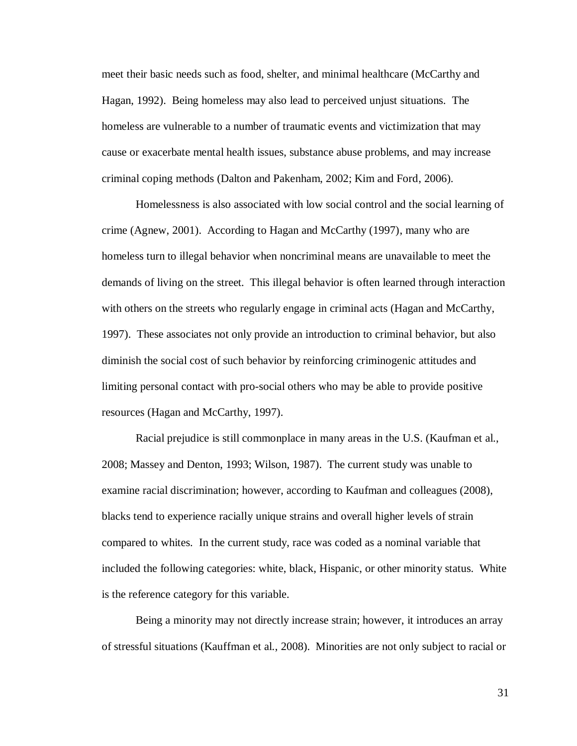meet their basic needs such as food, shelter, and minimal healthcare (McCarthy and Hagan, 1992). Being homeless may also lead to perceived unjust situations. The homeless are vulnerable to a number of traumatic events and victimization that may cause or exacerbate mental health issues, substance abuse problems, and may increase criminal coping methods (Dalton and Pakenham, 2002; Kim and Ford, 2006).

Homelessness is also associated with low social control and the social learning of crime (Agnew, 2001). According to Hagan and McCarthy (1997), many who are homeless turn to illegal behavior when noncriminal means are unavailable to meet the demands of living on the street. This illegal behavior is often learned through interaction with others on the streets who regularly engage in criminal acts (Hagan and McCarthy, 1997). These associates not only provide an introduction to criminal behavior, but also diminish the social cost of such behavior by reinforcing criminogenic attitudes and limiting personal contact with pro-social others who may be able to provide positive resources (Hagan and McCarthy, 1997).

Racial prejudice is still commonplace in many areas in the U.S. (Kaufman et al., 2008; Massey and Denton, 1993; Wilson, 1987). The current study was unable to examine racial discrimination; however, according to Kaufman and colleagues (2008), blacks tend to experience racially unique strains and overall higher levels of strain compared to whites. In the current study, race was coded as a nominal variable that included the following categories: white, black, Hispanic, or other minority status. White is the reference category for this variable.

Being a minority may not directly increase strain; however, it introduces an array of stressful situations (Kauffman et al., 2008). Minorities are not only subject to racial or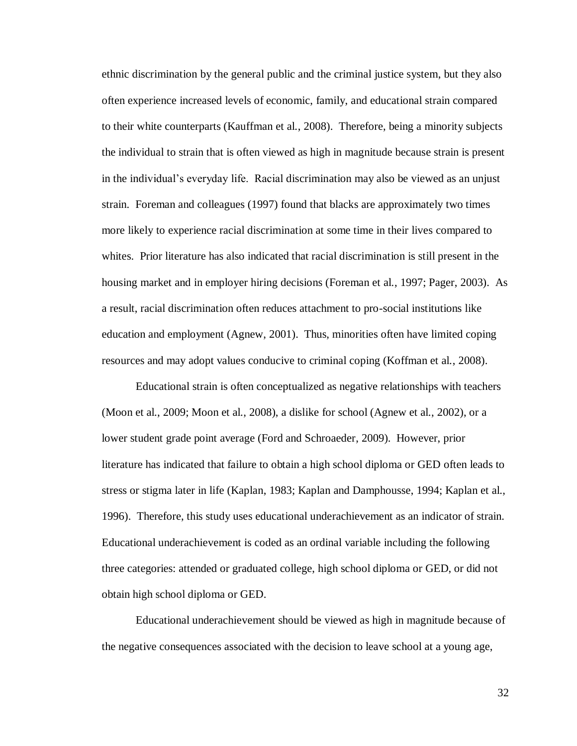ethnic discrimination by the general public and the criminal justice system, but they also often experience increased levels of economic, family, and educational strain compared to their white counterparts (Kauffman et al., 2008). Therefore, being a minority subjects the individual to strain that is often viewed as high in magnitude because strain is present in the individual's everyday life. Racial discrimination may also be viewed as an unjust strain. Foreman and colleagues (1997) found that blacks are approximately two times more likely to experience racial discrimination at some time in their lives compared to whites. Prior literature has also indicated that racial discrimination is still present in the housing market and in employer hiring decisions (Foreman et al., 1997; Pager, 2003). As a result, racial discrimination often reduces attachment to pro-social institutions like education and employment (Agnew, 2001). Thus, minorities often have limited coping resources and may adopt values conducive to criminal coping (Koffman et al., 2008).

Educational strain is often conceptualized as negative relationships with teachers (Moon et al., 2009; Moon et al., 2008), a dislike for school (Agnew et al., 2002), or a lower student grade point average (Ford and Schroaeder, 2009). However, prior literature has indicated that failure to obtain a high school diploma or GED often leads to stress or stigma later in life (Kaplan, 1983; Kaplan and Damphousse, 1994; Kaplan et al., 1996). Therefore, this study uses educational underachievement as an indicator of strain. Educational underachievement is coded as an ordinal variable including the following three categories: attended or graduated college, high school diploma or GED, or did not obtain high school diploma or GED.

Educational underachievement should be viewed as high in magnitude because of the negative consequences associated with the decision to leave school at a young age,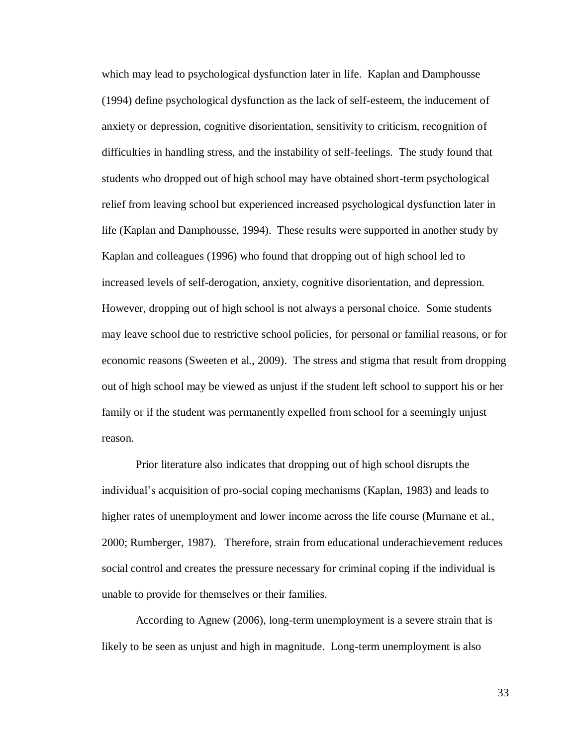which may lead to psychological dysfunction later in life. Kaplan and Damphousse (1994) define psychological dysfunction as the lack of self-esteem, the inducement of anxiety or depression, cognitive disorientation, sensitivity to criticism, recognition of difficulties in handling stress, and the instability of self-feelings. The study found that students who dropped out of high school may have obtained short-term psychological relief from leaving school but experienced increased psychological dysfunction later in life (Kaplan and Damphousse, 1994). These results were supported in another study by Kaplan and colleagues (1996) who found that dropping out of high school led to increased levels of self-derogation, anxiety, cognitive disorientation, and depression. However, dropping out of high school is not always a personal choice. Some students may leave school due to restrictive school policies, for personal or familial reasons, or for economic reasons (Sweeten et al., 2009). The stress and stigma that result from dropping out of high school may be viewed as unjust if the student left school to support his or her family or if the student was permanently expelled from school for a seemingly unjust reason.

Prior literature also indicates that dropping out of high school disrupts the individual's acquisition of pro-social coping mechanisms (Kaplan, 1983) and leads to higher rates of unemployment and lower income across the life course (Murnane et al., 2000; Rumberger, 1987). Therefore, strain from educational underachievement reduces social control and creates the pressure necessary for criminal coping if the individual is unable to provide for themselves or their families.

According to Agnew (2006), long-term unemployment is a severe strain that is likely to be seen as unjust and high in magnitude. Long-term unemployment is also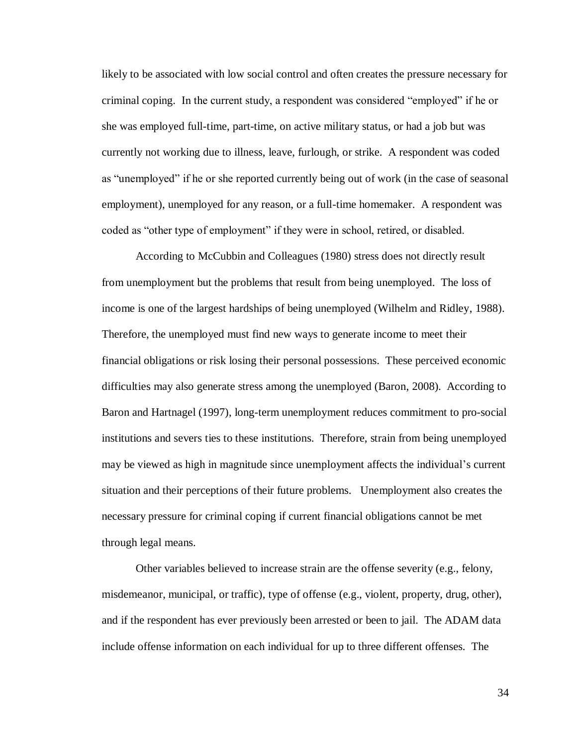likely to be associated with low social control and often creates the pressure necessary for criminal coping. In the current study, a respondent was considered "employed" if he or she was employed full-time, part-time, on active military status, or had a job but was currently not working due to illness, leave, furlough, or strike. A respondent was coded as "unemployed" if he or she reported currently being out of work (in the case of seasonal employment), unemployed for any reason, or a full-time homemaker. A respondent was coded as "other type of employment" if they were in school, retired, or disabled.

According to McCubbin and Colleagues (1980) stress does not directly result from unemployment but the problems that result from being unemployed. The loss of income is one of the largest hardships of being unemployed (Wilhelm and Ridley, 1988). Therefore, the unemployed must find new ways to generate income to meet their financial obligations or risk losing their personal possessions. These perceived economic difficulties may also generate stress among the unemployed (Baron, 2008). According to Baron and Hartnagel (1997), long-term unemployment reduces commitment to pro-social institutions and severs ties to these institutions. Therefore, strain from being unemployed may be viewed as high in magnitude since unemployment affects the individual's current situation and their perceptions of their future problems. Unemployment also creates the necessary pressure for criminal coping if current financial obligations cannot be met through legal means.

Other variables believed to increase strain are the offense severity (e.g., felony, misdemeanor, municipal, or traffic), type of offense (e.g., violent, property, drug, other), and if the respondent has ever previously been arrested or been to jail. The ADAM data include offense information on each individual for up to three different offenses. The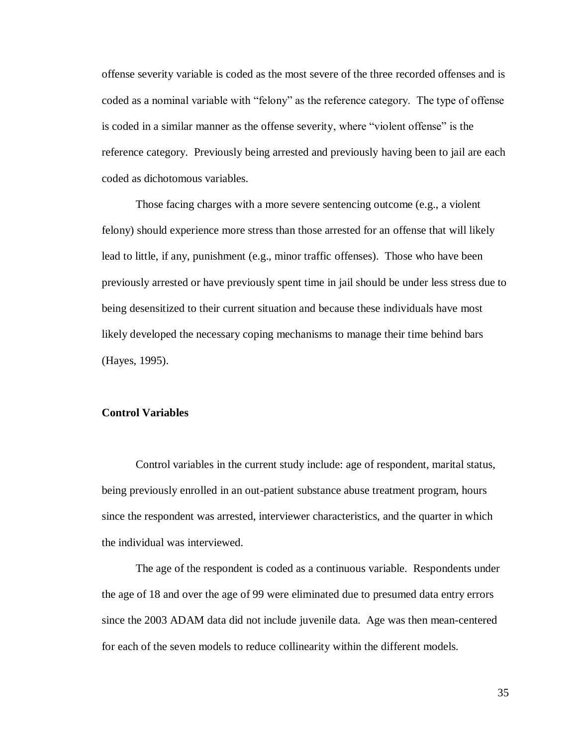offense severity variable is coded as the most severe of the three recorded offenses and is coded as a nominal variable with "felony" as the reference category. The type of offense is coded in a similar manner as the offense severity, where "violent offense" is the reference category. Previously being arrested and previously having been to jail are each coded as dichotomous variables.

Those facing charges with a more severe sentencing outcome (e.g., a violent felony) should experience more stress than those arrested for an offense that will likely lead to little, if any, punishment (e.g., minor traffic offenses). Those who have been previously arrested or have previously spent time in jail should be under less stress due to being desensitized to their current situation and because these individuals have most likely developed the necessary coping mechanisms to manage their time behind bars (Hayes, 1995).

## **Control Variables**

Control variables in the current study include: age of respondent, marital status, being previously enrolled in an out-patient substance abuse treatment program, hours since the respondent was arrested, interviewer characteristics, and the quarter in which the individual was interviewed.

The age of the respondent is coded as a continuous variable. Respondents under the age of 18 and over the age of 99 were eliminated due to presumed data entry errors since the 2003 ADAM data did not include juvenile data. Age was then mean-centered for each of the seven models to reduce collinearity within the different models.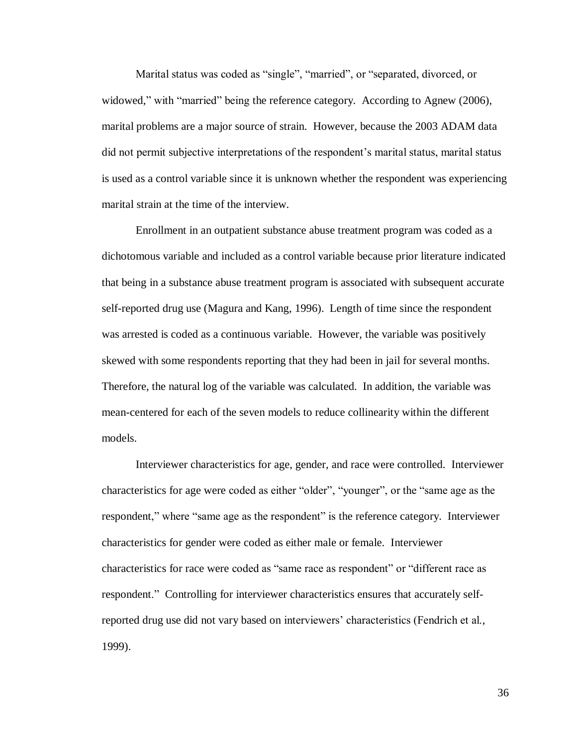Marital status was coded as "single", "married", or "separated, divorced, or widowed," with "married" being the reference category. According to Agnew (2006), marital problems are a major source of strain. However, because the 2003 ADAM data did not permit subjective interpretations of the respondent's marital status, marital status is used as a control variable since it is unknown whether the respondent was experiencing marital strain at the time of the interview.

Enrollment in an outpatient substance abuse treatment program was coded as a dichotomous variable and included as a control variable because prior literature indicated that being in a substance abuse treatment program is associated with subsequent accurate self-reported drug use (Magura and Kang, 1996). Length of time since the respondent was arrested is coded as a continuous variable. However, the variable was positively skewed with some respondents reporting that they had been in jail for several months. Therefore, the natural log of the variable was calculated. In addition, the variable was mean-centered for each of the seven models to reduce collinearity within the different models.

Interviewer characteristics for age, gender, and race were controlled. Interviewer characteristics for age were coded as either "older", "younger", or the "same age as the respondent," where "same age as the respondent" is the reference category. Interviewer characteristics for gender were coded as either male or female. Interviewer characteristics for race were coded as "same race as respondent" or "different race as respondent." Controlling for interviewer characteristics ensures that accurately selfreported drug use did not vary based on interviewers' characteristics (Fendrich et al., 1999).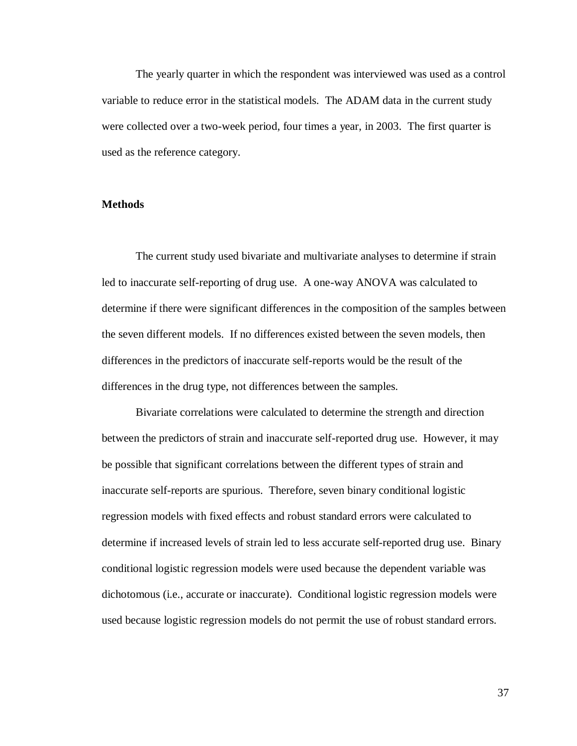The yearly quarter in which the respondent was interviewed was used as a control variable to reduce error in the statistical models. The ADAM data in the current study were collected over a two-week period, four times a year, in 2003. The first quarter is used as the reference category.

### **Methods**

The current study used bivariate and multivariate analyses to determine if strain led to inaccurate self-reporting of drug use. A one-way ANOVA was calculated to determine if there were significant differences in the composition of the samples between the seven different models. If no differences existed between the seven models, then differences in the predictors of inaccurate self-reports would be the result of the differences in the drug type, not differences between the samples.

Bivariate correlations were calculated to determine the strength and direction between the predictors of strain and inaccurate self-reported drug use. However, it may be possible that significant correlations between the different types of strain and inaccurate self-reports are spurious. Therefore, seven binary conditional logistic regression models with fixed effects and robust standard errors were calculated to determine if increased levels of strain led to less accurate self-reported drug use. Binary conditional logistic regression models were used because the dependent variable was dichotomous (i.e., accurate or inaccurate). Conditional logistic regression models were used because logistic regression models do not permit the use of robust standard errors.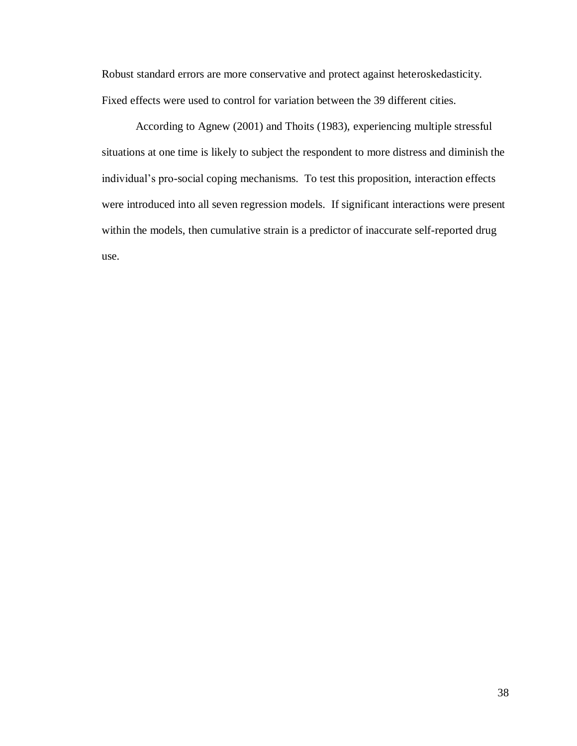Robust standard errors are more conservative and protect against heteroskedasticity. Fixed effects were used to control for variation between the 39 different cities.

According to Agnew (2001) and Thoits (1983), experiencing multiple stressful situations at one time is likely to subject the respondent to more distress and diminish the individual's pro-social coping mechanisms. To test this proposition, interaction effects were introduced into all seven regression models. If significant interactions were present within the models, then cumulative strain is a predictor of inaccurate self-reported drug use.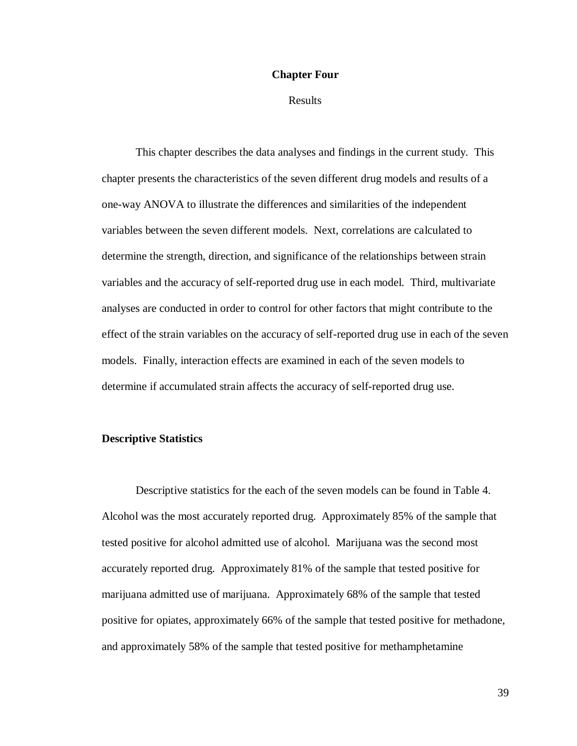### **Chapter Four**

Results

This chapter describes the data analyses and findings in the current study. This chapter presents the characteristics of the seven different drug models and results of a one-way ANOVA to illustrate the differences and similarities of the independent variables between the seven different models. Next, correlations are calculated to determine the strength, direction, and significance of the relationships between strain variables and the accuracy of self-reported drug use in each model. Third, multivariate analyses are conducted in order to control for other factors that might contribute to the effect of the strain variables on the accuracy of self-reported drug use in each of the seven models. Finally, interaction effects are examined in each of the seven models to determine if accumulated strain affects the accuracy of self-reported drug use.

### **Descriptive Statistics**

Descriptive statistics for the each of the seven models can be found in Table 4. Alcohol was the most accurately reported drug. Approximately 85% of the sample that tested positive for alcohol admitted use of alcohol. Marijuana was the second most accurately reported drug. Approximately 81% of the sample that tested positive for marijuana admitted use of marijuana. Approximately 68% of the sample that tested positive for opiates, approximately 66% of the sample that tested positive for methadone, and approximately 58% of the sample that tested positive for methamphetamine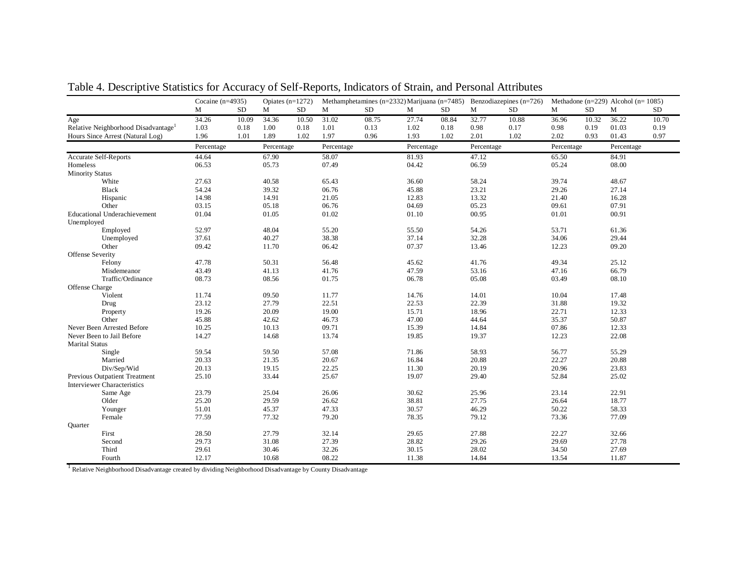|                                                                                                                                                                                                                                                                                                                                                           | Cocaine $(n=4935)$                                                                                                                                                               |           | Opiates $(n=1272)$                                                                                                                                                               |           | Methamphetamines ( $n=2332$ ) Marijuana ( $n=7485$ ) Benzodiazepines ( $n=726$ )                                                                                                 |       |                                                                                                                                                                                  |       | Methadone ( $n=229$ ) Alcohol ( $n=1085$ )                                                                                                                                                |       |                                                                                                                                                                                  |           |                                                                                                                                                                                           |       |
|-----------------------------------------------------------------------------------------------------------------------------------------------------------------------------------------------------------------------------------------------------------------------------------------------------------------------------------------------------------|----------------------------------------------------------------------------------------------------------------------------------------------------------------------------------|-----------|----------------------------------------------------------------------------------------------------------------------------------------------------------------------------------|-----------|----------------------------------------------------------------------------------------------------------------------------------------------------------------------------------|-------|----------------------------------------------------------------------------------------------------------------------------------------------------------------------------------|-------|-------------------------------------------------------------------------------------------------------------------------------------------------------------------------------------------|-------|----------------------------------------------------------------------------------------------------------------------------------------------------------------------------------|-----------|-------------------------------------------------------------------------------------------------------------------------------------------------------------------------------------------|-------|
|                                                                                                                                                                                                                                                                                                                                                           | М                                                                                                                                                                                | <b>SD</b> | M                                                                                                                                                                                | <b>SD</b> | М                                                                                                                                                                                | SD    | М                                                                                                                                                                                | SD    | М                                                                                                                                                                                         | SD    | М                                                                                                                                                                                | <b>SD</b> | M                                                                                                                                                                                         | SD.   |
| Age                                                                                                                                                                                                                                                                                                                                                       | 34.26                                                                                                                                                                            | 10.09     | 34.36                                                                                                                                                                            | 10.50     | 31.02                                                                                                                                                                            | 08.75 | 27.74                                                                                                                                                                            | 08.84 | 32.77                                                                                                                                                                                     | 10.88 | 36.96                                                                                                                                                                            | 10.32     | 36.22                                                                                                                                                                                     | 10.70 |
| Relative Neighborhood Disadvantage                                                                                                                                                                                                                                                                                                                        | 1.03                                                                                                                                                                             | 0.18      | 1.00                                                                                                                                                                             | 0.18      | 1.01                                                                                                                                                                             | 0.13  | 1.02                                                                                                                                                                             | 0.18  | 0.98                                                                                                                                                                                      | 0.17  | 0.98                                                                                                                                                                             | 0.19      | 01.03                                                                                                                                                                                     | 0.19  |
| Hours Since Arrest (Natural Log)                                                                                                                                                                                                                                                                                                                          | 1.96                                                                                                                                                                             | 1.01      | 1.89                                                                                                                                                                             | 1.02      | 1.97                                                                                                                                                                             | 0.96  | 1.93                                                                                                                                                                             | 1.02  | 2.01                                                                                                                                                                                      | 1.02  | 2.02                                                                                                                                                                             | 0.93      | 01.43                                                                                                                                                                                     | 0.97  |
|                                                                                                                                                                                                                                                                                                                                                           | Percentage                                                                                                                                                                       |           | Percentage                                                                                                                                                                       |           | Percentage                                                                                                                                                                       |       | Percentage                                                                                                                                                                       |       | Percentage                                                                                                                                                                                |       | Percentage                                                                                                                                                                       |           | Percentage                                                                                                                                                                                |       |
| Accurate Self-Reports                                                                                                                                                                                                                                                                                                                                     | 44.64                                                                                                                                                                            |           | 67.90                                                                                                                                                                            |           | 58.07                                                                                                                                                                            |       | 81.93                                                                                                                                                                            |       | 47.12                                                                                                                                                                                     |       | 65.50                                                                                                                                                                            |           | 84.91                                                                                                                                                                                     |       |
| Homeless                                                                                                                                                                                                                                                                                                                                                  | 06.53                                                                                                                                                                            |           | 05.73                                                                                                                                                                            |           | 07.49                                                                                                                                                                            |       | 04.42                                                                                                                                                                            |       | 06.59                                                                                                                                                                                     |       | 05.24                                                                                                                                                                            |           | 08.00                                                                                                                                                                                     |       |
| <b>Minority Status</b>                                                                                                                                                                                                                                                                                                                                    |                                                                                                                                                                                  |           |                                                                                                                                                                                  |           |                                                                                                                                                                                  |       |                                                                                                                                                                                  |       |                                                                                                                                                                                           |       |                                                                                                                                                                                  |           |                                                                                                                                                                                           |       |
| White                                                                                                                                                                                                                                                                                                                                                     | 27.63                                                                                                                                                                            |           | 40.58                                                                                                                                                                            |           | 65.43                                                                                                                                                                            |       | 36.60                                                                                                                                                                            |       | 58.24                                                                                                                                                                                     |       | 39.74                                                                                                                                                                            |           | 48.67                                                                                                                                                                                     |       |
| Black                                                                                                                                                                                                                                                                                                                                                     | 54.24                                                                                                                                                                            |           | 39.32                                                                                                                                                                            |           | 06.76                                                                                                                                                                            |       | 45.88                                                                                                                                                                            |       | 23.21                                                                                                                                                                                     |       | 29.26                                                                                                                                                                            |           | 27.14                                                                                                                                                                                     |       |
| Hispanic                                                                                                                                                                                                                                                                                                                                                  | 14.98                                                                                                                                                                            |           | 14.91                                                                                                                                                                            |           | 21.05                                                                                                                                                                            |       | 12.83                                                                                                                                                                            |       | 13.32                                                                                                                                                                                     |       | 21.40                                                                                                                                                                            |           | 16.28                                                                                                                                                                                     |       |
| Other                                                                                                                                                                                                                                                                                                                                                     | 03.15                                                                                                                                                                            |           | 05.18                                                                                                                                                                            |           | 06.76                                                                                                                                                                            |       | 04.69                                                                                                                                                                            |       | 05.23                                                                                                                                                                                     |       | 09.61                                                                                                                                                                            |           | 07.91                                                                                                                                                                                     |       |
| <b>Educational Underachievement</b>                                                                                                                                                                                                                                                                                                                       | 01.04                                                                                                                                                                            |           | 01.05                                                                                                                                                                            |           | 01.02                                                                                                                                                                            |       | 01.10                                                                                                                                                                            |       | 00.95                                                                                                                                                                                     |       | 01.01                                                                                                                                                                            |           | 00.91                                                                                                                                                                                     |       |
| Unemployed                                                                                                                                                                                                                                                                                                                                                |                                                                                                                                                                                  |           |                                                                                                                                                                                  |           |                                                                                                                                                                                  |       |                                                                                                                                                                                  |       |                                                                                                                                                                                           |       |                                                                                                                                                                                  |           |                                                                                                                                                                                           |       |
| Employed                                                                                                                                                                                                                                                                                                                                                  | 52.97                                                                                                                                                                            |           | 48.04                                                                                                                                                                            |           | 55.20                                                                                                                                                                            |       | 55.50                                                                                                                                                                            |       | 54.26                                                                                                                                                                                     |       | 53.71                                                                                                                                                                            |           | 61.36                                                                                                                                                                                     |       |
| Unemployed                                                                                                                                                                                                                                                                                                                                                | 37.61                                                                                                                                                                            |           | 40.27                                                                                                                                                                            |           | 38.38                                                                                                                                                                            |       | 37.14                                                                                                                                                                            |       | 32.28                                                                                                                                                                                     |       | 34.06                                                                                                                                                                            |           | 29.44                                                                                                                                                                                     |       |
| Other                                                                                                                                                                                                                                                                                                                                                     | 09.42                                                                                                                                                                            |           | 11.70                                                                                                                                                                            |           | 06.42                                                                                                                                                                            |       | 07.37                                                                                                                                                                            |       | 13.46                                                                                                                                                                                     |       | 12.23                                                                                                                                                                            |           | 09.20                                                                                                                                                                                     |       |
|                                                                                                                                                                                                                                                                                                                                                           |                                                                                                                                                                                  |           |                                                                                                                                                                                  |           |                                                                                                                                                                                  |       |                                                                                                                                                                                  |       |                                                                                                                                                                                           |       |                                                                                                                                                                                  |           |                                                                                                                                                                                           |       |
|                                                                                                                                                                                                                                                                                                                                                           |                                                                                                                                                                                  |           |                                                                                                                                                                                  |           |                                                                                                                                                                                  |       |                                                                                                                                                                                  |       |                                                                                                                                                                                           |       |                                                                                                                                                                                  |           |                                                                                                                                                                                           |       |
| Misdemeanor                                                                                                                                                                                                                                                                                                                                               | 43.49                                                                                                                                                                            |           | 41.13                                                                                                                                                                            |           |                                                                                                                                                                                  |       |                                                                                                                                                                                  |       |                                                                                                                                                                                           |       | 47.16                                                                                                                                                                            |           |                                                                                                                                                                                           |       |
|                                                                                                                                                                                                                                                                                                                                                           |                                                                                                                                                                                  |           |                                                                                                                                                                                  |           |                                                                                                                                                                                  |       |                                                                                                                                                                                  |       |                                                                                                                                                                                           |       |                                                                                                                                                                                  |           |                                                                                                                                                                                           |       |
|                                                                                                                                                                                                                                                                                                                                                           |                                                                                                                                                                                  |           |                                                                                                                                                                                  |           |                                                                                                                                                                                  |       |                                                                                                                                                                                  |       |                                                                                                                                                                                           |       |                                                                                                                                                                                  |           |                                                                                                                                                                                           |       |
|                                                                                                                                                                                                                                                                                                                                                           |                                                                                                                                                                                  |           |                                                                                                                                                                                  |           |                                                                                                                                                                                  |       |                                                                                                                                                                                  |       |                                                                                                                                                                                           |       |                                                                                                                                                                                  |           |                                                                                                                                                                                           |       |
|                                                                                                                                                                                                                                                                                                                                                           |                                                                                                                                                                                  |           |                                                                                                                                                                                  |           |                                                                                                                                                                                  |       |                                                                                                                                                                                  |       |                                                                                                                                                                                           |       |                                                                                                                                                                                  |           |                                                                                                                                                                                           |       |
|                                                                                                                                                                                                                                                                                                                                                           |                                                                                                                                                                                  |           |                                                                                                                                                                                  |           |                                                                                                                                                                                  |       |                                                                                                                                                                                  |       |                                                                                                                                                                                           |       |                                                                                                                                                                                  |           |                                                                                                                                                                                           |       |
|                                                                                                                                                                                                                                                                                                                                                           |                                                                                                                                                                                  |           |                                                                                                                                                                                  |           |                                                                                                                                                                                  |       |                                                                                                                                                                                  |       |                                                                                                                                                                                           |       |                                                                                                                                                                                  |           |                                                                                                                                                                                           |       |
|                                                                                                                                                                                                                                                                                                                                                           |                                                                                                                                                                                  |           |                                                                                                                                                                                  |           |                                                                                                                                                                                  |       |                                                                                                                                                                                  |       |                                                                                                                                                                                           |       |                                                                                                                                                                                  |           |                                                                                                                                                                                           |       |
|                                                                                                                                                                                                                                                                                                                                                           |                                                                                                                                                                                  |           |                                                                                                                                                                                  |           |                                                                                                                                                                                  |       |                                                                                                                                                                                  |       |                                                                                                                                                                                           |       |                                                                                                                                                                                  |           |                                                                                                                                                                                           |       |
|                                                                                                                                                                                                                                                                                                                                                           |                                                                                                                                                                                  |           |                                                                                                                                                                                  |           |                                                                                                                                                                                  |       |                                                                                                                                                                                  |       |                                                                                                                                                                                           |       |                                                                                                                                                                                  |           |                                                                                                                                                                                           |       |
|                                                                                                                                                                                                                                                                                                                                                           |                                                                                                                                                                                  |           |                                                                                                                                                                                  |           |                                                                                                                                                                                  |       |                                                                                                                                                                                  |       |                                                                                                                                                                                           |       |                                                                                                                                                                                  |           |                                                                                                                                                                                           |       |
| Married                                                                                                                                                                                                                                                                                                                                                   |                                                                                                                                                                                  |           |                                                                                                                                                                                  |           | 20.67                                                                                                                                                                            |       | 16.84                                                                                                                                                                            |       |                                                                                                                                                                                           |       |                                                                                                                                                                                  |           |                                                                                                                                                                                           |       |
|                                                                                                                                                                                                                                                                                                                                                           |                                                                                                                                                                                  |           |                                                                                                                                                                                  |           |                                                                                                                                                                                  |       |                                                                                                                                                                                  |       |                                                                                                                                                                                           |       |                                                                                                                                                                                  |           |                                                                                                                                                                                           |       |
|                                                                                                                                                                                                                                                                                                                                                           |                                                                                                                                                                                  |           |                                                                                                                                                                                  |           |                                                                                                                                                                                  |       |                                                                                                                                                                                  |       |                                                                                                                                                                                           |       |                                                                                                                                                                                  |           |                                                                                                                                                                                           |       |
| <b>Interviewer Characteristics</b>                                                                                                                                                                                                                                                                                                                        |                                                                                                                                                                                  |           |                                                                                                                                                                                  |           |                                                                                                                                                                                  |       |                                                                                                                                                                                  |       |                                                                                                                                                                                           |       |                                                                                                                                                                                  |           |                                                                                                                                                                                           |       |
|                                                                                                                                                                                                                                                                                                                                                           |                                                                                                                                                                                  |           |                                                                                                                                                                                  |           |                                                                                                                                                                                  |       |                                                                                                                                                                                  |       |                                                                                                                                                                                           |       |                                                                                                                                                                                  |           |                                                                                                                                                                                           |       |
|                                                                                                                                                                                                                                                                                                                                                           |                                                                                                                                                                                  |           |                                                                                                                                                                                  |           |                                                                                                                                                                                  |       |                                                                                                                                                                                  |       |                                                                                                                                                                                           |       |                                                                                                                                                                                  |           |                                                                                                                                                                                           |       |
|                                                                                                                                                                                                                                                                                                                                                           |                                                                                                                                                                                  |           |                                                                                                                                                                                  |           |                                                                                                                                                                                  |       |                                                                                                                                                                                  |       |                                                                                                                                                                                           |       |                                                                                                                                                                                  |           |                                                                                                                                                                                           |       |
|                                                                                                                                                                                                                                                                                                                                                           |                                                                                                                                                                                  |           |                                                                                                                                                                                  |           |                                                                                                                                                                                  |       |                                                                                                                                                                                  |       |                                                                                                                                                                                           |       |                                                                                                                                                                                  |           |                                                                                                                                                                                           |       |
|                                                                                                                                                                                                                                                                                                                                                           |                                                                                                                                                                                  |           |                                                                                                                                                                                  |           |                                                                                                                                                                                  |       |                                                                                                                                                                                  |       |                                                                                                                                                                                           |       |                                                                                                                                                                                  |           |                                                                                                                                                                                           |       |
|                                                                                                                                                                                                                                                                                                                                                           |                                                                                                                                                                                  |           |                                                                                                                                                                                  |           |                                                                                                                                                                                  |       |                                                                                                                                                                                  |       |                                                                                                                                                                                           |       |                                                                                                                                                                                  |           |                                                                                                                                                                                           |       |
|                                                                                                                                                                                                                                                                                                                                                           |                                                                                                                                                                                  |           |                                                                                                                                                                                  |           |                                                                                                                                                                                  |       |                                                                                                                                                                                  |       |                                                                                                                                                                                           |       |                                                                                                                                                                                  |           |                                                                                                                                                                                           |       |
|                                                                                                                                                                                                                                                                                                                                                           |                                                                                                                                                                                  |           |                                                                                                                                                                                  |           |                                                                                                                                                                                  |       |                                                                                                                                                                                  |       |                                                                                                                                                                                           |       |                                                                                                                                                                                  |           |                                                                                                                                                                                           |       |
|                                                                                                                                                                                                                                                                                                                                                           |                                                                                                                                                                                  |           |                                                                                                                                                                                  |           |                                                                                                                                                                                  |       |                                                                                                                                                                                  |       |                                                                                                                                                                                           |       |                                                                                                                                                                                  |           |                                                                                                                                                                                           |       |
| Offense Severity<br>Felony<br>Traffic/Ordinance<br>Offense Charge<br>Violent<br>Drug<br>Property<br>Other<br>Never Been Arrested Before<br>Never Been to Jail Before<br><b>Marital Status</b><br>Single<br>Div/Sep/Wid<br>Previous Outpatient Treatment<br>Same Age<br>Older<br>Younger<br>Female<br><b>Ouarter</b><br>First<br>Second<br>Third<br>Fourth | 47.78<br>08.73<br>11.74<br>23.12<br>19.26<br>45.88<br>10.25<br>14.27<br>59.54<br>20.33<br>20.13<br>25.10<br>23.79<br>25.20<br>51.01<br>77.59<br>28.50<br>29.73<br>29.61<br>12.17 |           | 50.31<br>08.56<br>09.50<br>27.79<br>20.09<br>42.62<br>10.13<br>14.68<br>59.50<br>21.35<br>19.15<br>33.44<br>25.04<br>29.59<br>45.37<br>77.32<br>27.79<br>31.08<br>30.46<br>10.68 |           | 56.48<br>41.76<br>01.75<br>11.77<br>22.51<br>19.00<br>46.73<br>09.71<br>13.74<br>57.08<br>22.25<br>25.67<br>26.06<br>26.62<br>47.33<br>79.20<br>32.14<br>27.39<br>32.26<br>08.22 |       | 45.62<br>47.59<br>06.78<br>14.76<br>22.53<br>15.71<br>47.00<br>15.39<br>19.85<br>71.86<br>11.30<br>19.07<br>30.62<br>38.81<br>30.57<br>78.35<br>29.65<br>28.82<br>30.15<br>11.38 |       | 41.76<br>53.16<br>05.08<br>14.01<br>22.39<br>18.96<br>44.64<br>14.84<br>19.37<br>58.93<br>20.88<br>20.19<br>29.40<br>25.96<br>27.75<br>46.29<br>79.12<br>27.88<br>29.26<br>28.02<br>14.84 |       | 49.34<br>03.49<br>10.04<br>31.88<br>22.71<br>35.37<br>07.86<br>12.23<br>56.77<br>22.27<br>20.96<br>52.84<br>23.14<br>26.64<br>50.22<br>73.36<br>22.27<br>29.69<br>34.50<br>13.54 |           | 25.12<br>66.79<br>08.10<br>17.48<br>19.32<br>12.33<br>50.87<br>12.33<br>22.08<br>55.29<br>20.88<br>23.83<br>25.02<br>22.91<br>18.77<br>58.33<br>77.09<br>32.66<br>27.78<br>27.69<br>11.87 |       |

Table 4. Descriptive Statistics for Accuracy of Self-Reports, Indicators of Strain, and Personal Attributes

<sup>1</sup> Relative Neighborhood Disadvantage created by dividing Neighborhood Disadvantage by County Disadvantage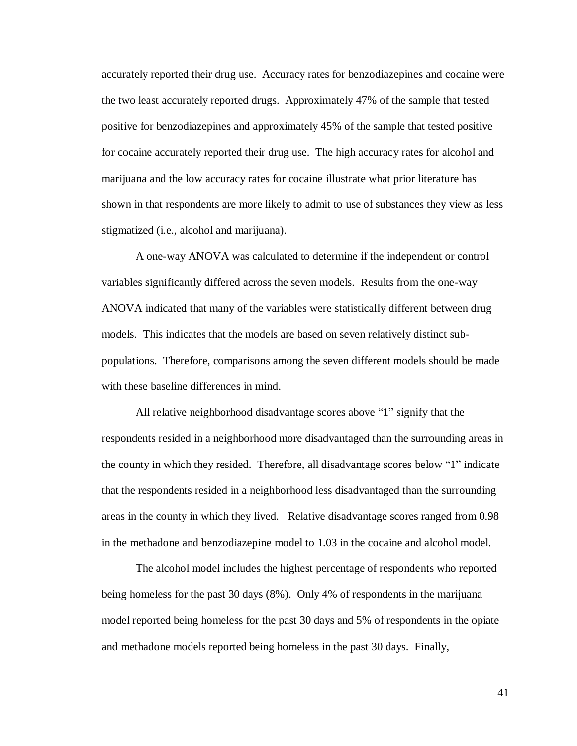accurately reported their drug use. Accuracy rates for benzodiazepines and cocaine were the two least accurately reported drugs. Approximately 47% of the sample that tested positive for benzodiazepines and approximately 45% of the sample that tested positive for cocaine accurately reported their drug use. The high accuracy rates for alcohol and marijuana and the low accuracy rates for cocaine illustrate what prior literature has shown in that respondents are more likely to admit to use of substances they view as less stigmatized (i.e., alcohol and marijuana).

A one-way ANOVA was calculated to determine if the independent or control variables significantly differed across the seven models. Results from the one-way ANOVA indicated that many of the variables were statistically different between drug models. This indicates that the models are based on seven relatively distinct subpopulations. Therefore, comparisons among the seven different models should be made with these baseline differences in mind.

All relative neighborhood disadvantage scores above "1" signify that the respondents resided in a neighborhood more disadvantaged than the surrounding areas in the county in which they resided. Therefore, all disadvantage scores below "1" indicate that the respondents resided in a neighborhood less disadvantaged than the surrounding areas in the county in which they lived. Relative disadvantage scores ranged from 0.98 in the methadone and benzodiazepine model to 1.03 in the cocaine and alcohol model.

The alcohol model includes the highest percentage of respondents who reported being homeless for the past 30 days (8%). Only 4% of respondents in the marijuana model reported being homeless for the past 30 days and 5% of respondents in the opiate and methadone models reported being homeless in the past 30 days. Finally,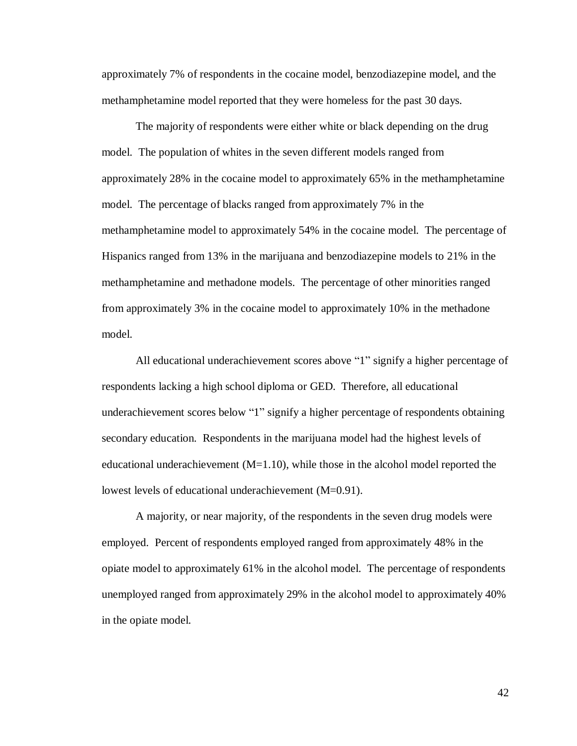approximately 7% of respondents in the cocaine model, benzodiazepine model, and the methamphetamine model reported that they were homeless for the past 30 days.

The majority of respondents were either white or black depending on the drug model. The population of whites in the seven different models ranged from approximately 28% in the cocaine model to approximately 65% in the methamphetamine model. The percentage of blacks ranged from approximately 7% in the methamphetamine model to approximately 54% in the cocaine model. The percentage of Hispanics ranged from 13% in the marijuana and benzodiazepine models to 21% in the methamphetamine and methadone models. The percentage of other minorities ranged from approximately 3% in the cocaine model to approximately 10% in the methadone model.

All educational underachievement scores above "1" signify a higher percentage of respondents lacking a high school diploma or GED. Therefore, all educational underachievement scores below "1" signify a higher percentage of respondents obtaining secondary education. Respondents in the marijuana model had the highest levels of educational underachievement  $(M=1.10)$ , while those in the alcohol model reported the lowest levels of educational underachievement (M=0.91).

A majority, or near majority, of the respondents in the seven drug models were employed. Percent of respondents employed ranged from approximately 48% in the opiate model to approximately 61% in the alcohol model. The percentage of respondents unemployed ranged from approximately 29% in the alcohol model to approximately 40% in the opiate model.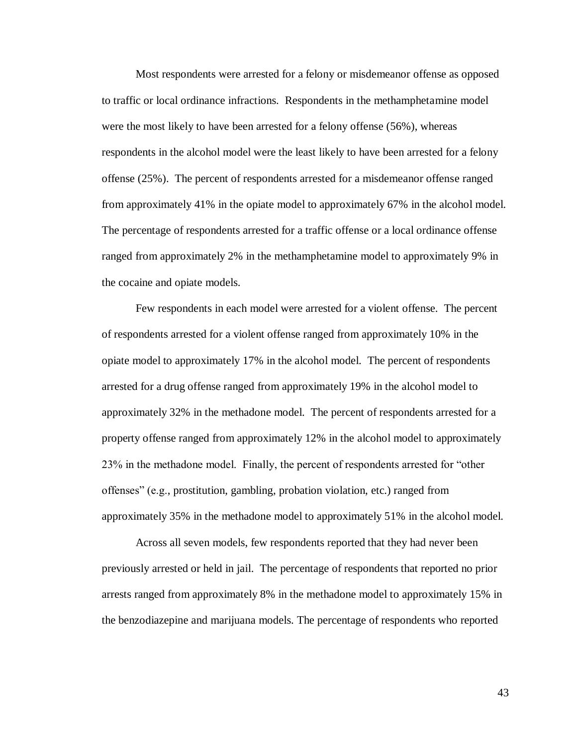Most respondents were arrested for a felony or misdemeanor offense as opposed to traffic or local ordinance infractions. Respondents in the methamphetamine model were the most likely to have been arrested for a felony offense (56%), whereas respondents in the alcohol model were the least likely to have been arrested for a felony offense (25%). The percent of respondents arrested for a misdemeanor offense ranged from approximately 41% in the opiate model to approximately 67% in the alcohol model. The percentage of respondents arrested for a traffic offense or a local ordinance offense ranged from approximately 2% in the methamphetamine model to approximately 9% in the cocaine and opiate models.

Few respondents in each model were arrested for a violent offense. The percent of respondents arrested for a violent offense ranged from approximately 10% in the opiate model to approximately 17% in the alcohol model. The percent of respondents arrested for a drug offense ranged from approximately 19% in the alcohol model to approximately 32% in the methadone model. The percent of respondents arrested for a property offense ranged from approximately 12% in the alcohol model to approximately  $23\%$  in the methadone model. Finally, the percent of respondents arrested for "other offenses‖ (e.g., prostitution, gambling, probation violation, etc.) ranged from approximately 35% in the methadone model to approximately 51% in the alcohol model.

Across all seven models, few respondents reported that they had never been previously arrested or held in jail. The percentage of respondents that reported no prior arrests ranged from approximately 8% in the methadone model to approximately 15% in the benzodiazepine and marijuana models. The percentage of respondents who reported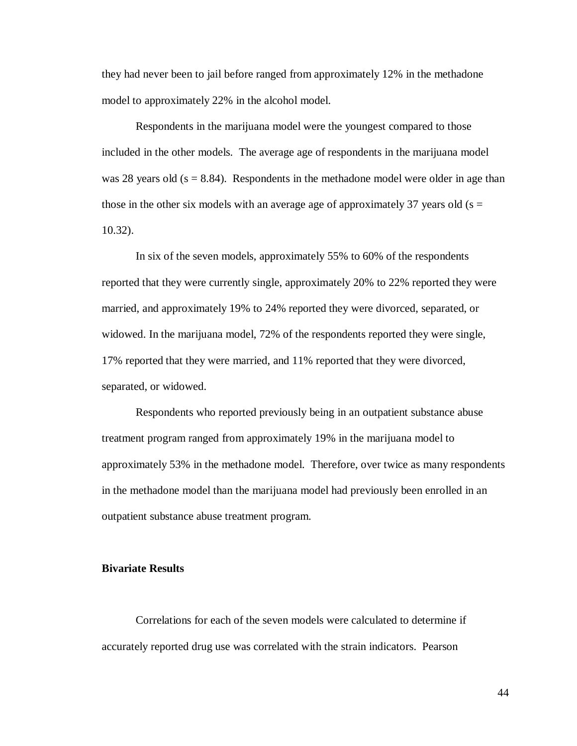they had never been to jail before ranged from approximately 12% in the methadone model to approximately 22% in the alcohol model.

Respondents in the marijuana model were the youngest compared to those included in the other models. The average age of respondents in the marijuana model was 28 years old  $(s = 8.84)$ . Respondents in the methadone model were older in age than those in the other six models with an average age of approximately 37 years old ( $s =$ 10.32).

In six of the seven models, approximately 55% to 60% of the respondents reported that they were currently single, approximately 20% to 22% reported they were married, and approximately 19% to 24% reported they were divorced, separated, or widowed. In the marijuana model, 72% of the respondents reported they were single, 17% reported that they were married, and 11% reported that they were divorced, separated, or widowed.

Respondents who reported previously being in an outpatient substance abuse treatment program ranged from approximately 19% in the marijuana model to approximately 53% in the methadone model. Therefore, over twice as many respondents in the methadone model than the marijuana model had previously been enrolled in an outpatient substance abuse treatment program.

# **Bivariate Results**

Correlations for each of the seven models were calculated to determine if accurately reported drug use was correlated with the strain indicators. Pearson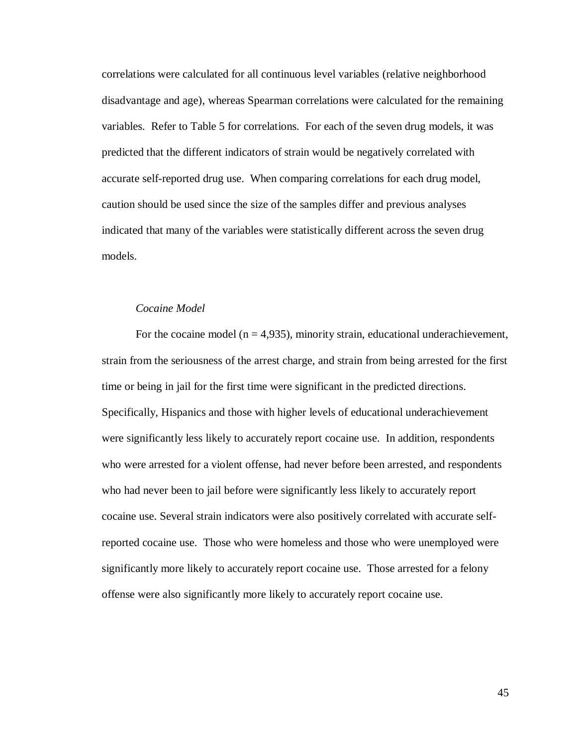correlations were calculated for all continuous level variables (relative neighborhood disadvantage and age), whereas Spearman correlations were calculated for the remaining variables. Refer to Table 5 for correlations. For each of the seven drug models, it was predicted that the different indicators of strain would be negatively correlated with accurate self-reported drug use. When comparing correlations for each drug model, caution should be used since the size of the samples differ and previous analyses indicated that many of the variables were statistically different across the seven drug models.

## *Cocaine Model*

For the cocaine model ( $n = 4.935$ ), minority strain, educational underachievement, strain from the seriousness of the arrest charge, and strain from being arrested for the first time or being in jail for the first time were significant in the predicted directions. Specifically, Hispanics and those with higher levels of educational underachievement were significantly less likely to accurately report cocaine use. In addition, respondents who were arrested for a violent offense, had never before been arrested, and respondents who had never been to jail before were significantly less likely to accurately report cocaine use. Several strain indicators were also positively correlated with accurate selfreported cocaine use. Those who were homeless and those who were unemployed were significantly more likely to accurately report cocaine use. Those arrested for a felony offense were also significantly more likely to accurately report cocaine use.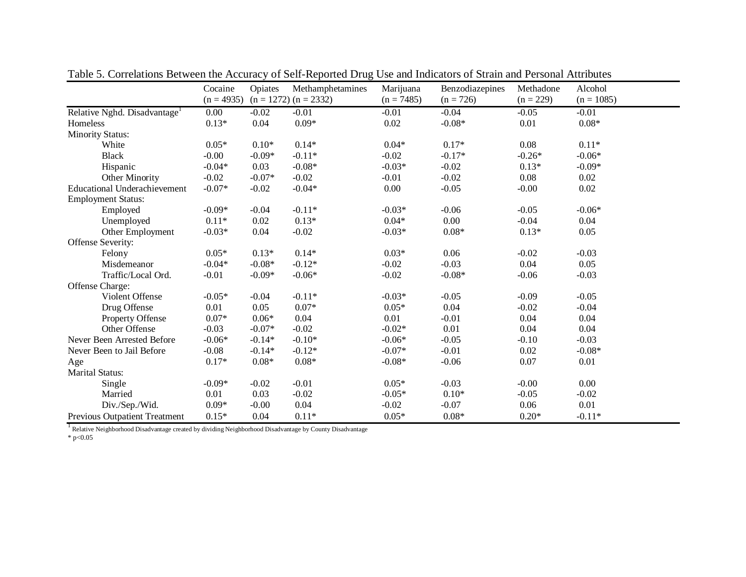|                                          | Cocaine      | Opiates  | Methamphetamines          | Marijuana    | Benzodiazepines | Methadone   | Alcohol      |
|------------------------------------------|--------------|----------|---------------------------|--------------|-----------------|-------------|--------------|
|                                          | $(n = 4935)$ |          | $(n = 1272)$ $(n = 2332)$ | $(n = 7485)$ | $(n = 726)$     | $(n = 229)$ | $(n = 1085)$ |
| Relative Nghd. Disadvantage <sup>1</sup> | 0.00         | $-0.02$  | $-0.01$                   | $-0.01$      | $-0.04$         | $-0.05$     | $-0.01$      |
| Homeless                                 | $0.13*$      | 0.04     | $0.09*$                   | 0.02         | $-0.08*$        | 0.01        | $0.08*$      |
| <b>Minority Status:</b>                  |              |          |                           |              |                 |             |              |
| White                                    | $0.05*$      | $0.10*$  | $0.14*$                   | $0.04*$      | $0.17*$         | 0.08        | $0.11*$      |
| <b>Black</b>                             | $-0.00$      | $-0.09*$ | $-0.11*$                  | $-0.02$      | $-0.17*$        | $-0.26*$    | $-0.06*$     |
| Hispanic                                 | $-0.04*$     | 0.03     | $-0.08*$                  | $-0.03*$     | $-0.02$         | $0.13*$     | $-0.09*$     |
| <b>Other Minority</b>                    | $-0.02$      | $-0.07*$ | $-0.02$                   | $-0.01$      | $-0.02$         | 0.08        | 0.02         |
| <b>Educational Underachievement</b>      | $-0.07*$     | $-0.02$  | $-0.04*$                  | 0.00         | $-0.05$         | $-0.00$     | 0.02         |
| <b>Employment Status:</b>                |              |          |                           |              |                 |             |              |
| Employed                                 | $-0.09*$     | $-0.04$  | $-0.11*$                  | $-0.03*$     | $-0.06$         | $-0.05$     | $-0.06*$     |
| Unemployed                               | $0.11*$      | 0.02     | $0.13*$                   | $0.04*$      | 0.00            | $-0.04$     | 0.04         |
| Other Employment                         | $-0.03*$     | 0.04     | $-0.02$                   | $-0.03*$     | $0.08*$         | $0.13*$     | 0.05         |
| Offense Severity:                        |              |          |                           |              |                 |             |              |
| Felony                                   | $0.05*$      | $0.13*$  | $0.14*$                   | $0.03*$      | 0.06            | $-0.02$     | $-0.03$      |
| Misdemeanor                              | $-0.04*$     | $-0.08*$ | $-0.12*$                  | $-0.02$      | $-0.03$         | 0.04        | 0.05         |
| Traffic/Local Ord.                       | $-0.01$      | $-0.09*$ | $-0.06*$                  | $-0.02$      | $-0.08*$        | $-0.06$     | $-0.03$      |
| Offense Charge:                          |              |          |                           |              |                 |             |              |
| Violent Offense                          | $-0.05*$     | $-0.04$  | $-0.11*$                  | $-0.03*$     | $-0.05$         | $-0.09$     | $-0.05$      |
| Drug Offense                             | 0.01         | 0.05     | $0.07*$                   | $0.05*$      | 0.04            | $-0.02$     | $-0.04$      |
| Property Offense                         | $0.07*$      | $0.06*$  | 0.04                      | 0.01         | $-0.01$         | 0.04        | 0.04         |
| Other Offense                            | $-0.03$      | $-0.07*$ | $-0.02$                   | $-0.02*$     | 0.01            | 0.04        | 0.04         |
| Never Been Arrested Before               | $-0.06*$     | $-0.14*$ | $-0.10*$                  | $-0.06*$     | $-0.05$         | $-0.10$     | $-0.03$      |
| Never Been to Jail Before                | $-0.08$      | $-0.14*$ | $-0.12*$                  | $-0.07*$     | $-0.01$         | 0.02        | $-0.08*$     |
| Age                                      | $0.17*$      | $0.08*$  | $0.08*$                   | $-0.08*$     | $-0.06$         | 0.07        | 0.01         |
| <b>Marital Status:</b>                   |              |          |                           |              |                 |             |              |
| Single                                   | $-0.09*$     | $-0.02$  | $-0.01$                   | $0.05*$      | $-0.03$         | $-0.00$     | 0.00         |
| Married                                  | 0.01         | 0.03     | $-0.02$                   | $-0.05*$     | $0.10*$         | $-0.05$     | $-0.02$      |
| Div./Sep./Wid.                           | $0.09*$      | $-0.00$  | 0.04                      | $-0.02$      | $-0.07$         | $0.06\,$    | $0.01\,$     |
| <b>Previous Outpatient Treatment</b>     | $0.15*$      | 0.04     | $0.11*$                   | $0.05*$      | $0.08*$         | $0.20*$     | $-0.11*$     |

Table 5. Correlations Between the Accuracy of Self-Reported Drug Use and Indicators of Strain and Personal Attributes

<sup>1</sup> Relative Neighborhood Disadvantage created by dividing Neighborhood Disadvantage by County Disadvantage

 $*$  p<0.05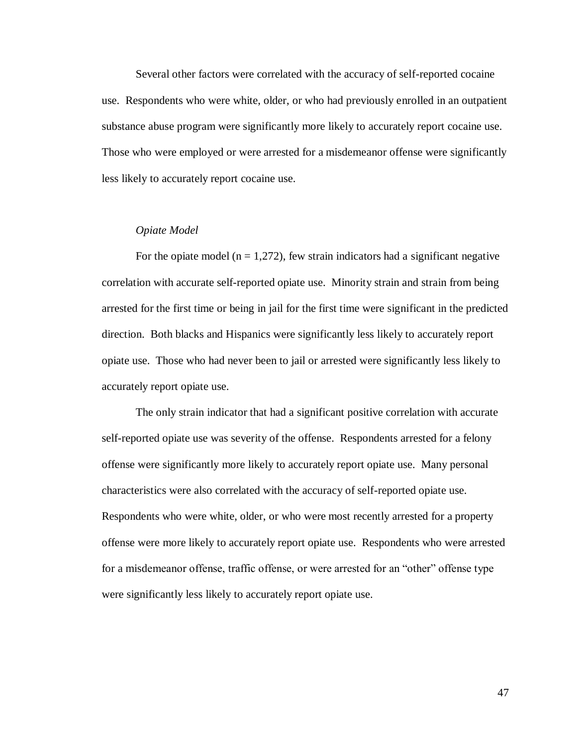Several other factors were correlated with the accuracy of self-reported cocaine use. Respondents who were white, older, or who had previously enrolled in an outpatient substance abuse program were significantly more likely to accurately report cocaine use. Those who were employed or were arrested for a misdemeanor offense were significantly less likely to accurately report cocaine use.

## *Opiate Model*

For the opiate model ( $n = 1,272$ ), few strain indicators had a significant negative correlation with accurate self-reported opiate use. Minority strain and strain from being arrested for the first time or being in jail for the first time were significant in the predicted direction. Both blacks and Hispanics were significantly less likely to accurately report opiate use. Those who had never been to jail or arrested were significantly less likely to accurately report opiate use.

The only strain indicator that had a significant positive correlation with accurate self-reported opiate use was severity of the offense. Respondents arrested for a felony offense were significantly more likely to accurately report opiate use. Many personal characteristics were also correlated with the accuracy of self-reported opiate use. Respondents who were white, older, or who were most recently arrested for a property offense were more likely to accurately report opiate use. Respondents who were arrested for a misdemeanor offense, traffic offense, or were arrested for an "other" offense type were significantly less likely to accurately report opiate use.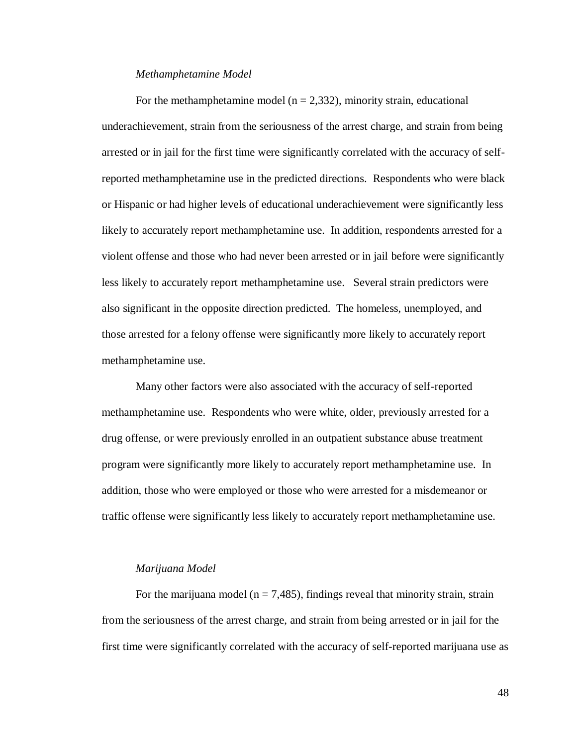#### *Methamphetamine Model*

For the methamphetamine model ( $n = 2,332$ ), minority strain, educational underachievement, strain from the seriousness of the arrest charge, and strain from being arrested or in jail for the first time were significantly correlated with the accuracy of selfreported methamphetamine use in the predicted directions. Respondents who were black or Hispanic or had higher levels of educational underachievement were significantly less likely to accurately report methamphetamine use. In addition, respondents arrested for a violent offense and those who had never been arrested or in jail before were significantly less likely to accurately report methamphetamine use. Several strain predictors were also significant in the opposite direction predicted. The homeless, unemployed, and those arrested for a felony offense were significantly more likely to accurately report methamphetamine use.

Many other factors were also associated with the accuracy of self-reported methamphetamine use. Respondents who were white, older, previously arrested for a drug offense, or were previously enrolled in an outpatient substance abuse treatment program were significantly more likely to accurately report methamphetamine use. In addition, those who were employed or those who were arrested for a misdemeanor or traffic offense were significantly less likely to accurately report methamphetamine use.

### *Marijuana Model*

For the marijuana model ( $n = 7,485$ ), findings reveal that minority strain, strain from the seriousness of the arrest charge, and strain from being arrested or in jail for the first time were significantly correlated with the accuracy of self-reported marijuana use as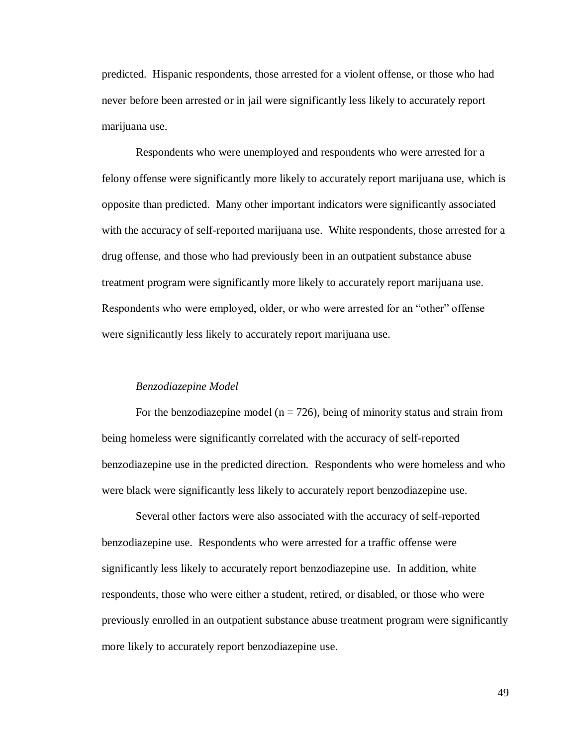predicted. Hispanic respondents, those arrested for a violent offense, or those who had never before been arrested or in jail were significantly less likely to accurately report marijuana use.

Respondents who were unemployed and respondents who were arrested for a felony offense were significantly more likely to accurately report marijuana use, which is opposite than predicted. Many other important indicators were significantly associated with the accuracy of self-reported marijuana use. White respondents, those arrested for a drug offense, and those who had previously been in an outpatient substance abuse treatment program were significantly more likely to accurately report marijuana use. Respondents who were employed, older, or who were arrested for an "other" offense were significantly less likely to accurately report marijuana use.

#### *Benzodiazepine Model*

For the benzodiazepine model ( $n = 726$ ), being of minority status and strain from being homeless were significantly correlated with the accuracy of self-reported benzodiazepine use in the predicted direction. Respondents who were homeless and who were black were significantly less likely to accurately report benzodiazepine use.

Several other factors were also associated with the accuracy of self-reported benzodiazepine use. Respondents who were arrested for a traffic offense were significantly less likely to accurately report benzodiazepine use. In addition, white respondents, those who were either a student, retired, or disabled, or those who were previously enrolled in an outpatient substance abuse treatment program were significantly more likely to accurately report benzodiazepine use.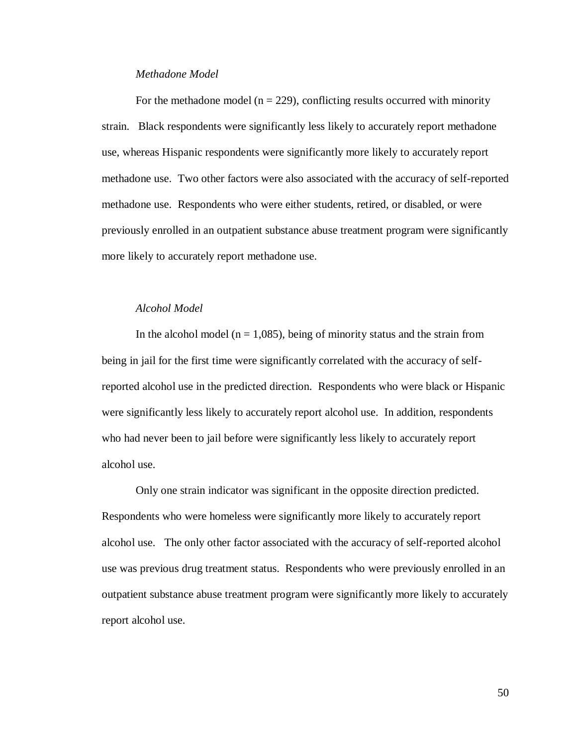### *Methadone Model*

For the methadone model ( $n = 229$ ), conflicting results occurred with minority strain. Black respondents were significantly less likely to accurately report methadone use, whereas Hispanic respondents were significantly more likely to accurately report methadone use. Two other factors were also associated with the accuracy of self-reported methadone use. Respondents who were either students, retired, or disabled, or were previously enrolled in an outpatient substance abuse treatment program were significantly more likely to accurately report methadone use.

# *Alcohol Model*

In the alcohol model ( $n = 1,085$ ), being of minority status and the strain from being in jail for the first time were significantly correlated with the accuracy of selfreported alcohol use in the predicted direction. Respondents who were black or Hispanic were significantly less likely to accurately report alcohol use. In addition, respondents who had never been to jail before were significantly less likely to accurately report alcohol use.

Only one strain indicator was significant in the opposite direction predicted. Respondents who were homeless were significantly more likely to accurately report alcohol use. The only other factor associated with the accuracy of self-reported alcohol use was previous drug treatment status. Respondents who were previously enrolled in an outpatient substance abuse treatment program were significantly more likely to accurately report alcohol use.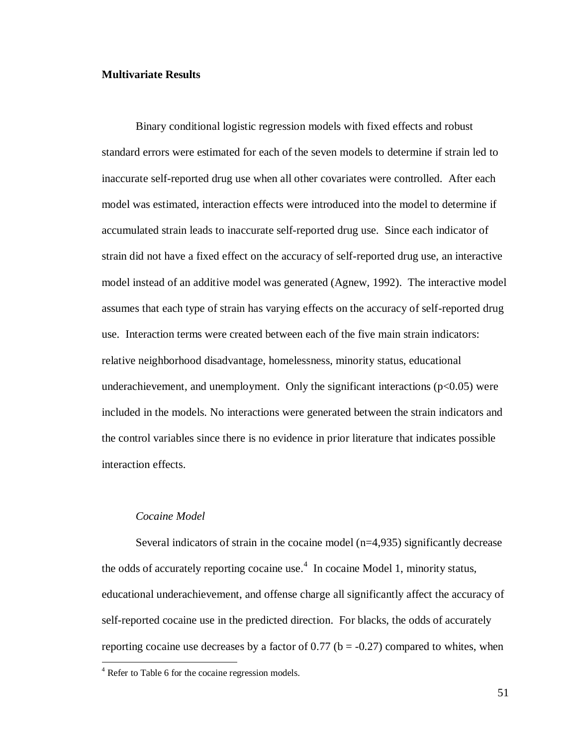## **Multivariate Results**

Binary conditional logistic regression models with fixed effects and robust standard errors were estimated for each of the seven models to determine if strain led to inaccurate self-reported drug use when all other covariates were controlled. After each model was estimated, interaction effects were introduced into the model to determine if accumulated strain leads to inaccurate self-reported drug use. Since each indicator of strain did not have a fixed effect on the accuracy of self-reported drug use, an interactive model instead of an additive model was generated (Agnew, 1992). The interactive model assumes that each type of strain has varying effects on the accuracy of self-reported drug use. Interaction terms were created between each of the five main strain indicators: relative neighborhood disadvantage, homelessness, minority status, educational underachievement, and unemployment. Only the significant interactions  $(p<0.05)$  were included in the models. No interactions were generated between the strain indicators and the control variables since there is no evidence in prior literature that indicates possible interaction effects.

## *Cocaine Model*

 $\overline{a}$ 

Several indicators of strain in the cocaine model (n=4,935) significantly decrease the odds of accurately reporting cocaine use. 4 In cocaine Model 1, minority status, educational underachievement, and offense charge all significantly affect the accuracy of self-reported cocaine use in the predicted direction. For blacks, the odds of accurately reporting cocaine use decreases by a factor of  $0.77$  (b = -0.27) compared to whites, when

<sup>&</sup>lt;sup>4</sup> Refer to Table 6 for the cocaine regression models.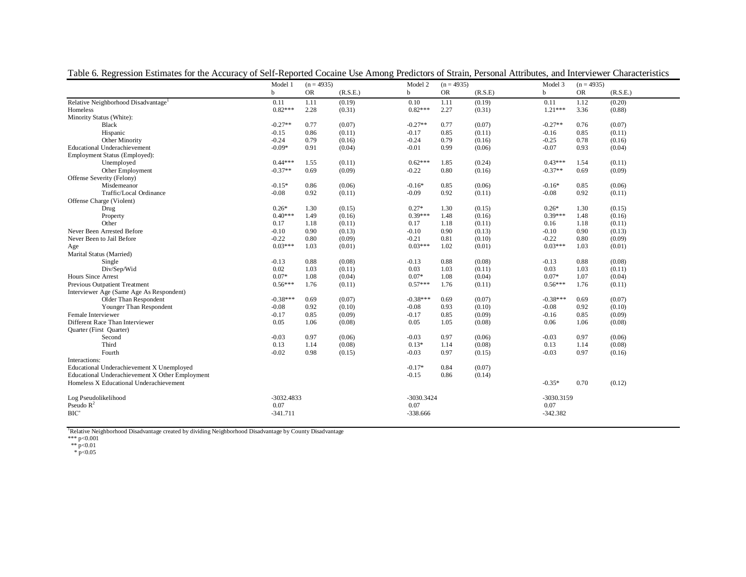|                                                 | Model 1     | $(n = 4935)$ |          | Model 2      | $(n = 4935)$ |         | Model 3    | $(n = 4935)$ |          |
|-------------------------------------------------|-------------|--------------|----------|--------------|--------------|---------|------------|--------------|----------|
|                                                 | $\mathbf b$ | <b>OR</b>    | (R.S.E.) | <sub>b</sub> | <b>OR</b>    | (R.S.E) | h          | <b>OR</b>    | (R.S.E.) |
| Relative Neighborhood Disadvantage <sup>1</sup> | 0.11        | 1.11         | (0.19)   | 0.10         | 1.11         | (0.19)  | 0.11       | 1.12         | (0.20)   |
| Homeless                                        | $0.82***$   | 2.28         | (0.31)   | $0.82***$    | 2.27         | (0.31)  | $1.21***$  | 3.36         | (0.88)   |
| Minority Status (White):                        |             |              |          |              |              |         |            |              |          |
| <b>Black</b>                                    | $-0.27**$   | 0.77         | (0.07)   | $-0.27**$    | 0.77         | (0.07)  | $-0.27**$  | 0.76         | (0.07)   |
| Hispanic                                        | $-0.15$     | 0.86         | (0.11)   | $-0.17$      | 0.85         | (0.11)  | $-0.16$    | 0.85         | (0.11)   |
| Other Minority                                  | $-0.24$     | 0.79         | (0.16)   | $-0.24$      | 0.79         | (0.16)  | $-0.25$    | 0.78         | (0.16)   |
| <b>Educational Underachievement</b>             | $-0.09*$    | 0.91         | (0.04)   | $-0.01$      | 0.99         | (0.06)  | $-0.07$    | 0.93         | (0.04)   |
| Employment Status (Employed):                   |             |              |          |              |              |         |            |              |          |
| Unemployed                                      | $0.44***$   | 1.55         | (0.11)   | $0.62***$    | 1.85         | (0.24)  | $0.43***$  | 1.54         | (0.11)   |
| Other Employment                                | $-0.37**$   | 0.69         | (0.09)   | $-0.22$      | 0.80         | (0.16)  | $-0.37**$  | 0.69         | (0.09)   |
| Offense Severity (Felony)                       |             |              |          |              |              |         |            |              |          |
| Misdemeanor                                     | $-0.15*$    | 0.86         | (0.06)   | $-0.16*$     | 0.85         | (0.06)  | $-0.16*$   | 0.85         | (0.06)   |
| Traffic/Local Ordinance                         | $-0.08$     | 0.92         | (0.11)   | $-0.09$      | 0.92         | (0.11)  | $-0.08$    | 0.92         | (0.11)   |
| Offense Charge (Violent)                        |             |              |          |              |              |         |            |              |          |
| Drug                                            | $0.26*$     | 1.30         | (0.15)   | $0.27*$      | 1.30         | (0.15)  | $0.26*$    | 1.30         | (0.15)   |
| Property                                        | $0.40***$   | 1.49         | (0.16)   | $0.39***$    | 1.48         | (0.16)  | $0.39***$  | 1.48         | (0.16)   |
| Other                                           | 0.17        | 1.18         | (0.11)   | 0.17         | 1.18         | (0.11)  | 0.16       | 1.18         | (0.11)   |
| Never Been Arrested Before                      | $-0.10$     | 0.90         | (0.13)   | $-0.10$      | 0.90         | (0.13)  | $-0.10$    | 0.90         | (0.13)   |
| Never Been to Jail Before                       | $-0.22$     | 0.80         | (0.09)   | $-0.21$      | 0.81         | (0.10)  | $-0.22$    | 0.80         | (0.09)   |
| Age                                             | $0.03***$   | 1.03         | (0.01)   | $0.03***$    | 1.02         | (0.01)  | $0.03***$  | 1.03         | (0.01)   |
| Marital Status (Married)                        |             |              |          |              |              |         |            |              |          |
| Single                                          | $-0.13$     | 0.88         | (0.08)   | $-0.13$      | 0.88         | (0.08)  | $-0.13$    | 0.88         | (0.08)   |
| Div/Sep/Wid                                     | 0.02        | 1.03         | (0.11)   | 0.03         | 1.03         | (0.11)  | 0.03       | 1.03         | (0.11)   |
| <b>Hours Since Arrest</b>                       | $0.07*$     | 1.08         | (0.04)   | $0.07*$      | 1.08         | (0.04)  | $0.07*$    | 1.07         | (0.04)   |
| Previous Outpatient Treatment                   | $0.56***$   | 1.76         | (0.11)   | $0.57***$    | 1.76         | (0.11)  | $0.56***$  | 1.76         | (0.11)   |
| Interviewer Age (Same Age As Respondent)        |             |              |          |              |              |         |            |              |          |
| Older Than Respondent                           | $-0.38***$  | 0.69         | (0.07)   | $-0.38***$   | 0.69         | (0.07)  | $-0.38***$ | 0.69         | (0.07)   |
| Younger Than Respondent                         | $-0.08$     | 0.92         | (0.10)   | $-0.08$      | 0.93         | (0.10)  | $-0.08$    | 0.92         | (0.10)   |
| Female Interviewer                              | $-0.17$     | 0.85         | (0.09)   | $-0.17$      | 0.85         | (0.09)  | $-0.16$    | 0.85         | (0.09)   |
| Different Race Than Interviewer                 | 0.05        | 1.06         | (0.08)   | 0.05         | 1.05         | (0.08)  | 0.06       | 1.06         | (0.08)   |
| Quarter (First Quarter)                         |             |              |          |              |              |         |            |              |          |
| Second                                          | $-0.03$     | 0.97         | (0.06)   | $-0.03$      | 0.97         | (0.06)  | $-0.03$    | 0.97         | (0.06)   |
| Third                                           | 0.13        | 1.14         | (0.08)   | $0.13*$      | 1.14         | (0.08)  | 0.13       | 1.14         | (0.08)   |
| Fourth                                          | $-0.02$     | 0.98         | (0.15)   | $-0.03$      | 0.97         | (0.15)  | $-0.03$    | 0.97         | (0.16)   |
| Interactions:                                   |             |              |          |              |              |         |            |              |          |
| Educational Underachievement X Unemployed       |             |              |          | $-0.17*$     | 0.84         | (0.07)  |            |              |          |
| Educational Underachievement X Other Employment |             |              |          | $-0.15$      | 0.86         | (0.14)  |            |              |          |
| Homeless X Educational Underachievement         |             |              |          |              |              |         | $-0.35*$   | 0.70         | (0.12)   |
| Log Pseudolikelihood                            | -3032.4833  |              |          | $-3030.3424$ |              |         | -3030.3159 |              |          |
| Pseudo $\mathbb{R}^2$                           | 0.07        |              |          | 0.07         |              |         | 0.07       |              |          |
| BIC'                                            | $-341.711$  |              |          | $-338.666$   |              |         | $-342.382$ |              |          |
|                                                 |             |              |          |              |              |         |            |              |          |

Table 6. Regression Estimates for the Accuracy of Self-Reported Cocaine Use Among Predictors of Strain, Personal Attributes, and Interviewer Characteristics

<sup>1</sup>Relative Neighborhood Disadvantage created by dividing Neighborhood Disadvantage by County Disadvantage<br>\*\*\* p<0.01<br>
\*\* p<0.01<br>
\* p<0.05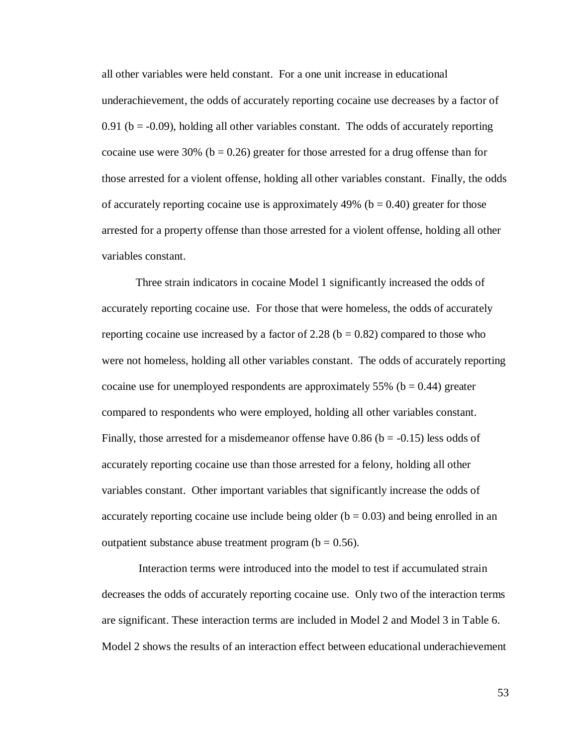all other variables were held constant. For a one unit increase in educational underachievement, the odds of accurately reporting cocaine use decreases by a factor of 0.91 ( $b = -0.09$ ), holding all other variables constant. The odds of accurately reporting cocaine use were 30% ( $b = 0.26$ ) greater for those arrested for a drug offense than for those arrested for a violent offense, holding all other variables constant. Finally, the odds of accurately reporting cocaine use is approximately  $49\%$  (b = 0.40) greater for those arrested for a property offense than those arrested for a violent offense, holding all other variables constant.

Three strain indicators in cocaine Model 1 significantly increased the odds of accurately reporting cocaine use. For those that were homeless, the odds of accurately reporting cocaine use increased by a factor of 2.28 ( $b = 0.82$ ) compared to those who were not homeless, holding all other variables constant. The odds of accurately reporting cocaine use for unemployed respondents are approximately 55% ( $b = 0.44$ ) greater compared to respondents who were employed, holding all other variables constant. Finally, those arrested for a misdemeanor offense have  $0.86$  (b = -0.15) less odds of accurately reporting cocaine use than those arrested for a felony, holding all other variables constant. Other important variables that significantly increase the odds of accurately reporting cocaine use include being older  $(b = 0.03)$  and being enrolled in an outpatient substance abuse treatment program ( $b = 0.56$ ).

Interaction terms were introduced into the model to test if accumulated strain decreases the odds of accurately reporting cocaine use. Only two of the interaction terms are significant. These interaction terms are included in Model 2 and Model 3 in Table 6. Model 2 shows the results of an interaction effect between educational underachievement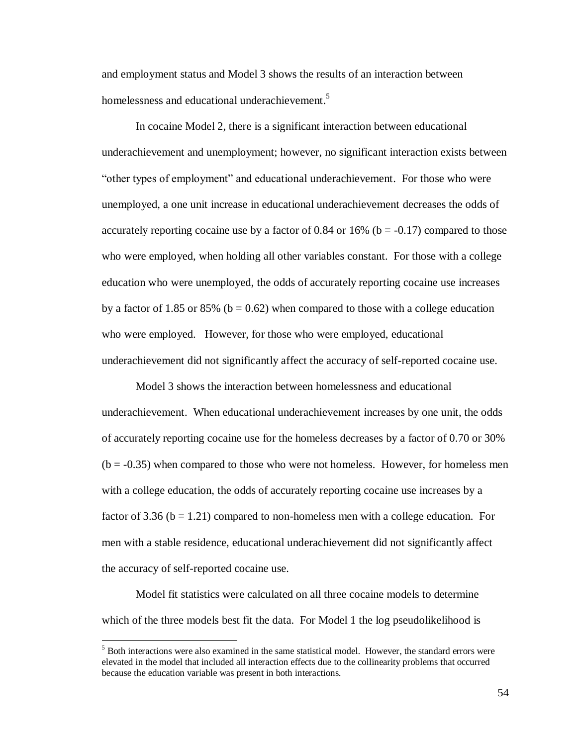and employment status and Model 3 shows the results of an interaction between homelessness and educational underachievement.<sup>5</sup>

In cocaine Model 2, there is a significant interaction between educational underachievement and unemployment; however, no significant interaction exists between "other types of employment" and educational underachievement. For those who were unemployed, a one unit increase in educational underachievement decreases the odds of accurately reporting cocaine use by a factor of 0.84 or  $16\%$  (b = -0.17) compared to those who were employed, when holding all other variables constant. For those with a college education who were unemployed, the odds of accurately reporting cocaine use increases by a factor of 1.85 or 85% ( $b = 0.62$ ) when compared to those with a college education who were employed. However, for those who were employed, educational underachievement did not significantly affect the accuracy of self-reported cocaine use.

Model 3 shows the interaction between homelessness and educational underachievement. When educational underachievement increases by one unit, the odds of accurately reporting cocaine use for the homeless decreases by a factor of 0.70 or 30%  $(b = -0.35)$  when compared to those who were not homeless. However, for homeless men with a college education, the odds of accurately reporting cocaine use increases by a factor of 3.36 ( $b = 1.21$ ) compared to non-homeless men with a college education. For men with a stable residence, educational underachievement did not significantly affect the accuracy of self-reported cocaine use.

Model fit statistics were calculated on all three cocaine models to determine which of the three models best fit the data. For Model 1 the log pseudolikelihood is

 $\overline{a}$ 

<sup>&</sup>lt;sup>5</sup> Both interactions were also examined in the same statistical model. However, the standard errors were elevated in the model that included all interaction effects due to the collinearity problems that occurred because the education variable was present in both interactions.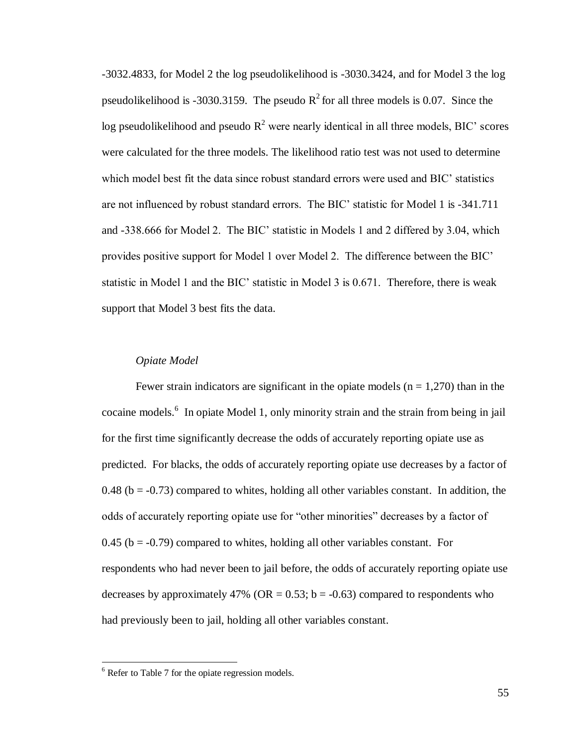-3032.4833, for Model 2 the log pseudolikelihood is -3030.3424, and for Model 3 the log pseudolikelihood is -3030.3159. The pseudo  $R^2$  for all three models is 0.07. Since the log pseudolikelihood and pseudo  $R^2$  were nearly identical in all three models, BIC' scores were calculated for the three models. The likelihood ratio test was not used to determine which model best fit the data since robust standard errors were used and BIC' statistics are not influenced by robust standard errors. The BIC' statistic for Model 1 is -341.711 and -338.666 for Model 2. The BIC' statistic in Models 1 and 2 differed by 3.04, which provides positive support for Model 1 over Model 2. The difference between the BIC' statistic in Model 1 and the BIC' statistic in Model 3 is 0.671. Therefore, there is weak support that Model 3 best fits the data.

## *Opiate Model*

Fewer strain indicators are significant in the opiate models  $(n = 1,270)$  than in the cocaine models.<sup>6</sup> In opiate Model 1, only minority strain and the strain from being in jail for the first time significantly decrease the odds of accurately reporting opiate use as predicted. For blacks, the odds of accurately reporting opiate use decreases by a factor of 0.48 ( $b = -0.73$ ) compared to whites, holding all other variables constant. In addition, the odds of accurately reporting opiate use for "other minorities" decreases by a factor of  $0.45$  (b =  $-0.79$ ) compared to whites, holding all other variables constant. For respondents who had never been to jail before, the odds of accurately reporting opiate use decreases by approximately 47% (OR =  $0.53$ ; b =  $-0.63$ ) compared to respondents who had previously been to jail, holding all other variables constant.

 $\overline{a}$ 

 $6$  Refer to Table 7 for the opiate regression models.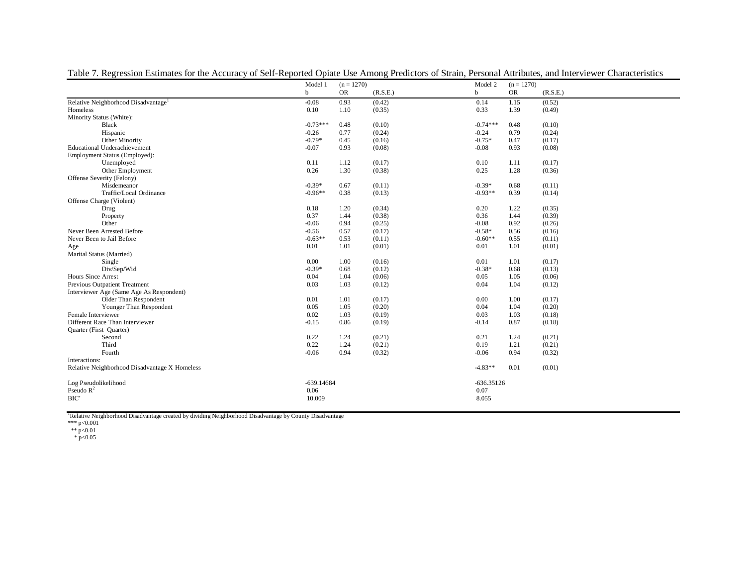|                                                 | Model 1      | $(n = 1270)$ |          | Model 2      | $(n = 1270)$ |          |
|-------------------------------------------------|--------------|--------------|----------|--------------|--------------|----------|
|                                                 | b            | <b>OR</b>    | (R.S.E.) | b            | <b>OR</b>    | (R.S.E.) |
| Relative Neighborhood Disadvantage <sup>1</sup> | $-0.08$      | 0.93         | (0.42)   | 0.14         | 1.15         | (0.52)   |
| Homeless                                        | 0.10         | 1.10         | (0.35)   | 0.33         | 1.39         | (0.49)   |
| Minority Status (White):                        |              |              |          |              |              |          |
| Black                                           | $-0.73***$   | 0.48         | (0.10)   | $-0.74***$   | 0.48         | (0.10)   |
| Hispanic                                        | $-0.26$      | 0.77         | (0.24)   | $-0.24$      | 0.79         | (0.24)   |
| Other Minority                                  | $-0.79*$     | 0.45         | (0.16)   | $-0.75*$     | 0.47         | (0.17)   |
| Educational Underachievement                    | $-0.07$      | 0.93         | (0.08)   | $-0.08$      | 0.93         | (0.08)   |
| Employment Status (Employed):                   |              |              |          |              |              |          |
| Unemployed                                      | 0.11         | 1.12         | (0.17)   | 0.10         | 1.11         | (0.17)   |
| Other Employment                                | 0.26         | 1.30         | (0.38)   | 0.25         | 1.28         | (0.36)   |
| Offense Severity (Felony)                       |              |              |          |              |              |          |
| Misdemeanor                                     | $-0.39*$     | 0.67         | (0.11)   | $-0.39*$     | 0.68         | (0.11)   |
| Traffic/Local Ordinance                         | $-0.96**$    | 0.38         | (0.13)   | $-0.93**$    | 0.39         | (0.14)   |
| Offense Charge (Violent)                        |              |              |          |              |              |          |
| Drug                                            | 0.18         | 1.20         | (0.34)   | 0.20         | 1.22         | (0.35)   |
| Property                                        | 0.37         | 1.44         | (0.38)   | 0.36         | 1.44         | (0.39)   |
| Other                                           | $-0.06$      | 0.94         | (0.25)   | $-0.08$      | 0.92         | (0.26)   |
| Never Been Arrested Before                      | $-0.56$      | 0.57         | (0.17)   | $-0.58*$     | 0.56         | (0.16)   |
| Never Been to Jail Before                       | $-0.63**$    | 0.53         | (0.11)   | $-0.60**$    | 0.55         | (0.11)   |
| Age                                             | 0.01         | 1.01         | (0.01)   | 0.01         | 1.01         | (0.01)   |
| Marital Status (Married)                        |              |              |          |              |              |          |
| Single                                          | 0.00         | 1.00         | (0.16)   | 0.01         | 1.01         | (0.17)   |
| Div/Sep/Wid                                     | $-0.39*$     | 0.68         | (0.12)   | $-0.38*$     | 0.68         | (0.13)   |
| Hours Since Arrest                              | 0.04         | 1.04         | (0.06)   | 0.05         | 1.05         | (0.06)   |
| Previous Outpatient Treatment                   | 0.03         | 1.03         | (0.12)   | 0.04         | 1.04         | (0.12)   |
| Interviewer Age (Same Age As Respondent)        |              |              |          |              |              |          |
| Older Than Respondent                           | 0.01         | 1.01         | (0.17)   | 0.00         | 1.00         | (0.17)   |
| Younger Than Respondent                         | 0.05         | 1.05         | (0.20)   | 0.04         | 1.04         | (0.20)   |
| Female Interviewer                              | 0.02         | 1.03         | (0.19)   | 0.03         | 1.03         | (0.18)   |
| Different Race Than Interviewer                 | $-0.15$      | 0.86         | (0.19)   | $-0.14$      | 0.87         | (0.18)   |
| Quarter (First Quarter)                         |              |              |          |              |              |          |
| Second                                          | 0.22         | 1.24         | (0.21)   | 0.21         | 1.24         | (0.21)   |
| Third                                           | 0.22         | 1.24         | (0.21)   | 0.19         | 1.21         | (0.21)   |
| Fourth                                          | $-0.06$      | 0.94         | (0.32)   | $-0.06$      | 0.94         | (0.32)   |
| Interactions:                                   |              |              |          |              |              |          |
| Relative Neighborhood Disadvantage X Homeless   |              |              |          | $-4.83**$    | 0.01         | (0.01)   |
| Log Pseudolikelihood                            | $-639.14684$ |              |          | $-636.35126$ |              |          |
| Pseudo $R^2$                                    | 0.06         |              |          | 0.07         |              |          |
| BIC'                                            | 10.009       |              |          | 8.055        |              |          |
|                                                 |              |              |          |              |              |          |

Table 7. Regression Estimates for the Accuracy of Self-Reported Opiate Use Among Predictors of Strain, Personal Attributes, and Interviewer Characteristics

<sup>1</sup>Relative Neighborhood Disadvantage created by dividing Neighborhood Disadvantage by County Disadvantage<br>\*\*\* p<0.01<br>
\*\* p<0.01<br>
\* p<0.05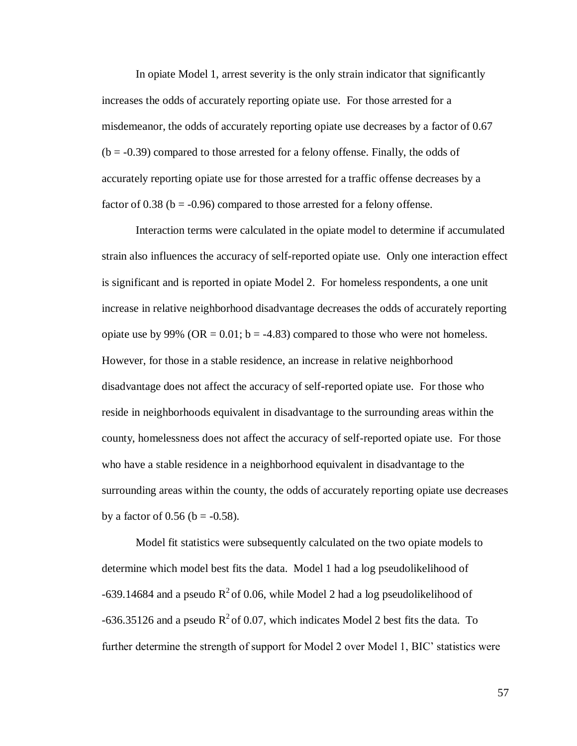In opiate Model 1, arrest severity is the only strain indicator that significantly increases the odds of accurately reporting opiate use. For those arrested for a misdemeanor, the odds of accurately reporting opiate use decreases by a factor of 0.67  $(b = -0.39)$  compared to those arrested for a felony offense. Finally, the odds of accurately reporting opiate use for those arrested for a traffic offense decreases by a factor of 0.38 ( $b = -0.96$ ) compared to those arrested for a felony offense.

Interaction terms were calculated in the opiate model to determine if accumulated strain also influences the accuracy of self-reported opiate use. Only one interaction effect is significant and is reported in opiate Model 2. For homeless respondents, a one unit increase in relative neighborhood disadvantage decreases the odds of accurately reporting opiate use by 99% (OR =  $0.01$ ; b = -4.83) compared to those who were not homeless. However, for those in a stable residence, an increase in relative neighborhood disadvantage does not affect the accuracy of self-reported opiate use. For those who reside in neighborhoods equivalent in disadvantage to the surrounding areas within the county, homelessness does not affect the accuracy of self-reported opiate use. For those who have a stable residence in a neighborhood equivalent in disadvantage to the surrounding areas within the county, the odds of accurately reporting opiate use decreases by a factor of  $0.56$  (b = -0.58).

Model fit statistics were subsequently calculated on the two opiate models to determine which model best fits the data. Model 1 had a log pseudolikelihood of -639.14684 and a pseudo  $R^2$  of 0.06, while Model 2 had a log pseudolikelihood of -636.35126 and a pseudo  $R^2$  of 0.07, which indicates Model 2 best fits the data. To further determine the strength of support for Model 2 over Model 1, BIC' statistics were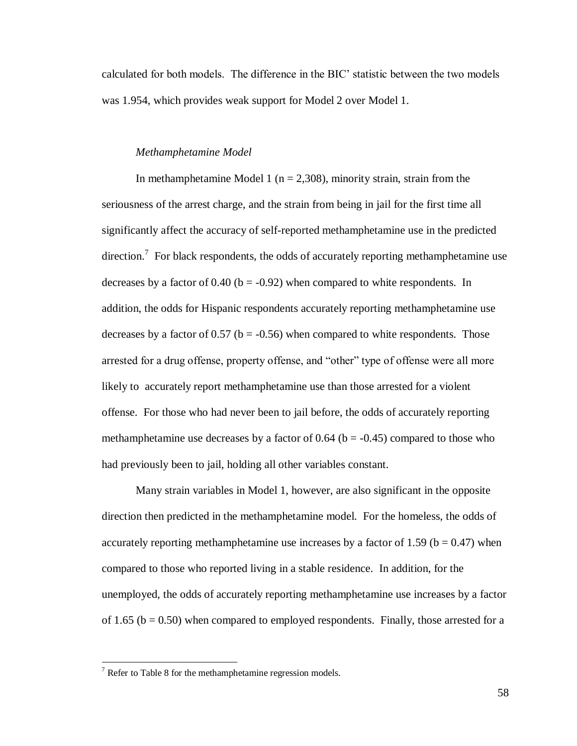calculated for both models. The difference in the BIC' statistic between the two models was 1.954, which provides weak support for Model 2 over Model 1.

### *Methamphetamine Model*

In methamphetamine Model 1 ( $n = 2,308$ ), minority strain, strain from the seriousness of the arrest charge, and the strain from being in jail for the first time all significantly affect the accuracy of self-reported methamphetamine use in the predicted direction.<sup>7</sup> For black respondents, the odds of accurately reporting methamphetamine use decreases by a factor of  $0.40$  (b = -0.92) when compared to white respondents. In addition, the odds for Hispanic respondents accurately reporting methamphetamine use decreases by a factor of  $0.57$  (b =  $-0.56$ ) when compared to white respondents. Those arrested for a drug offense, property offense, and "other" type of offense were all more likely to accurately report methamphetamine use than those arrested for a violent offense. For those who had never been to jail before, the odds of accurately reporting methamphetamine use decreases by a factor of  $0.64$  (b = -0.45) compared to those who had previously been to jail, holding all other variables constant.

Many strain variables in Model 1, however, are also significant in the opposite direction then predicted in the methamphetamine model. For the homeless, the odds of accurately reporting methamphetamine use increases by a factor of 1.59 ( $b = 0.47$ ) when compared to those who reported living in a stable residence. In addition, for the unemployed, the odds of accurately reporting methamphetamine use increases by a factor of 1.65 ( $b = 0.50$ ) when compared to employed respondents. Finally, those arrested for a

 $\overline{a}$ 

 $7$  Refer to Table 8 for the methamphetamine regression models.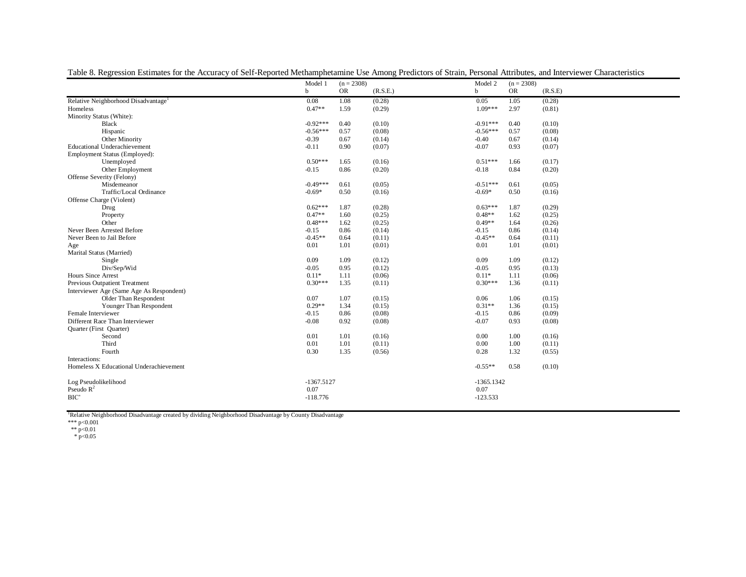|                                                 | Model 1      | $(n = 2308)$ |          | Model 2      | $(n = 2308)$ |         |
|-------------------------------------------------|--------------|--------------|----------|--------------|--------------|---------|
|                                                 | $\mathbf b$  | <b>OR</b>    | (R.S.E.) | b            | <b>OR</b>    | (R.S.E) |
| Relative Neighborhood Disadvantage <sup>1</sup> | 0.08         | 1.08         | (0.28)   | 0.05         | 1.05         | (0.28)  |
| Homeless                                        | $0.47**$     | 1.59         | (0.29)   | 1.09***      | 2.97         | (0.81)  |
| Minority Status (White):                        |              |              |          |              |              |         |
| <b>Black</b>                                    | $-0.92***$   | 0.40         | (0.10)   | $-0.91***$   | 0.40         | (0.10)  |
| Hispanic                                        | $-0.56***$   | 0.57         | (0.08)   | $-0.56***$   | 0.57         | (0.08)  |
| Other Minority                                  | $-0.39$      | 0.67         | (0.14)   | $-0.40$      | 0.67         | (0.14)  |
| <b>Educational Underachievement</b>             | $-0.11$      | 0.90         | (0.07)   | $-0.07$      | 0.93         | (0.07)  |
| Employment Status (Employed):                   |              |              |          |              |              |         |
| Unemployed                                      | $0.50***$    | 1.65         | (0.16)   | $0.51***$    | 1.66         | (0.17)  |
| Other Employment                                | $-0.15$      | 0.86         | (0.20)   | $-0.18$      | 0.84         | (0.20)  |
| Offense Severity (Felony)                       |              |              |          |              |              |         |
| Misdemeanor                                     | $-0.49***$   | 0.61         | (0.05)   | $-0.51***$   | 0.61         | (0.05)  |
| Traffic/Local Ordinance                         | $-0.69*$     | 0.50         | (0.16)   | $-0.69*$     | 0.50         | (0.16)  |
| Offense Charge (Violent)                        |              |              |          |              |              |         |
| Drug                                            | $0.62***$    | 1.87         | (0.28)   | $0.63***$    | 1.87         | (0.29)  |
| Property                                        | $0.47**$     | 1.60         | (0.25)   | $0.48**$     | 1.62         | (0.25)  |
| Other                                           | $0.48***$    | 1.62         | (0.25)   | $0.49**$     | 1.64         | (0.26)  |
| Never Been Arrested Before                      | $-0.15$      | 0.86         | (0.14)   | $-0.15$      | 0.86         | (0.14)  |
| Never Been to Jail Before                       | $-0.45**$    | 0.64         | (0.11)   | $-0.45**$    | 0.64         | (0.11)  |
| Age                                             | 0.01         | 1.01         | (0.01)   | 0.01         | 1.01         | (0.01)  |
| Marital Status (Married)                        |              |              |          |              |              |         |
| Single                                          | 0.09         | 1.09         | (0.12)   | 0.09         | 1.09         | (0.12)  |
| Div/Sep/Wid                                     | $-0.05$      | 0.95         | (0.12)   | $-0.05$      | 0.95         | (0.13)  |
| Hours Since Arrest                              | $0.11*$      | 1.11         | (0.06)   | $0.11*$      | 1.11         | (0.06)  |
| Previous Outpatient Treatment                   | $0.30***$    | 1.35         | (0.11)   | $0.30***$    | 1.36         | (0.11)  |
| Interviewer Age (Same Age As Respondent)        |              |              |          |              |              |         |
| Older Than Respondent                           | 0.07         | 1.07         | (0.15)   | 0.06         | 1.06         | (0.15)  |
| Younger Than Respondent                         | $0.29**$     | 1.34         | (0.15)   | $0.31**$     | 1.36         | (0.15)  |
| Female Interviewer                              | $-0.15$      | 0.86         | (0.08)   | $-0.15$      | 0.86         | (0.09)  |
| Different Race Than Interviewer                 | $-0.08$      | 0.92         | (0.08)   | $-0.07$      | 0.93         | (0.08)  |
| Quarter (First Quarter)                         |              |              |          |              |              |         |
| Second                                          | 0.01         | 1.01         | (0.16)   | 0.00         | 1.00         | (0.16)  |
| Third                                           | 0.01         | 1.01         | (0.11)   | 0.00         | 1.00         | (0.11)  |
| Fourth                                          | 0.30         | 1.35         | (0.56)   | 0.28         | 1.32         | (0.55)  |
| Interactions:                                   |              |              |          |              |              |         |
| Homeless X Educational Underachievement         |              |              |          | $-0.55**$    | 0.58         | (0.10)  |
| Log Pseudolikelihood                            | $-1367.5127$ |              |          | $-1365.1342$ |              |         |
| Pseudo $R^2$                                    | 0.07         |              |          | 0.07         |              |         |
| BIC'                                            | $-118.776$   |              |          | $-123.533$   |              |         |
|                                                 |              |              |          |              |              |         |

Table 8. Regression Estimates for the Accuracy of Self-Reported Methamphetamine Use Among Predictors of Strain, Personal Attributes, and Interviewer Characteristics

<sup>1</sup>Relative Neighborhood Disadvantage created by dividing Neighborhood Disadvantage by County Disadvantage<br>\*\*\* p<0.01<br>
\*\* p<0.01<br>
\* p<0.05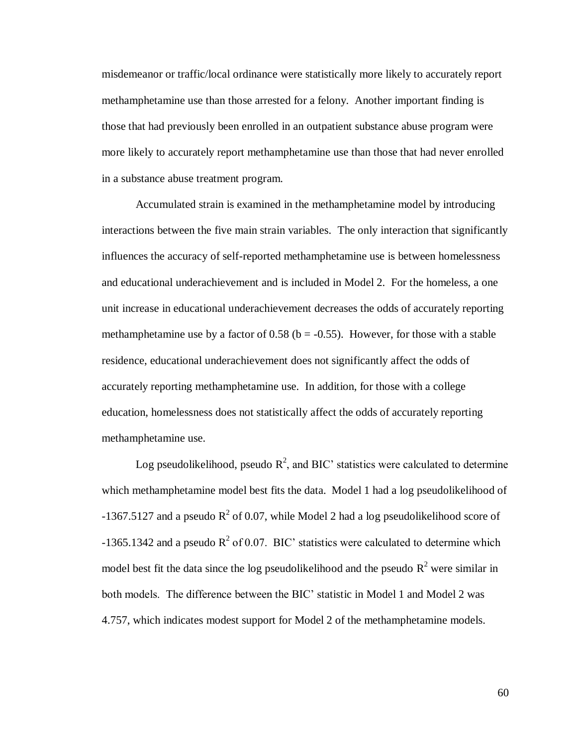misdemeanor or traffic/local ordinance were statistically more likely to accurately report methamphetamine use than those arrested for a felony. Another important finding is those that had previously been enrolled in an outpatient substance abuse program were more likely to accurately report methamphetamine use than those that had never enrolled in a substance abuse treatment program.

Accumulated strain is examined in the methamphetamine model by introducing interactions between the five main strain variables. The only interaction that significantly influences the accuracy of self-reported methamphetamine use is between homelessness and educational underachievement and is included in Model 2. For the homeless, a one unit increase in educational underachievement decreases the odds of accurately reporting methamphetamine use by a factor of 0.58 ( $b = -0.55$ ). However, for those with a stable residence, educational underachievement does not significantly affect the odds of accurately reporting methamphetamine use. In addition, for those with a college education, homelessness does not statistically affect the odds of accurately reporting methamphetamine use.

Log pseudolikelihood, pseudo  $\mathbb{R}^2$ , and BIC' statistics were calculated to determine which methamphetamine model best fits the data. Model 1 had a log pseudolikelihood of -1367.5127 and a pseudo  $R^2$  of 0.07, while Model 2 had a log pseudolikelihood score of -1365.1342 and a pseudo  $R^2$  of 0.07. BIC' statistics were calculated to determine which model best fit the data since the log pseudolikelihood and the pseudo  $R^2$  were similar in both models. The difference between the BIC' statistic in Model 1 and Model 2 was 4.757, which indicates modest support for Model 2 of the methamphetamine models.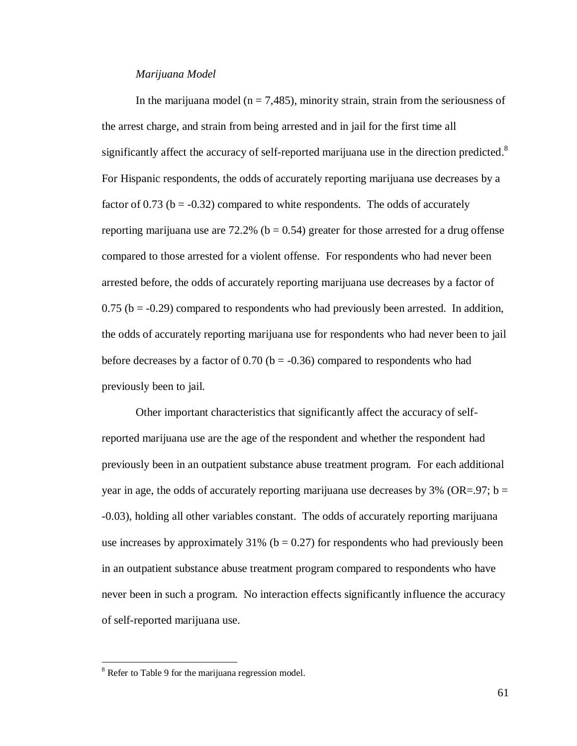#### *Marijuana Model*

In the marijuana model ( $n = 7,485$ ), minority strain, strain from the seriousness of the arrest charge, and strain from being arrested and in jail for the first time all significantly affect the accuracy of self-reported marijuana use in the direction predicted.<sup>8</sup> For Hispanic respondents, the odds of accurately reporting marijuana use decreases by a factor of 0.73 ( $b = -0.32$ ) compared to white respondents. The odds of accurately reporting marijuana use are 72.2% ( $b = 0.54$ ) greater for those arrested for a drug offense compared to those arrested for a violent offense. For respondents who had never been arrested before, the odds of accurately reporting marijuana use decreases by a factor of  $0.75$  (b =  $-0.29$ ) compared to respondents who had previously been arrested. In addition, the odds of accurately reporting marijuana use for respondents who had never been to jail before decreases by a factor of  $0.70$  (b = -0.36) compared to respondents who had previously been to jail.

Other important characteristics that significantly affect the accuracy of selfreported marijuana use are the age of the respondent and whether the respondent had previously been in an outpatient substance abuse treatment program. For each additional year in age, the odds of accurately reporting marijuana use decreases by  $3\%$  (OR=.97; b = -0.03), holding all other variables constant. The odds of accurately reporting marijuana use increases by approximately  $31\%$  (b = 0.27) for respondents who had previously been in an outpatient substance abuse treatment program compared to respondents who have never been in such a program. No interaction effects significantly influence the accuracy of self-reported marijuana use.

 $\overline{a}$ 

<sup>&</sup>lt;sup>8</sup> Refer to Table 9 for the marijuana regression model.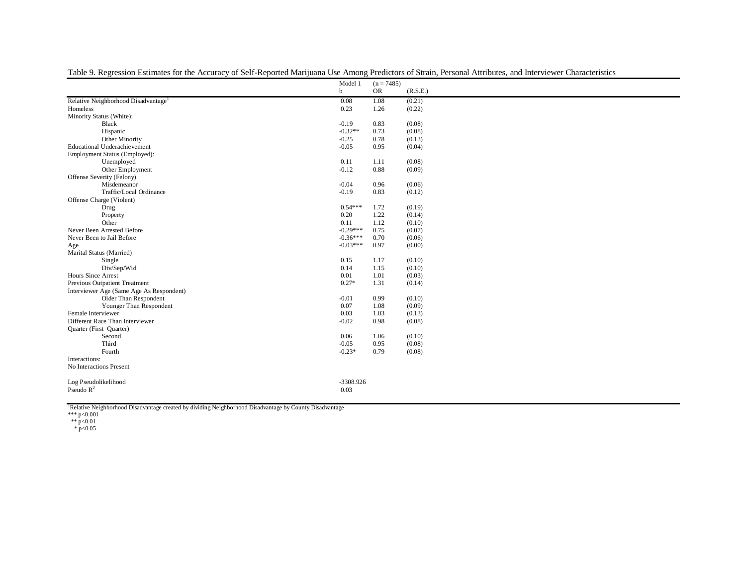|                                                 | Model 1     | $(n = 7485)$ |          |
|-------------------------------------------------|-------------|--------------|----------|
|                                                 | $\mathbf b$ | <b>OR</b>    | (R.S.E.) |
| Relative Neighborhood Disadvantage <sup>1</sup> | 0.08        | 1.08         | (0.21)   |
| Homeless                                        | 0.23        | 1.26         | (0.22)   |
| Minority Status (White):                        |             |              |          |
| Black                                           | $-0.19$     | 0.83         | (0.08)   |
| Hispanic                                        | $-0.32**$   | 0.73         | (0.08)   |
| Other Minority                                  | $-0.25$     | 0.78         | (0.13)   |
| <b>Educational Underachievement</b>             | $-0.05$     | 0.95         | (0.04)   |
| Employment Status (Employed):                   |             |              |          |
| Unemployed                                      | 0.11        | 1.11         | (0.08)   |
| Other Employment                                | $-0.12$     | 0.88         | (0.09)   |
| Offense Severity (Felony)                       |             |              |          |
| Misdemeanor                                     | $-0.04$     | 0.96         | (0.06)   |
| Traffic/Local Ordinance                         | $-0.19$     | 0.83         | (0.12)   |
| Offense Charge (Violent)                        |             |              |          |
| Drug                                            | $0.54***$   | 1.72         | (0.19)   |
| Property                                        | 0.20        | 1.22         | (0.14)   |
| Other                                           | 0.11        | 1.12         | (0.10)   |
| Never Been Arrested Before                      | $-0.29***$  | 0.75         | (0.07)   |
| Never Been to Jail Before                       | $-0.36***$  | 0.70         | (0.06)   |
| Age                                             | $-0.03***$  | 0.97         | (0.00)   |
| Marital Status (Married)                        |             |              |          |
| Single                                          | 0.15        | 1.17         | (0.10)   |
| Div/Sep/Wid                                     | 0.14        | 1.15         | (0.10)   |
| <b>Hours Since Arrest</b>                       | 0.01        | 1.01         | (0.03)   |
| Previous Outpatient Treatment                   | $0.27*$     | 1.31         | (0.14)   |
| Interviewer Age (Same Age As Respondent)        |             |              |          |
| Older Than Respondent                           | $-0.01$     | 0.99         | (0.10)   |
| Younger Than Respondent                         | 0.07        | 1.08         | (0.09)   |
| Female Interviewer                              | 0.03        | 1.03         | (0.13)   |
| Different Race Than Interviewer                 | $-0.02$     | 0.98         | (0.08)   |
| Quarter (First Quarter)                         |             |              |          |
| Second                                          | 0.06        | 1.06         | (0.10)   |
| Third                                           | $-0.05$     | 0.95         | (0.08)   |
| Fourth                                          | $-0.23*$    | 0.79         | (0.08)   |
| Interactions:                                   |             |              |          |
| No Interactions Present                         |             |              |          |
| Log Pseudolikelihood                            | -3308.926   |              |          |
| Pseudo $R^2$                                    | 0.03        |              |          |
|                                                 |             |              |          |

| able !<br>. Estimates for the<br>Regression | Accuracy of Self-Reported Mariiuana |         | Use Among Predictors of Strain. | . Personal Attributes. | and Interviewer | . haracteristics |
|---------------------------------------------|-------------------------------------|---------|---------------------------------|------------------------|-----------------|------------------|
|                                             |                                     | اماه ۱۸ | 7485                            |                        |                 |                  |

<sup>1</sup>Relative Neighborhood Disadvantage created by dividing Neighborhood Disadvantage by County Disadvantage<br>\*\*\* p<0.01<br>
\*\* p<0.01<br>
\* p<0.05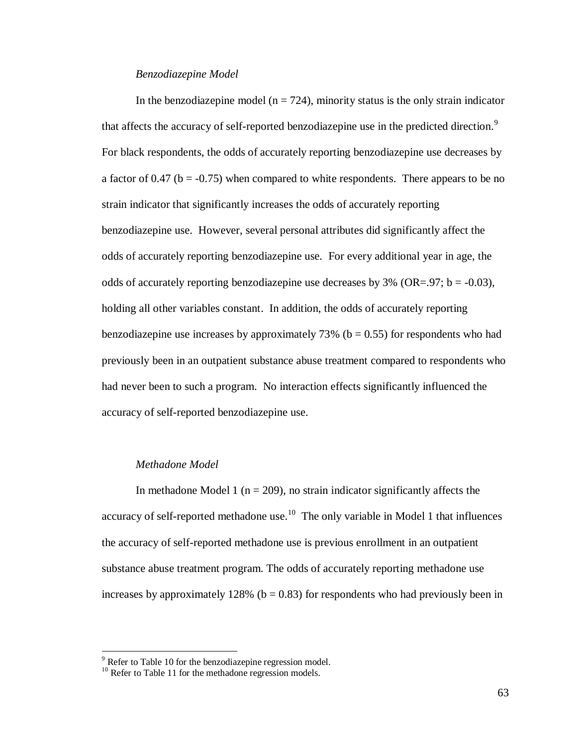### *Benzodiazepine Model*

In the benzodiazepine model ( $n = 724$ ), minority status is the only strain indicator that affects the accuracy of self-reported benzodiazepine use in the predicted direction.<sup>9</sup> For black respondents, the odds of accurately reporting benzodiazepine use decreases by a factor of 0.47 ( $b = -0.75$ ) when compared to white respondents. There appears to be no strain indicator that significantly increases the odds of accurately reporting benzodiazepine use. However, several personal attributes did significantly affect the odds of accurately reporting benzodiazepine use. For every additional year in age, the odds of accurately reporting benzodiazepine use decreases by  $3\%$  (OR=.97; b = -0.03), holding all other variables constant. In addition, the odds of accurately reporting benzodiazepine use increases by approximately  $73\%$  (b = 0.55) for respondents who had previously been in an outpatient substance abuse treatment compared to respondents who had never been to such a program. No interaction effects significantly influenced the accuracy of self-reported benzodiazepine use.

## *Methadone Model*

 $\overline{a}$ 

In methadone Model 1 ( $n = 209$ ), no strain indicator significantly affects the accuracy of self-reported methadone use.<sup>10</sup> The only variable in Model 1 that influences the accuracy of self-reported methadone use is previous enrollment in an outpatient substance abuse treatment program. The odds of accurately reporting methadone use increases by approximately 128% ( $b = 0.83$ ) for respondents who had previously been in

 $9^9$  Refer to Table 10 for the benzodiazepine regression model.

<sup>&</sup>lt;sup>10</sup> Refer to Table 11 for the methadone regression models.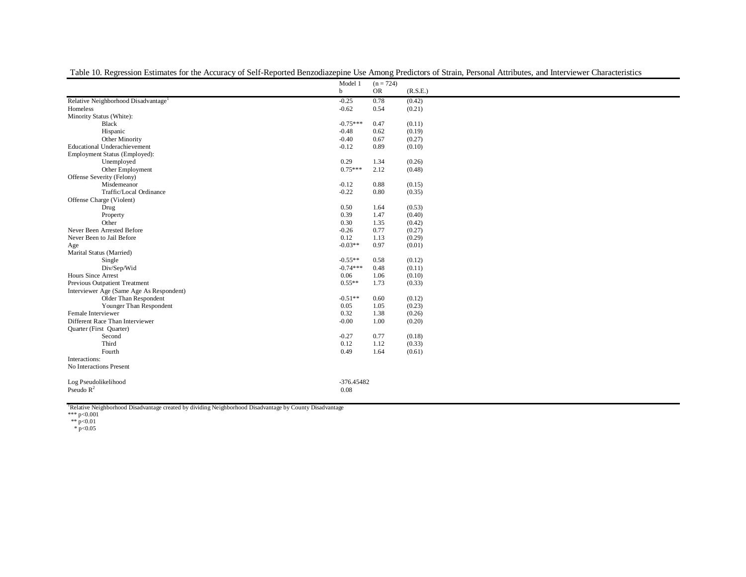|                                                 | Model 1      | $(n = 724)$ |          |
|-------------------------------------------------|--------------|-------------|----------|
|                                                 | b            | <b>OR</b>   | (R.S.E.) |
| Relative Neighborhood Disadvantage <sup>1</sup> | $-0.25$      | 0.78        | (0.42)   |
| Homeless                                        | $-0.62$      | 0.54        | (0.21)   |
| Minority Status (White):                        |              |             |          |
| Black                                           | $-0.75***$   | 0.47        | (0.11)   |
| Hispanic                                        | $-0.48$      | 0.62        | (0.19)   |
| Other Minority                                  | $-0.40$      | 0.67        | (0.27)   |
| <b>Educational Underachievement</b>             | $-0.12$      | 0.89        | (0.10)   |
| Employment Status (Employed):                   |              |             |          |
| Unemployed                                      | 0.29         | 1.34        | (0.26)   |
| Other Employment                                | $0.75***$    | 2.12        | (0.48)   |
| Offense Severity (Felony)                       |              |             |          |
| Misdemeanor                                     | $-0.12$      | 0.88        | (0.15)   |
| Traffic/Local Ordinance                         | $-0.22$      | 0.80        | (0.35)   |
| Offense Charge (Violent)                        |              |             |          |
| Drug                                            | 0.50         | 1.64        | (0.53)   |
| Property                                        | 0.39         | 1.47        | (0.40)   |
| Other                                           | 0.30         | 1.35        | (0.42)   |
| Never Been Arrested Before                      | $-0.26$      | 0.77        | (0.27)   |
| Never Been to Jail Before                       | 0.12         | 1.13        | (0.29)   |
| Age                                             | $-0.03**$    | 0.97        | (0.01)   |
| Marital Status (Married)                        |              |             |          |
| Single                                          | $-0.55**$    | 0.58        | (0.12)   |
| Div/Sep/Wid                                     | $-0.74***$   | 0.48        | (0.11)   |
| <b>Hours Since Arrest</b>                       | 0.06         | 1.06        | (0.10)   |
| Previous Outpatient Treatment                   | $0.55**$     | 1.73        | (0.33)   |
| Interviewer Age (Same Age As Respondent)        |              |             |          |
| Older Than Respondent                           | $-0.51**$    | 0.60        | (0.12)   |
| Younger Than Respondent                         | 0.05         | 1.05        | (0.23)   |
| Female Interviewer                              | 0.32         | 1.38        | (0.26)   |
| Different Race Than Interviewer                 | $-0.00$      | 1.00        | (0.20)   |
| Quarter (First Quarter)                         |              |             |          |
| Second                                          | $-0.27$      | 0.77        | (0.18)   |
| Third                                           | 0.12         | 1.12        | (0.33)   |
| Fourth                                          | 0.49         | 1.64        | (0.61)   |
| Interactions:                                   |              |             |          |
| No Interactions Present                         |              |             |          |
| Log Pseudolikelihood                            | $-376.45482$ |             |          |
| Pseudo $R^2$                                    | 0.08         |             |          |
|                                                 |              |             |          |

Table 10. Regression Estimates for the Accuracy of Self-Reported Benzodiazepine Use Among Predictors of Strain, Personal Attributes, and Interviewer Characteristics

<sup>1</sup>Relative Neighborhood Disadvantage created by dividing Neighborhood Disadvantage by County Disadvantage<br>\*\*\* p<0.01<br>
\*\* p<0.01<br>
\* p<0.05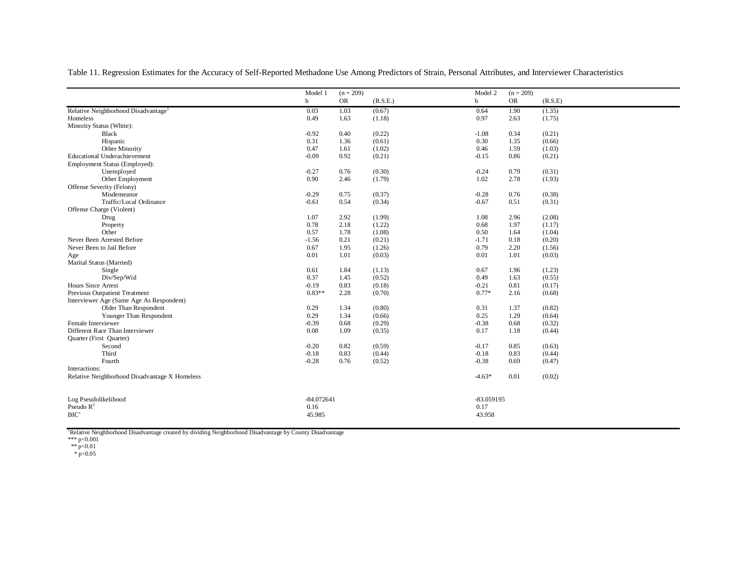Table 11. Regression Estimates for the Accuracy of Self-Reported Methadone Use Among Predictors of Strain, Personal Attributes, and Interviewer Characteristics

|                                                 | Model 1      | $(n = 209)$ |          | Model 2     | $(n = 209)$ |         |
|-------------------------------------------------|--------------|-------------|----------|-------------|-------------|---------|
|                                                 | $\mathbf b$  | <b>OR</b>   | (R.S.E.) | $\mathbf b$ | <b>OR</b>   | (R.S.E) |
| Relative Neighborhood Disadvantage <sup>1</sup> | 0.03         | 1.03        | (0.67)   | 0.64        | 1.90        | (1.35)  |
| Homeless                                        | 0.49         | 1.63        | (1.18)   | 0.97        | 2.63        | (1.75)  |
| Minority Status (White):                        |              |             |          |             |             |         |
| Black                                           | $-0.92$      | 0.40        | (0.22)   | $-1.08$     | 0.34        | (0.21)  |
| Hispanic                                        | 0.31         | 1.36        | (0.61)   | 0.30        | 1.35        | (0.66)  |
| Other Minority                                  | 0.47         | 1.61        | (1.02)   | 0.46        | 1.59        | (1.03)  |
| <b>Educational Underachievement</b>             | $-0.09$      | 0.92        | (0.21)   | $-0.15$     | 0.86        | (0.21)  |
| Employment Status (Employed):                   |              |             |          |             |             |         |
| Unemployed                                      | $-0.27$      | 0.76        | (0.30)   | $-0.24$     | 0.79        | (0.31)  |
| Other Employment                                | 0.90         | 2.46        | (1.79)   | 1.02        | 2.78        | (1.93)  |
| Offense Severity (Felony)                       |              |             |          |             |             |         |
| Misdemeanor                                     | $-0.29$      | 0.75        | (0.37)   | $-0.28$     | 0.76        | (0.38)  |
| Traffic/Local Ordinance                         | $-0.61$      | 0.54        | (0.34)   | $-0.67$     | 0.51        | (0.31)  |
| Offense Charge (Violent)                        |              |             |          |             |             |         |
| Drug                                            | 1.07         | 2.92        | (1.99)   | 1.08        | 2.96        | (2.08)  |
| Property                                        | 0.78         | 2.18        | (1.22)   | 0.68        | 1.97        | (1.17)  |
| Other                                           | 0.57         | 1.78        | (1.08)   | 0.50        | 1.64        | (1.04)  |
| Never Been Arrested Before                      | $-1.56$      | 0.21        | (0.21)   | $-1.71$     | 0.18        | (0.20)  |
| Never Been to Jail Before                       | 0.67         | 1.95        | (1.26)   | 0.79        | 2.20        | (1.56)  |
| Age                                             | 0.01         | 1.01        | (0.03)   | 0.01        | 1.01        | (0.03)  |
| Marital Status (Married)                        |              |             |          |             |             |         |
| Single                                          | 0.61         | 1.84        | (1.13)   | 0.67        | 1.96        | (1.23)  |
| Div/Sep/Wid                                     | 0.37         | 1.45        | (0.52)   | 0.49        | 1.63        | (0.55)  |
| Hours Since Arrest                              | $-0.19$      | 0.83        | (0.18)   | $-0.21$     | 0.81        | (0.17)  |
| Previous Outpatient Treatment                   | $0.83**$     | 2.28        | (0.70)   | $0.77*$     | 2.16        | (0.68)  |
| Interviewer Age (Same Age As Respondent)        |              |             |          |             |             |         |
| Older Than Respondent                           | 0.29         | 1.34        | (0.80)   | 0.31        | 1.37        | (0.82)  |
| Younger Than Respondent                         | 0.29         | 1.34        | (0.66)   | 0.25        | 1.29        | (0.64)  |
| Female Interviewer                              | $-0.39$      | 0.68        | (0.29)   | $-0.38$     | 0.68        | (0.32)  |
| Different Race Than Interviewer                 | 0.08         | 1.09        | (0.35)   | 0.17        | 1.18        | (0.44)  |
| Quarter (First Quarter)                         |              |             |          |             |             |         |
| Second                                          | $-0.20$      | 0.82        | (0.59)   | $-0.17$     | 0.85        | (0.63)  |
| Third                                           | $-0.18$      | 0.83        | (0.44)   | $-0.18$     | 0.83        | (0.44)  |
| Fourth                                          | $-0.28$      | 0.76        | (0.52)   | $-0.38$     | 0.69        | (0.47)  |
| Interactions:                                   |              |             |          |             |             |         |
| Relative Neighborhood Disadvantage X Homeless   |              |             |          | $-4.63*$    | 0.01        | (0.02)  |
|                                                 |              |             |          |             |             |         |
| Log Pseudolikelihood                            | $-84.072641$ |             |          | -83.059195  |             |         |
| Pseudo $R^2$                                    | 0.16         |             |          | 0.17        |             |         |
| BIC'                                            | 45.985       |             |          | 43.958      |             |         |
|                                                 |              |             |          |             |             |         |

<sup>1</sup>Relative Neighborhood Disadvantage created by dividing Neighborhood Disadvantage by County Disadvantage<br>\*\*\* p<0.01<br>
\*\* p<0.01<br>
\* p<0.05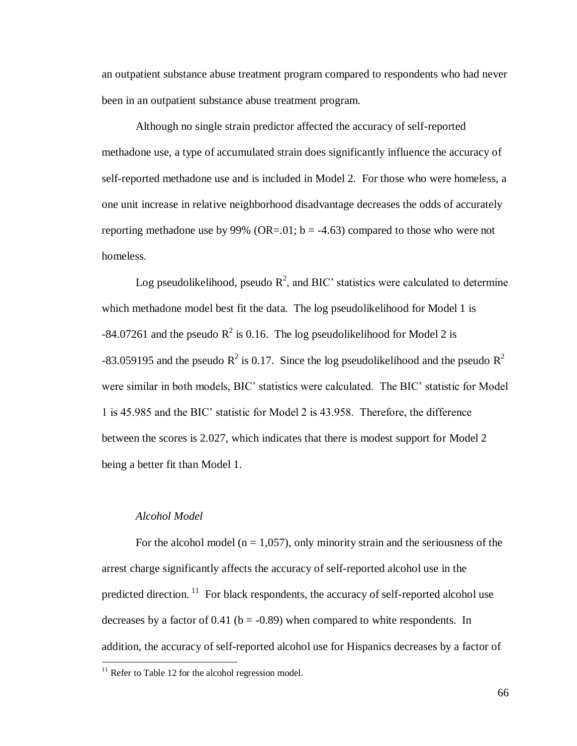an outpatient substance abuse treatment program compared to respondents who had never been in an outpatient substance abuse treatment program.

Although no single strain predictor affected the accuracy of self-reported methadone use, a type of accumulated strain does significantly influence the accuracy of self-reported methadone use and is included in Model 2. For those who were homeless, a one unit increase in relative neighborhood disadvantage decreases the odds of accurately reporting methadone use by 99% (OR=.01;  $b = -4.63$ ) compared to those who were not homeless.

Log pseudolikelihood, pseudo  $\mathbb{R}^2$ , and BIC' statistics were calculated to determine which methadone model best fit the data. The log pseudolikelihood for Model 1 is  $-84.07261$  and the pseudo  $R^2$  is 0.16. The log pseudolikelihood for Model 2 is -83.059195 and the pseudo  $R^2$  is 0.17. Since the log pseudolikelihood and the pseudo  $R^2$ were similar in both models, BIC' statistics were calculated. The BIC' statistic for Model 1 is 45.985 and the BIC' statistic for Model 2 is 43.958. Therefore, the difference between the scores is 2.027, which indicates that there is modest support for Model 2 being a better fit than Model 1.

## *Alcohol Model*

 $\overline{a}$ 

For the alcohol model ( $n = 1,057$ ), only minority strain and the seriousness of the arrest charge significantly affects the accuracy of self-reported alcohol use in the predicted direction.<sup>11</sup> For black respondents, the accuracy of self-reported alcohol use decreases by a factor of  $0.41$  (b = -0.89) when compared to white respondents. In addition, the accuracy of self-reported alcohol use for Hispanics decreases by a factor of

 $11$  Refer to Table 12 for the alcohol regression model.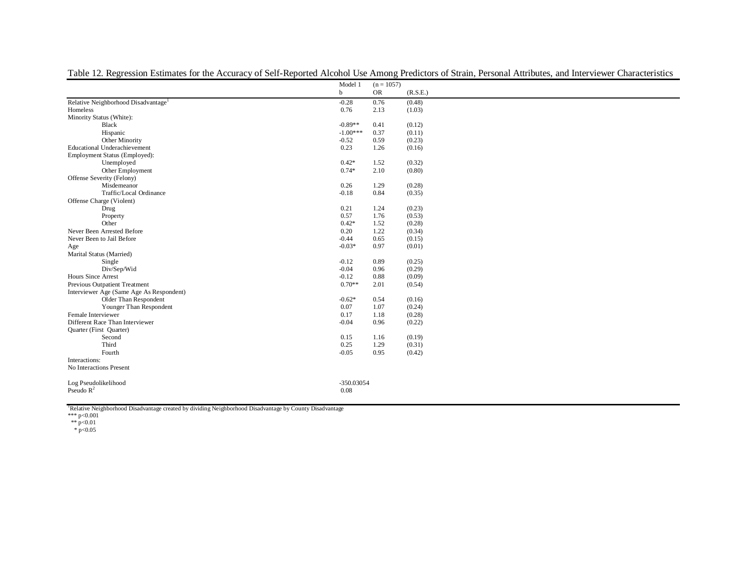|                                                 | Model 1<br>$(n = 1057)$ |           |          |
|-------------------------------------------------|-------------------------|-----------|----------|
|                                                 | b                       | <b>OR</b> | (R.S.E.) |
| Relative Neighborhood Disadvantage <sup>1</sup> | $-0.28$                 | 0.76      | (0.48)   |
| Homeless                                        | 0.76                    | 2.13      | (1.03)   |
| Minority Status (White):                        |                         |           |          |
| Black                                           | $-0.89**$               | 0.41      | (0.12)   |
| Hispanic                                        | $-1.00***$              | 0.37      | (0.11)   |
| Other Minority                                  | $-0.52$                 | 0.59      | (0.23)   |
| <b>Educational Underachievement</b>             | 0.23                    | 1.26      | (0.16)   |
| Employment Status (Employed):                   |                         |           |          |
| Unemployed                                      | $0.42*$                 | 1.52      | (0.32)   |
| Other Employment                                | $0.74*$                 | 2.10      | (0.80)   |
| Offense Severity (Felony)                       |                         |           |          |
| Misdemeanor                                     | 0.26                    | 1.29      | (0.28)   |
| Traffic/Local Ordinance                         | $-0.18$                 | 0.84      | (0.35)   |
| Offense Charge (Violent)                        |                         |           |          |
| Drug                                            | 0.21                    | 1.24      | (0.23)   |
| Property                                        | 0.57                    | 1.76      | (0.53)   |
| Other                                           | $0.42*$                 | 1.52      | (0.28)   |
| Never Been Arrested Before                      | 0.20                    | 1.22      | (0.34)   |
| Never Been to Jail Before                       | $-0.44$                 | 0.65      | (0.15)   |
| Age                                             | $-0.03*$                | 0.97      | (0.01)   |
| Marital Status (Married)                        |                         |           |          |
| Single                                          | $-0.12$                 | 0.89      | (0.25)   |
| Div/Sep/Wid                                     | $-0.04$                 | 0.96      | (0.29)   |
| <b>Hours Since Arrest</b>                       | $-0.12$                 | 0.88      | (0.09)   |
| Previous Outpatient Treatment                   | $0.70**$                | 2.01      | (0.54)   |
| Interviewer Age (Same Age As Respondent)        |                         |           |          |
| Older Than Respondent                           | $-0.62*$                | 0.54      | (0.16)   |
| Younger Than Respondent                         | 0.07                    | 1.07      | (0.24)   |
| Female Interviewer                              | 0.17                    | 1.18      | (0.28)   |
| Different Race Than Interviewer                 | $-0.04$                 | 0.96      | (0.22)   |
| Quarter (First Quarter)                         |                         |           |          |
| Second                                          | 0.15                    | 1.16      | (0.19)   |
| Third                                           | 0.25                    | 1.29      | (0.31)   |
| Fourth                                          | $-0.05$                 | 0.95      | (0.42)   |
| Interactions:                                   |                         |           |          |
| No Interactions Present                         |                         |           |          |
| Log Pseudolikelihood                            | -350.03054              |           |          |
| Pseudo $R^2$                                    | 0.08                    |           |          |
|                                                 |                         |           |          |

Table 12. Regression Estimates for the Accuracy of Self-Reported Alcohol Use Among Predictors of Strain, Personal Attributes, and Interviewer Characteristics

<sup>1</sup>Relative Neighborhood Disadvantage created by dividing Neighborhood Disadvantage by County Disadvantage<br>\*\*\* p<0.01<br>
\*\* p<0.01<br>
\* p<0.05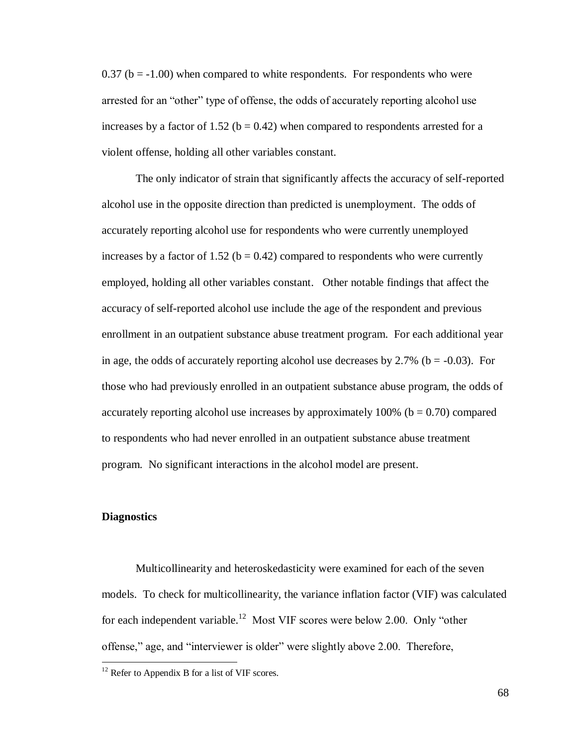$0.37$  (b =  $-1.00$ ) when compared to white respondents. For respondents who were arrested for an "other" type of offense, the odds of accurately reporting alcohol use increases by a factor of 1.52 ( $b = 0.42$ ) when compared to respondents arrested for a violent offense, holding all other variables constant.

The only indicator of strain that significantly affects the accuracy of self-reported alcohol use in the opposite direction than predicted is unemployment. The odds of accurately reporting alcohol use for respondents who were currently unemployed increases by a factor of 1.52 ( $b = 0.42$ ) compared to respondents who were currently employed, holding all other variables constant. Other notable findings that affect the accuracy of self-reported alcohol use include the age of the respondent and previous enrollment in an outpatient substance abuse treatment program. For each additional year in age, the odds of accurately reporting alcohol use decreases by  $2.7\%$  (b = -0.03). For those who had previously enrolled in an outpatient substance abuse program, the odds of accurately reporting alcohol use increases by approximately  $100\%$  ( $b = 0.70$ ) compared to respondents who had never enrolled in an outpatient substance abuse treatment program. No significant interactions in the alcohol model are present.

# **Diagnostics**

 $\overline{a}$ 

Multicollinearity and heteroskedasticity were examined for each of the seven models. To check for multicollinearity, the variance inflation factor (VIF) was calculated for each independent variable.<sup>12</sup> Most VIF scores were below 2.00. Only "other offense," age, and "interviewer is older" were slightly above 2.00. Therefore,

 $12$  Refer to Appendix B for a list of VIF scores.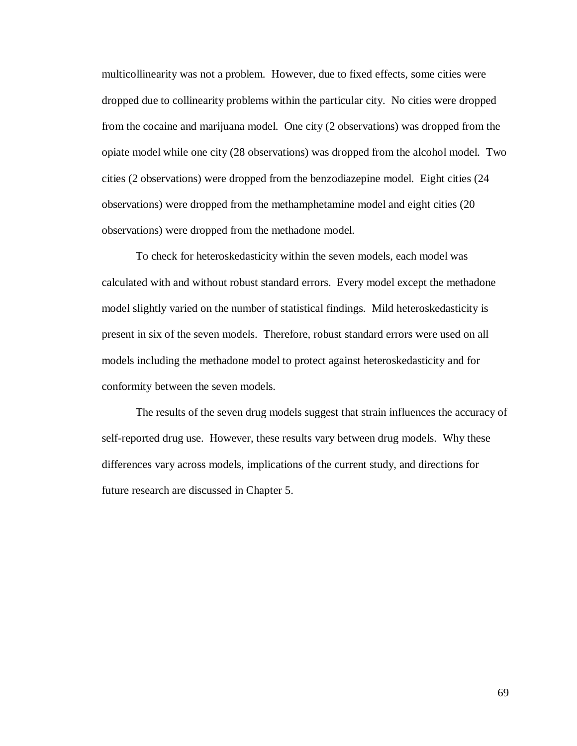multicollinearity was not a problem. However, due to fixed effects, some cities were dropped due to collinearity problems within the particular city. No cities were dropped from the cocaine and marijuana model. One city (2 observations) was dropped from the opiate model while one city (28 observations) was dropped from the alcohol model. Two cities (2 observations) were dropped from the benzodiazepine model. Eight cities (24 observations) were dropped from the methamphetamine model and eight cities (20 observations) were dropped from the methadone model.

To check for heteroskedasticity within the seven models, each model was calculated with and without robust standard errors. Every model except the methadone model slightly varied on the number of statistical findings. Mild heteroskedasticity is present in six of the seven models. Therefore, robust standard errors were used on all models including the methadone model to protect against heteroskedasticity and for conformity between the seven models.

The results of the seven drug models suggest that strain influences the accuracy of self-reported drug use. However, these results vary between drug models. Why these differences vary across models, implications of the current study, and directions for future research are discussed in Chapter 5.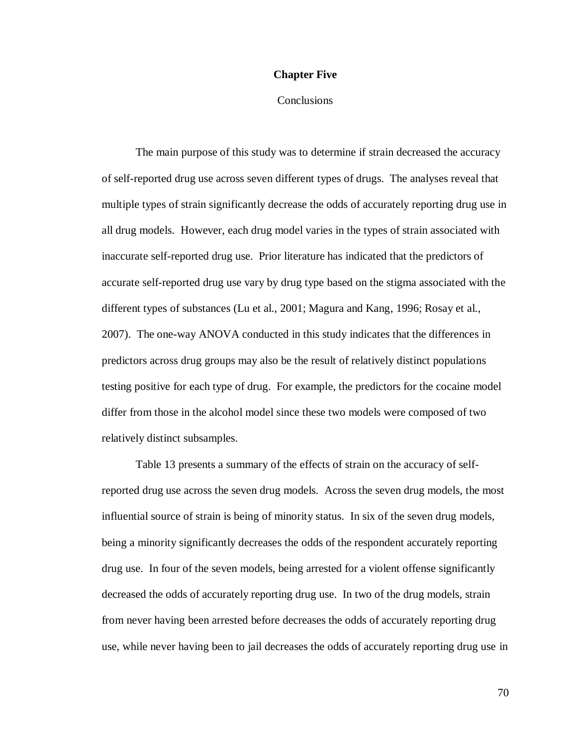# **Chapter Five**

# **Conclusions**

The main purpose of this study was to determine if strain decreased the accuracy of self-reported drug use across seven different types of drugs. The analyses reveal that multiple types of strain significantly decrease the odds of accurately reporting drug use in all drug models. However, each drug model varies in the types of strain associated with inaccurate self-reported drug use. Prior literature has indicated that the predictors of accurate self-reported drug use vary by drug type based on the stigma associated with the different types of substances (Lu et al., 2001; Magura and Kang, 1996; Rosay et al., 2007). The one-way ANOVA conducted in this study indicates that the differences in predictors across drug groups may also be the result of relatively distinct populations testing positive for each type of drug. For example, the predictors for the cocaine model differ from those in the alcohol model since these two models were composed of two relatively distinct subsamples.

Table 13 presents a summary of the effects of strain on the accuracy of selfreported drug use across the seven drug models. Across the seven drug models, the most influential source of strain is being of minority status. In six of the seven drug models, being a minority significantly decreases the odds of the respondent accurately reporting drug use. In four of the seven models, being arrested for a violent offense significantly decreased the odds of accurately reporting drug use. In two of the drug models, strain from never having been arrested before decreases the odds of accurately reporting drug use, while never having been to jail decreases the odds of accurately reporting drug use in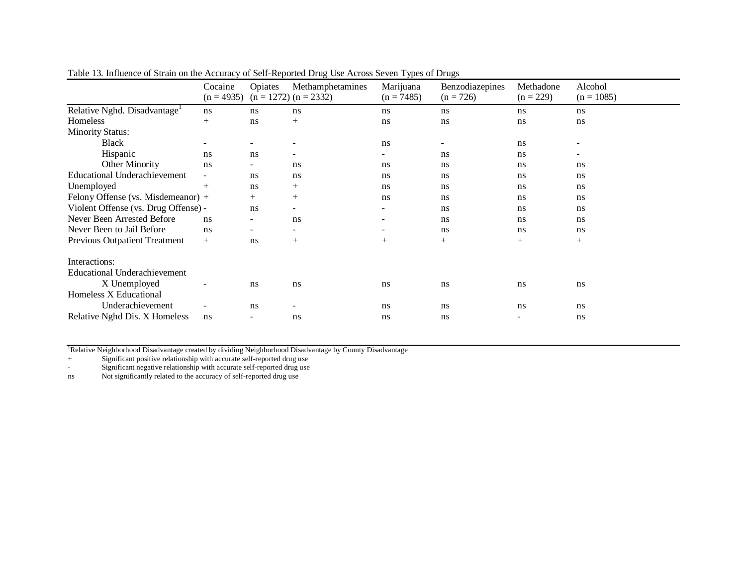|                                          | Cocaine<br>$(n = 4935)$ | <b>Opiates</b>           | Methamphetamines<br>$(n = 1272)$ $(n = 2332)$ | Marijuana<br>$(n = 7485)$ | Benzodiazepines<br>$(n = 726)$ | Methadone<br>$(n = 229)$ | Alcohol<br>$(n = 1085)$ |
|------------------------------------------|-------------------------|--------------------------|-----------------------------------------------|---------------------------|--------------------------------|--------------------------|-------------------------|
| Relative Nghd. Disadvantage <sup>1</sup> | ns                      | ns                       | ns                                            | ns                        | ns                             | ns                       | ns                      |
| Homeless                                 | $^{+}$                  | ns                       | $+$                                           | ns                        | ns                             | ns                       | ns                      |
| <b>Minority Status:</b>                  |                         |                          |                                               |                           |                                |                          |                         |
| <b>Black</b>                             |                         | $\overline{\phantom{a}}$ |                                               | ns                        |                                | ns                       | -                       |
| Hispanic                                 | ns.                     | ns                       |                                               |                           | ns                             | ns                       |                         |
| Other Minority                           | ns                      | $\overline{\phantom{a}}$ | ns                                            | ns                        | ns                             | ns                       | ns                      |
| <b>Educational Underachievement</b>      | Ξ.                      | ns                       | ns                                            | ns                        | ns                             | ns                       | ns                      |
| Unemployed                               | $^{+}$                  | ns                       | $+$                                           | ns                        | ns                             | ns                       | ns                      |
| Felony Offense (vs. Misdemeanor) +       |                         | $^{+}$                   | $+$                                           | ns                        | ns                             | ns                       | ns                      |
| Violent Offense (vs. Drug Offense) -     |                         | ns                       |                                               |                           | ns                             | ns                       | ns                      |
| Never Been Arrested Before               | ns                      | $\overline{\phantom{a}}$ | ns                                            |                           | ns                             | ns                       | ns                      |
| Never Been to Jail Before                | ns                      | $\overline{\phantom{a}}$ | $\overline{\phantom{0}}$                      |                           | ns                             | ns                       | ns                      |
| Previous Outpatient Treatment            | $+$                     | ns                       | $+$                                           | $+$                       | $+$                            | $+$                      | $^{+}$                  |
| Interactions:                            |                         |                          |                                               |                           |                                |                          |                         |
| <b>Educational Underachievement</b>      |                         |                          |                                               |                           |                                |                          |                         |
| X Unemployed                             |                         | ns                       | ns                                            | ns                        | ns                             | ns                       | ns                      |
| Homeless X Educational                   |                         |                          |                                               |                           |                                |                          |                         |
| Underachievement                         | $\sim$                  | ns                       |                                               | ns                        | ns                             | ns                       | ns                      |
| Relative Nghd Dis. X Homeless            | ns                      | $\overline{\phantom{a}}$ | ns                                            | ns                        | ns                             | $\overline{\phantom{a}}$ | ns                      |

Table 13. Influence of Strain on the Accuracy of Self-Reported Drug Use Across Seven Types of Drugs

<sup>1</sup>Relative Neighborhood Disadvantage created by dividing Neighborhood Disadvantage by County Disadvantage

+ Significant positive relationship with accurate self-reported drug use

- Significant negative relationship with accurate self-reported drug use

ns Not significantly related to the accuracy of self-reported drug use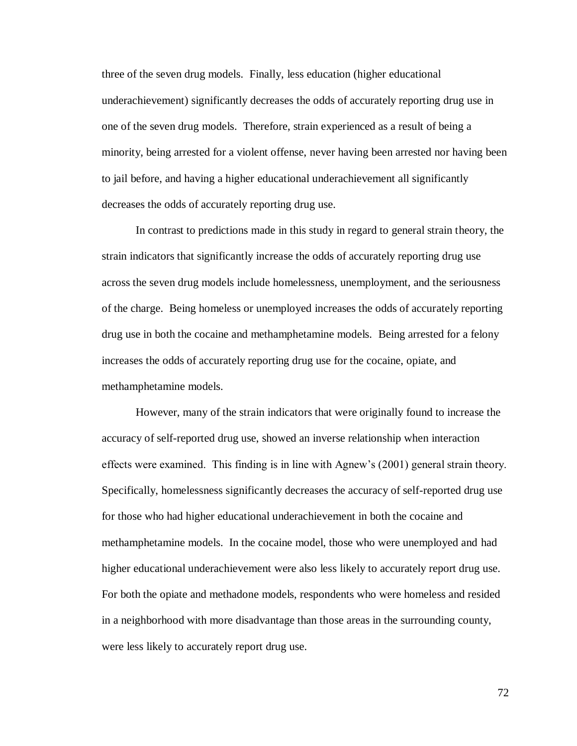three of the seven drug models. Finally, less education (higher educational underachievement) significantly decreases the odds of accurately reporting drug use in one of the seven drug models. Therefore, strain experienced as a result of being a minority, being arrested for a violent offense, never having been arrested nor having been to jail before, and having a higher educational underachievement all significantly decreases the odds of accurately reporting drug use.

In contrast to predictions made in this study in regard to general strain theory, the strain indicators that significantly increase the odds of accurately reporting drug use across the seven drug models include homelessness, unemployment, and the seriousness of the charge. Being homeless or unemployed increases the odds of accurately reporting drug use in both the cocaine and methamphetamine models. Being arrested for a felony increases the odds of accurately reporting drug use for the cocaine, opiate, and methamphetamine models.

However, many of the strain indicators that were originally found to increase the accuracy of self-reported drug use, showed an inverse relationship when interaction effects were examined. This finding is in line with Agnew's (2001) general strain theory. Specifically, homelessness significantly decreases the accuracy of self-reported drug use for those who had higher educational underachievement in both the cocaine and methamphetamine models. In the cocaine model, those who were unemployed and had higher educational underachievement were also less likely to accurately report drug use. For both the opiate and methadone models, respondents who were homeless and resided in a neighborhood with more disadvantage than those areas in the surrounding county, were less likely to accurately report drug use.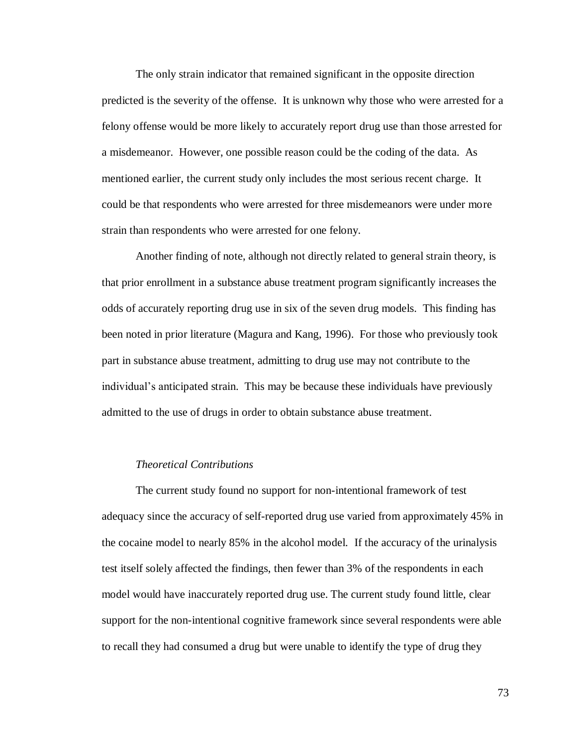The only strain indicator that remained significant in the opposite direction predicted is the severity of the offense. It is unknown why those who were arrested for a felony offense would be more likely to accurately report drug use than those arrested for a misdemeanor. However, one possible reason could be the coding of the data. As mentioned earlier, the current study only includes the most serious recent charge. It could be that respondents who were arrested for three misdemeanors were under more strain than respondents who were arrested for one felony.

Another finding of note, although not directly related to general strain theory, is that prior enrollment in a substance abuse treatment program significantly increases the odds of accurately reporting drug use in six of the seven drug models. This finding has been noted in prior literature (Magura and Kang, 1996). For those who previously took part in substance abuse treatment, admitting to drug use may not contribute to the individual's anticipated strain. This may be because these individuals have previously admitted to the use of drugs in order to obtain substance abuse treatment.

# *Theoretical Contributions*

The current study found no support for non-intentional framework of test adequacy since the accuracy of self-reported drug use varied from approximately 45% in the cocaine model to nearly 85% in the alcohol model. If the accuracy of the urinalysis test itself solely affected the findings, then fewer than 3% of the respondents in each model would have inaccurately reported drug use. The current study found little, clear support for the non-intentional cognitive framework since several respondents were able to recall they had consumed a drug but were unable to identify the type of drug they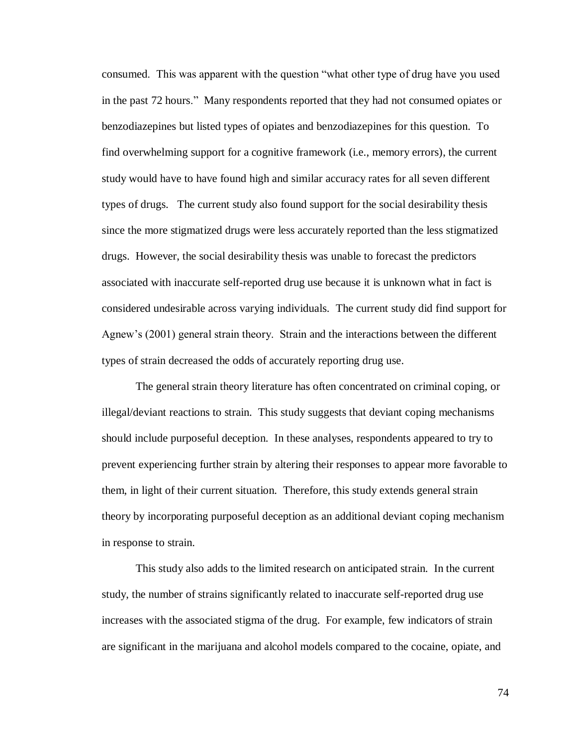consumed. This was apparent with the question "what other type of drug have you used in the past 72 hours." Many respondents reported that they had not consumed opiates or benzodiazepines but listed types of opiates and benzodiazepines for this question. To find overwhelming support for a cognitive framework (i.e., memory errors), the current study would have to have found high and similar accuracy rates for all seven different types of drugs. The current study also found support for the social desirability thesis since the more stigmatized drugs were less accurately reported than the less stigmatized drugs. However, the social desirability thesis was unable to forecast the predictors associated with inaccurate self-reported drug use because it is unknown what in fact is considered undesirable across varying individuals. The current study did find support for Agnew's (2001) general strain theory. Strain and the interactions between the different types of strain decreased the odds of accurately reporting drug use.

The general strain theory literature has often concentrated on criminal coping, or illegal/deviant reactions to strain. This study suggests that deviant coping mechanisms should include purposeful deception. In these analyses, respondents appeared to try to prevent experiencing further strain by altering their responses to appear more favorable to them, in light of their current situation. Therefore, this study extends general strain theory by incorporating purposeful deception as an additional deviant coping mechanism in response to strain.

This study also adds to the limited research on anticipated strain. In the current study, the number of strains significantly related to inaccurate self-reported drug use increases with the associated stigma of the drug. For example, few indicators of strain are significant in the marijuana and alcohol models compared to the cocaine, opiate, and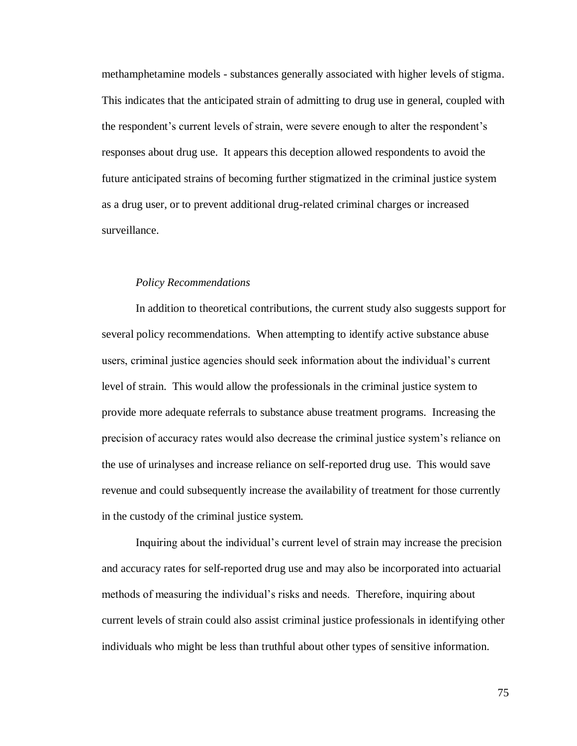methamphetamine models - substances generally associated with higher levels of stigma. This indicates that the anticipated strain of admitting to drug use in general, coupled with the respondent's current levels of strain, were severe enough to alter the respondent's responses about drug use. It appears this deception allowed respondents to avoid the future anticipated strains of becoming further stigmatized in the criminal justice system as a drug user, or to prevent additional drug-related criminal charges or increased surveillance.

# *Policy Recommendations*

In addition to theoretical contributions, the current study also suggests support for several policy recommendations. When attempting to identify active substance abuse users, criminal justice agencies should seek information about the individual's current level of strain. This would allow the professionals in the criminal justice system to provide more adequate referrals to substance abuse treatment programs. Increasing the precision of accuracy rates would also decrease the criminal justice system's reliance on the use of urinalyses and increase reliance on self-reported drug use. This would save revenue and could subsequently increase the availability of treatment for those currently in the custody of the criminal justice system.

Inquiring about the individual's current level of strain may increase the precision and accuracy rates for self-reported drug use and may also be incorporated into actuarial methods of measuring the individual's risks and needs. Therefore, inquiring about current levels of strain could also assist criminal justice professionals in identifying other individuals who might be less than truthful about other types of sensitive information.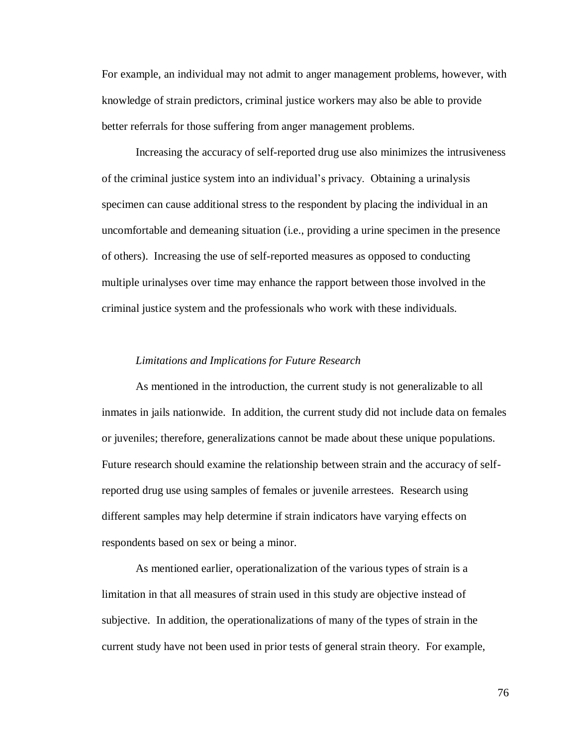For example, an individual may not admit to anger management problems, however, with knowledge of strain predictors, criminal justice workers may also be able to provide better referrals for those suffering from anger management problems.

Increasing the accuracy of self-reported drug use also minimizes the intrusiveness of the criminal justice system into an individual's privacy. Obtaining a urinalysis specimen can cause additional stress to the respondent by placing the individual in an uncomfortable and demeaning situation (i.e., providing a urine specimen in the presence of others). Increasing the use of self-reported measures as opposed to conducting multiple urinalyses over time may enhance the rapport between those involved in the criminal justice system and the professionals who work with these individuals.

#### *Limitations and Implications for Future Research*

As mentioned in the introduction, the current study is not generalizable to all inmates in jails nationwide. In addition, the current study did not include data on females or juveniles; therefore, generalizations cannot be made about these unique populations. Future research should examine the relationship between strain and the accuracy of selfreported drug use using samples of females or juvenile arrestees. Research using different samples may help determine if strain indicators have varying effects on respondents based on sex or being a minor.

As mentioned earlier, operationalization of the various types of strain is a limitation in that all measures of strain used in this study are objective instead of subjective. In addition, the operationalizations of many of the types of strain in the current study have not been used in prior tests of general strain theory. For example,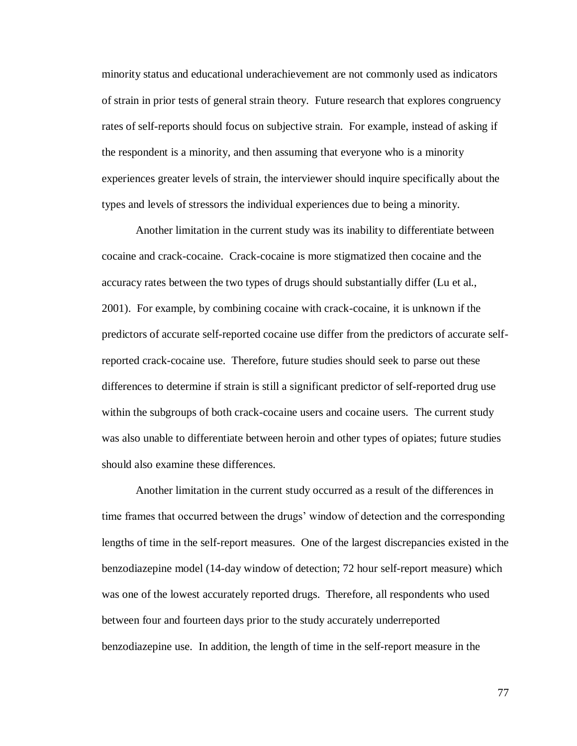minority status and educational underachievement are not commonly used as indicators of strain in prior tests of general strain theory. Future research that explores congruency rates of self-reports should focus on subjective strain. For example, instead of asking if the respondent is a minority, and then assuming that everyone who is a minority experiences greater levels of strain, the interviewer should inquire specifically about the types and levels of stressors the individual experiences due to being a minority.

Another limitation in the current study was its inability to differentiate between cocaine and crack-cocaine. Crack-cocaine is more stigmatized then cocaine and the accuracy rates between the two types of drugs should substantially differ (Lu et al., 2001). For example, by combining cocaine with crack-cocaine, it is unknown if the predictors of accurate self-reported cocaine use differ from the predictors of accurate selfreported crack-cocaine use. Therefore, future studies should seek to parse out these differences to determine if strain is still a significant predictor of self-reported drug use within the subgroups of both crack-cocaine users and cocaine users. The current study was also unable to differentiate between heroin and other types of opiates; future studies should also examine these differences.

Another limitation in the current study occurred as a result of the differences in time frames that occurred between the drugs' window of detection and the corresponding lengths of time in the self-report measures. One of the largest discrepancies existed in the benzodiazepine model (14-day window of detection; 72 hour self-report measure) which was one of the lowest accurately reported drugs. Therefore, all respondents who used between four and fourteen days prior to the study accurately underreported benzodiazepine use. In addition, the length of time in the self-report measure in the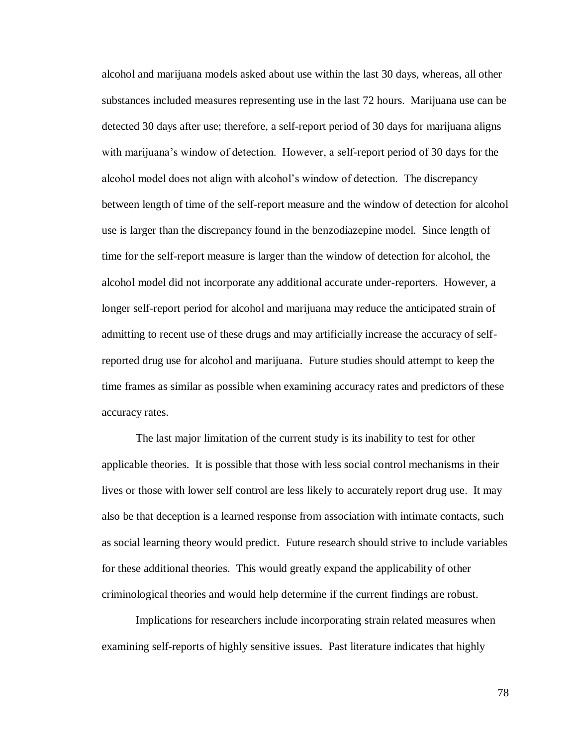alcohol and marijuana models asked about use within the last 30 days, whereas, all other substances included measures representing use in the last 72 hours. Marijuana use can be detected 30 days after use; therefore, a self-report period of 30 days for marijuana aligns with marijuana's window of detection. However, a self-report period of 30 days for the alcohol model does not align with alcohol's window of detection. The discrepancy between length of time of the self-report measure and the window of detection for alcohol use is larger than the discrepancy found in the benzodiazepine model. Since length of time for the self-report measure is larger than the window of detection for alcohol, the alcohol model did not incorporate any additional accurate under-reporters. However, a longer self-report period for alcohol and marijuana may reduce the anticipated strain of admitting to recent use of these drugs and may artificially increase the accuracy of selfreported drug use for alcohol and marijuana. Future studies should attempt to keep the time frames as similar as possible when examining accuracy rates and predictors of these accuracy rates.

The last major limitation of the current study is its inability to test for other applicable theories. It is possible that those with less social control mechanisms in their lives or those with lower self control are less likely to accurately report drug use. It may also be that deception is a learned response from association with intimate contacts, such as social learning theory would predict. Future research should strive to include variables for these additional theories. This would greatly expand the applicability of other criminological theories and would help determine if the current findings are robust.

Implications for researchers include incorporating strain related measures when examining self-reports of highly sensitive issues. Past literature indicates that highly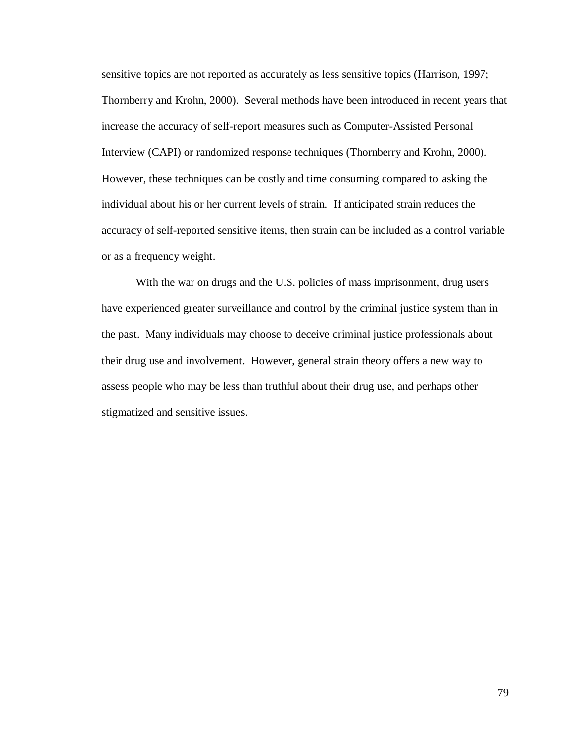sensitive topics are not reported as accurately as less sensitive topics (Harrison, 1997; Thornberry and Krohn, 2000). Several methods have been introduced in recent years that increase the accuracy of self-report measures such as Computer-Assisted Personal Interview (CAPI) or randomized response techniques (Thornberry and Krohn, 2000). However, these techniques can be costly and time consuming compared to asking the individual about his or her current levels of strain. If anticipated strain reduces the accuracy of self-reported sensitive items, then strain can be included as a control variable or as a frequency weight.

With the war on drugs and the U.S. policies of mass imprisonment, drug users have experienced greater surveillance and control by the criminal justice system than in the past. Many individuals may choose to deceive criminal justice professionals about their drug use and involvement. However, general strain theory offers a new way to assess people who may be less than truthful about their drug use, and perhaps other stigmatized and sensitive issues.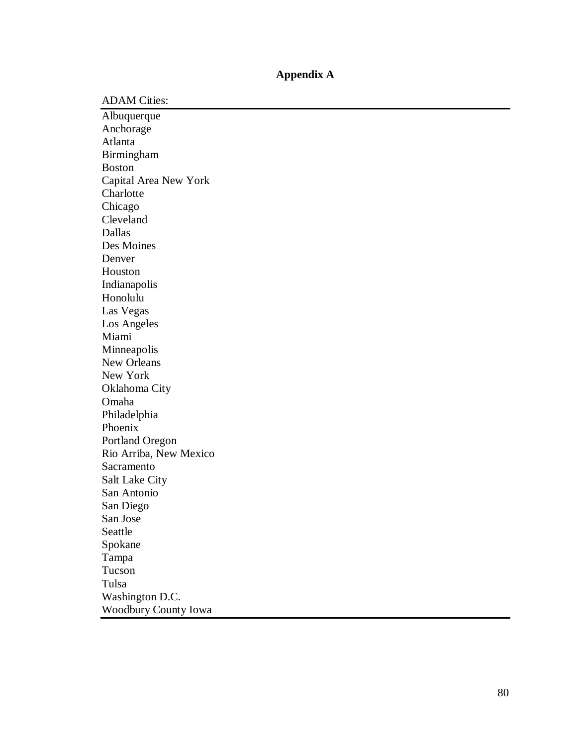# **Appendix A**

ADAM Cities:

Albuquerque Anchorage Atlanta Birmingham Boston Capital Area New York **Charlotte** Chicago Cleveland Dallas Des Moines Denver Houston Indianapolis Honolulu Las Vegas Los Angeles Miami Minneapolis New Orleans New York Oklahoma City Omaha Philadelphia Phoenix Portland Oregon Rio Arriba, New Mexico Sacramento Salt Lake City San Antonio San Diego San Jose Seattle Spokane Tampa Tucson Tulsa Washington D.C. Woodbury County Iowa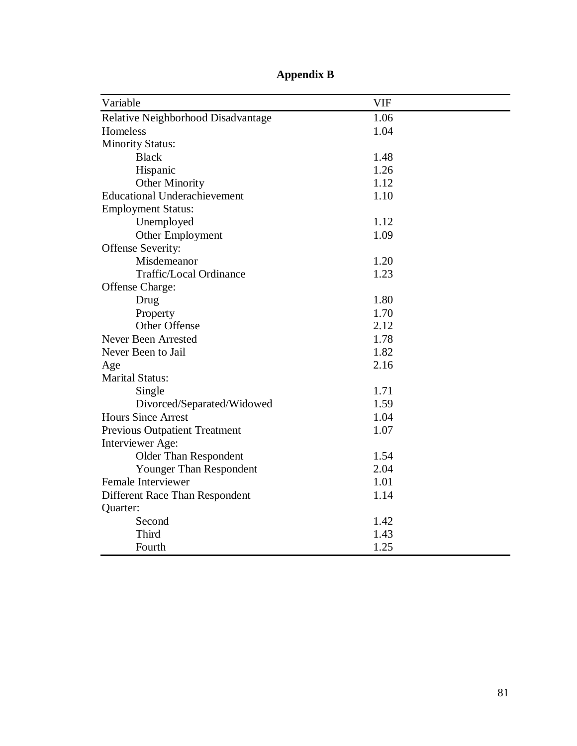| Variable                             | <b>VIF</b> |
|--------------------------------------|------------|
| Relative Neighborhood Disadvantage   | 1.06       |
| Homeless                             | 1.04       |
| <b>Minority Status:</b>              |            |
| <b>Black</b>                         | 1.48       |
| Hispanic                             | 1.26       |
| <b>Other Minority</b>                | 1.12       |
| <b>Educational Underachievement</b>  | 1.10       |
| <b>Employment Status:</b>            |            |
| Unemployed                           | 1.12       |
| Other Employment                     | 1.09       |
| Offense Severity:                    |            |
| Misdemeanor                          | 1.20       |
| <b>Traffic/Local Ordinance</b>       | 1.23       |
| Offense Charge:                      |            |
| Drug                                 | 1.80       |
| Property                             | 1.70       |
| <b>Other Offense</b>                 | 2.12       |
| Never Been Arrested                  | 1.78       |
| Never Been to Jail                   | 1.82       |
| Age                                  | 2.16       |
| <b>Marital Status:</b>               |            |
| Single                               | 1.71       |
| Divorced/Separated/Widowed           | 1.59       |
| <b>Hours Since Arrest</b>            | 1.04       |
| <b>Previous Outpatient Treatment</b> | 1.07       |
| Interviewer Age:                     |            |
| Older Than Respondent                | 1.54       |
| Younger Than Respondent              | 2.04       |
| Female Interviewer                   | 1.01       |
| Different Race Than Respondent       | 1.14       |
| Quarter:                             |            |
| Second                               | 1.42       |
| Third                                | 1.43       |
| Fourth                               | 1.25       |

**Appendix B**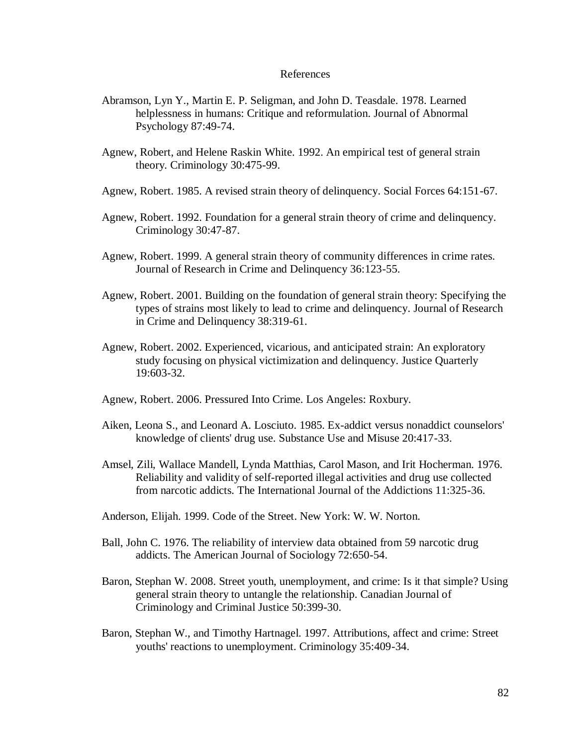# References

- Abramson, Lyn Y., Martin E. P. Seligman, and John D. Teasdale. 1978. Learned helplessness in humans: Critique and reformulation. Journal of Abnormal Psychology 87:49-74.
- Agnew, Robert, and Helene Raskin White. 1992. An empirical test of general strain theory. Criminology 30:475-99.
- Agnew, Robert. 1985. A revised strain theory of delinquency. Social Forces 64:151-67.
- Agnew, Robert. 1992. Foundation for a general strain theory of crime and delinquency. Criminology 30:47-87.
- Agnew, Robert. 1999. A general strain theory of community differences in crime rates. Journal of Research in Crime and Delinquency 36:123-55.
- Agnew, Robert. 2001. Building on the foundation of general strain theory: Specifying the types of strains most likely to lead to crime and delinquency. Journal of Research in Crime and Delinquency 38:319-61.
- Agnew, Robert. 2002. Experienced, vicarious, and anticipated strain: An exploratory study focusing on physical victimization and delinquency. Justice Quarterly 19:603-32.
- Agnew, Robert. 2006. Pressured Into Crime. Los Angeles: Roxbury.
- Aiken, Leona S., and Leonard A. Losciuto. 1985. Ex-addict versus nonaddict counselors' knowledge of clients' drug use. Substance Use and Misuse 20:417-33.
- Amsel, Zili, Wallace Mandell, Lynda Matthias, Carol Mason, and Irit Hocherman. 1976. Reliability and validity of self-reported illegal activities and drug use collected from narcotic addicts. The International Journal of the Addictions 11:325-36.
- Anderson, Elijah. 1999. Code of the Street. New York: W. W. Norton.
- Ball, John C. 1976. The reliability of interview data obtained from 59 narcotic drug addicts. The American Journal of Sociology 72:650-54.
- Baron, Stephan W. 2008. Street youth, unemployment, and crime: Is it that simple? Using general strain theory to untangle the relationship. Canadian Journal of Criminology and Criminal Justice 50:399-30.
- Baron, Stephan W., and Timothy Hartnagel. 1997. Attributions, affect and crime: Street youths' reactions to unemployment. Criminology 35:409-34.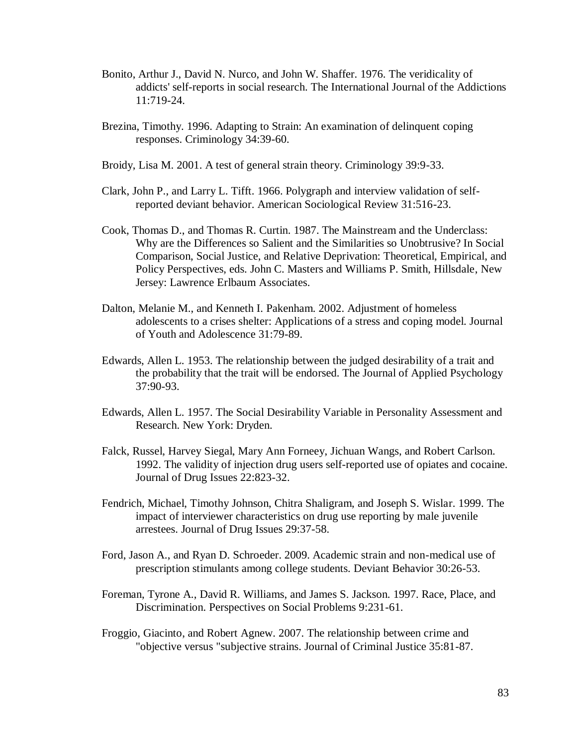- Bonito, Arthur J., David N. Nurco, and John W. Shaffer. 1976. The veridicality of addicts' self-reports in social research. The International Journal of the Addictions 11:719-24.
- Brezina, Timothy. 1996. Adapting to Strain: An examination of delinquent coping responses. Criminology 34:39-60.
- Broidy, Lisa M. 2001. A test of general strain theory. Criminology 39:9-33.
- Clark, John P., and Larry L. Tifft. 1966. Polygraph and interview validation of selfreported deviant behavior. American Sociological Review 31:516-23.
- Cook, Thomas D., and Thomas R. Curtin. 1987. The Mainstream and the Underclass: Why are the Differences so Salient and the Similarities so Unobtrusive? In Social Comparison, Social Justice, and Relative Deprivation: Theoretical, Empirical, and Policy Perspectives, eds. John C. Masters and Williams P. Smith, Hillsdale, New Jersey: Lawrence Erlbaum Associates.
- Dalton, Melanie M., and Kenneth I. Pakenham. 2002. Adjustment of homeless adolescents to a crises shelter: Applications of a stress and coping model. Journal of Youth and Adolescence 31:79-89.
- Edwards, Allen L. 1953. The relationship between the judged desirability of a trait and the probability that the trait will be endorsed. The Journal of Applied Psychology 37:90-93.
- Edwards, Allen L. 1957. The Social Desirability Variable in Personality Assessment and Research. New York: Dryden.
- Falck, Russel, Harvey Siegal, Mary Ann Forneey, Jichuan Wangs, and Robert Carlson. 1992. The validity of injection drug users self-reported use of opiates and cocaine. Journal of Drug Issues 22:823-32.
- Fendrich, Michael, Timothy Johnson, Chitra Shaligram, and Joseph S. Wislar. 1999. The impact of interviewer characteristics on drug use reporting by male juvenile arrestees. Journal of Drug Issues 29:37-58.
- Ford, Jason A., and Ryan D. Schroeder. 2009. Academic strain and non-medical use of prescription stimulants among college students. Deviant Behavior 30:26-53.
- Foreman, Tyrone A., David R. Williams, and James S. Jackson. 1997. Race, Place, and Discrimination. Perspectives on Social Problems 9:231-61.
- Froggio, Giacinto, and Robert Agnew. 2007. The relationship between crime and "objective versus "subjective strains. Journal of Criminal Justice 35:81-87.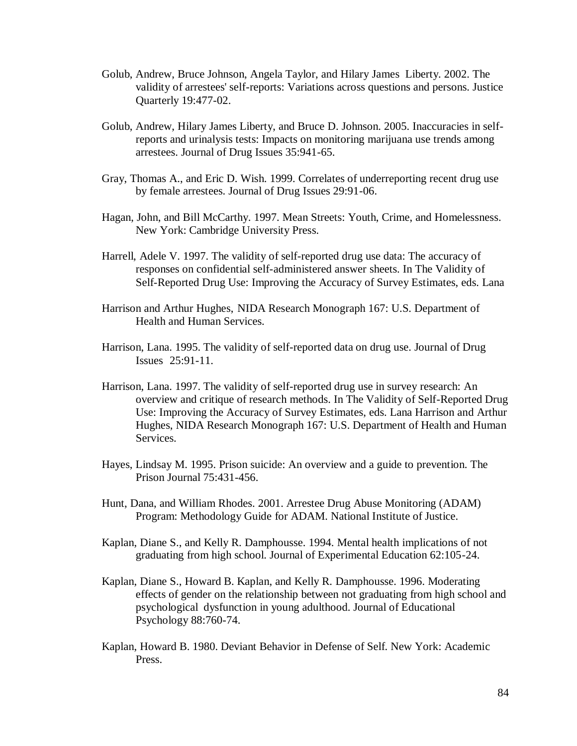- Golub, Andrew, Bruce Johnson, Angela Taylor, and Hilary James Liberty. 2002. The validity of arrestees' self-reports: Variations across questions and persons. Justice Quarterly 19:477-02.
- Golub, Andrew, Hilary James Liberty, and Bruce D. Johnson. 2005. Inaccuracies in selfreports and urinalysis tests: Impacts on monitoring marijuana use trends among arrestees. Journal of Drug Issues 35:941-65.
- Gray, Thomas A., and Eric D. Wish. 1999. Correlates of underreporting recent drug use by female arrestees. Journal of Drug Issues 29:91-06.
- Hagan, John, and Bill McCarthy. 1997. Mean Streets: Youth, Crime, and Homelessness. New York: Cambridge University Press.
- Harrell, Adele V. 1997. The validity of self-reported drug use data: The accuracy of responses on confidential self-administered answer sheets. In The Validity of Self-Reported Drug Use: Improving the Accuracy of Survey Estimates, eds. Lana
- Harrison and Arthur Hughes, NIDA Research Monograph 167: U.S. Department of Health and Human Services.
- Harrison, Lana. 1995. The validity of self-reported data on drug use. Journal of Drug Issues 25:91-11.
- Harrison, Lana. 1997. The validity of self-reported drug use in survey research: An overview and critique of research methods. In The Validity of Self-Reported Drug Use: Improving the Accuracy of Survey Estimates, eds. Lana Harrison and Arthur Hughes, NIDA Research Monograph 167: U.S. Department of Health and Human Services.
- Hayes, Lindsay M. 1995. Prison suicide: An overview and a guide to prevention. The Prison Journal 75:431-456.
- Hunt, Dana, and William Rhodes. 2001. Arrestee Drug Abuse Monitoring (ADAM) Program: Methodology Guide for ADAM. National Institute of Justice.
- Kaplan, Diane S., and Kelly R. Damphousse. 1994. Mental health implications of not graduating from high school. Journal of Experimental Education 62:105-24.
- Kaplan, Diane S., Howard B. Kaplan, and Kelly R. Damphousse. 1996. Moderating effects of gender on the relationship between not graduating from high school and psychological dysfunction in young adulthood. Journal of Educational Psychology 88:760-74.
- Kaplan, Howard B. 1980. Deviant Behavior in Defense of Self. New York: Academic Press.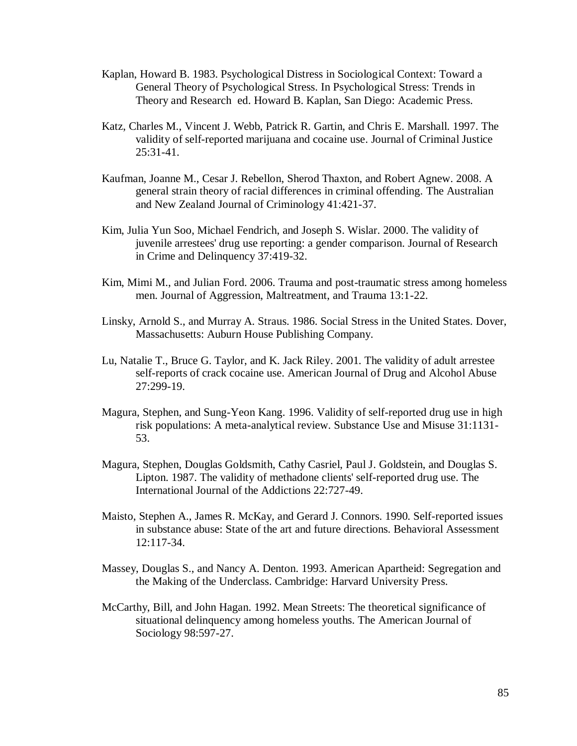- Kaplan, Howard B. 1983. Psychological Distress in Sociological Context: Toward a General Theory of Psychological Stress. In Psychological Stress: Trends in Theory and Research ed. Howard B. Kaplan, San Diego: Academic Press.
- Katz, Charles M., Vincent J. Webb, Patrick R. Gartin, and Chris E. Marshall. 1997. The validity of self-reported marijuana and cocaine use. Journal of Criminal Justice  $25:31-41$ .
- Kaufman, Joanne M., Cesar J. Rebellon, Sherod Thaxton, and Robert Agnew. 2008. A general strain theory of racial differences in criminal offending. The Australian and New Zealand Journal of Criminology 41:421-37.
- Kim, Julia Yun Soo, Michael Fendrich, and Joseph S. Wislar. 2000. The validity of juvenile arrestees' drug use reporting: a gender comparison. Journal of Research in Crime and Delinquency 37:419-32.
- Kim, Mimi M., and Julian Ford. 2006. Trauma and post-traumatic stress among homeless men. Journal of Aggression, Maltreatment, and Trauma 13:1-22.
- Linsky, Arnold S., and Murray A. Straus. 1986. Social Stress in the United States. Dover, Massachusetts: Auburn House Publishing Company.
- Lu, Natalie T., Bruce G. Taylor, and K. Jack Riley. 2001. The validity of adult arrestee self-reports of crack cocaine use. American Journal of Drug and Alcohol Abuse 27:299-19.
- Magura, Stephen, and Sung-Yeon Kang. 1996. Validity of self-reported drug use in high risk populations: A meta-analytical review. Substance Use and Misuse 31:1131- 53.
- Magura, Stephen, Douglas Goldsmith, Cathy Casriel, Paul J. Goldstein, and Douglas S. Lipton. 1987. The validity of methadone clients' self-reported drug use. The International Journal of the Addictions 22:727-49.
- Maisto, Stephen A., James R. McKay, and Gerard J. Connors. 1990. Self-reported issues in substance abuse: State of the art and future directions. Behavioral Assessment 12:117-34.
- Massey, Douglas S., and Nancy A. Denton. 1993. American Apartheid: Segregation and the Making of the Underclass. Cambridge: Harvard University Press.
- McCarthy, Bill, and John Hagan. 1992. Mean Streets: The theoretical significance of situational delinquency among homeless youths. The American Journal of Sociology 98:597-27.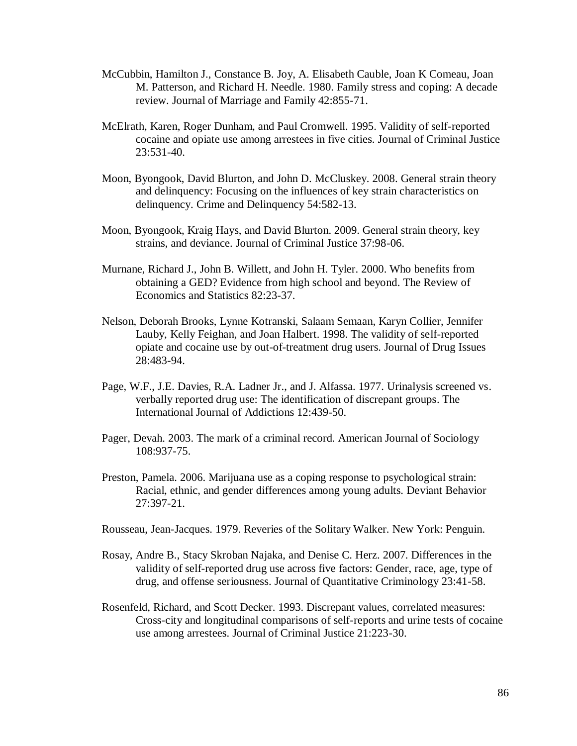- McCubbin, Hamilton J., Constance B. Joy, A. Elisabeth Cauble, Joan K Comeau, Joan M. Patterson, and Richard H. Needle. 1980. Family stress and coping: A decade review. Journal of Marriage and Family 42:855-71.
- McElrath, Karen, Roger Dunham, and Paul Cromwell. 1995. Validity of self-reported cocaine and opiate use among arrestees in five cities. Journal of Criminal Justice 23:531-40.
- Moon, Byongook, David Blurton, and John D. McCluskey. 2008. General strain theory and delinquency: Focusing on the influences of key strain characteristics on delinquency. Crime and Delinquency 54:582-13.
- Moon, Byongook, Kraig Hays, and David Blurton. 2009. General strain theory, key strains, and deviance. Journal of Criminal Justice 37:98-06.
- Murnane, Richard J., John B. Willett, and John H. Tyler. 2000. Who benefits from obtaining a GED? Evidence from high school and beyond. The Review of Economics and Statistics 82:23-37.
- Nelson, Deborah Brooks, Lynne Kotranski, Salaam Semaan, Karyn Collier, Jennifer Lauby, Kelly Feighan, and Joan Halbert. 1998. The validity of self-reported opiate and cocaine use by out-of-treatment drug users. Journal of Drug Issues 28:483-94.
- Page, W.F., J.E. Davies, R.A. Ladner Jr., and J. Alfassa. 1977. Urinalysis screened vs. verbally reported drug use: The identification of discrepant groups. The International Journal of Addictions 12:439-50.
- Pager, Devah. 2003. The mark of a criminal record. American Journal of Sociology 108:937-75.
- Preston, Pamela. 2006. Marijuana use as a coping response to psychological strain: Racial, ethnic, and gender differences among young adults. Deviant Behavior 27:397-21.
- Rousseau, Jean-Jacques. 1979. Reveries of the Solitary Walker. New York: Penguin.
- Rosay, Andre B., Stacy Skroban Najaka, and Denise C. Herz. 2007. Differences in the validity of self-reported drug use across five factors: Gender, race, age, type of drug, and offense seriousness. Journal of Quantitative Criminology 23:41-58.
- Rosenfeld, Richard, and Scott Decker. 1993. Discrepant values, correlated measures: Cross-city and longitudinal comparisons of self-reports and urine tests of cocaine use among arrestees. Journal of Criminal Justice 21:223-30.